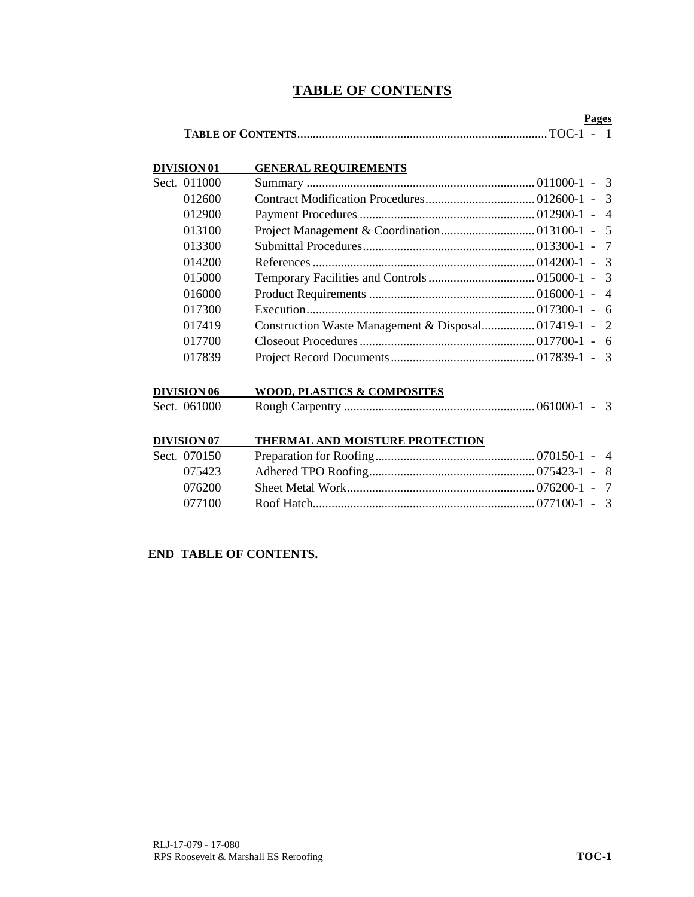# **TABLE OF CONTENTS**

| Pages |  |
|-------|--|
|       |  |

| <b>DIVISION 01</b> | <b>GENERAL REOUIREMENTS</b> |  |                |
|--------------------|-----------------------------|--|----------------|
| Sect. 011000       |                             |  |                |
| 012600             |                             |  |                |
| 012900             |                             |  | $\overline{4}$ |
| 013100             |                             |  |                |
| 013300             |                             |  |                |
| 014200             |                             |  |                |
| 015000             |                             |  |                |
| 016000             |                             |  |                |
| 017300             |                             |  |                |
| 017419             |                             |  |                |
| 017700             |                             |  |                |
| 017839             |                             |  |                |

| DIVISION 06  | WOOD, PLASTICS & COMPOSITES |  |
|--------------|-----------------------------|--|
| Sect. 061000 |                             |  |
|              |                             |  |

| <b>DIVISION 07</b> | THERMAL AND MOISTURE PROTECTION |  |
|--------------------|---------------------------------|--|
| Sect. 070150       |                                 |  |
| 075423             |                                 |  |
| 076200             |                                 |  |
| 077100             |                                 |  |

# **END TABLE OF CONTENTS.**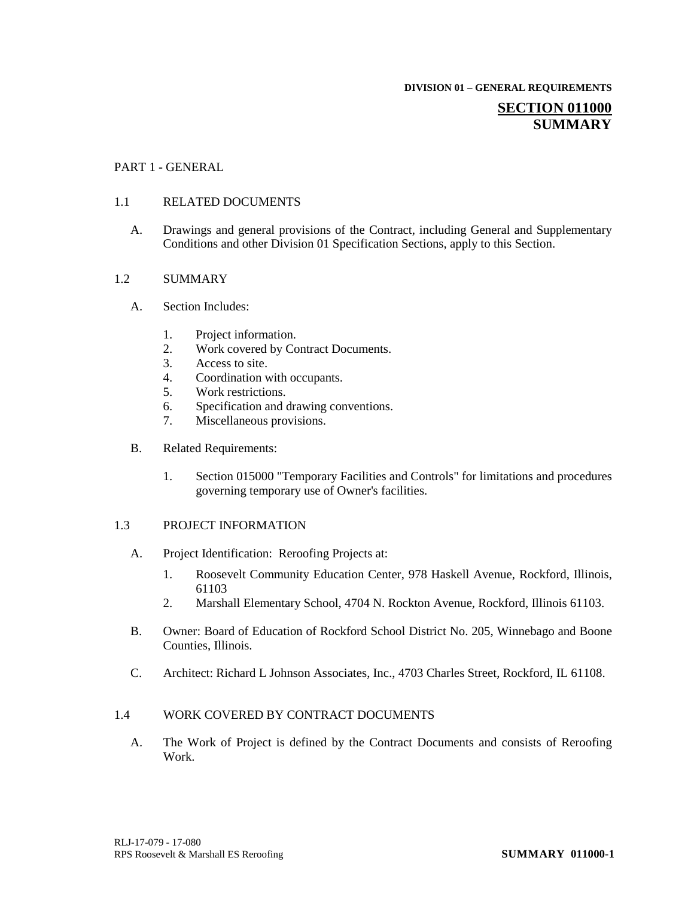**DIVISION 01 – GENERAL REQUIREMENTS**

# **SECTION 011000 SUMMARY**

## PART 1 - GENERAL

### 1.1 RELATED DOCUMENTS

A. Drawings and general provisions of the Contract, including General and Supplementary Conditions and other Division 01 Specification Sections, apply to this Section.

### 1.2 SUMMARY

- A. Section Includes:
	- 1. Project information.
	- 2. Work covered by Contract Documents.<br>3. Access to site.
	- Access to site.
	- 4. Coordination with occupants.
	- 5. Work restrictions.
	- 6. Specification and drawing conventions.
	- 7. Miscellaneous provisions.
- B. Related Requirements:
	- 1. Section 015000 "Temporary Facilities and Controls" for limitations and procedures governing temporary use of Owner's facilities.

### 1.3 PROJECT INFORMATION

- A. Project Identification: Reroofing Projects at:
	- 1. Roosevelt Community Education Center, 978 Haskell Avenue, Rockford, Illinois, 61103
	- 2. Marshall Elementary School, 4704 N. Rockton Avenue, Rockford, Illinois 61103.
- B. Owner: Board of Education of Rockford School District No. 205, Winnebago and Boone Counties, Illinois.
- C. Architect: Richard L Johnson Associates, Inc., 4703 Charles Street, Rockford, IL 61108.

### 1.4 WORK COVERED BY CONTRACT DOCUMENTS

A. The Work of Project is defined by the Contract Documents and consists of Reroofing Work.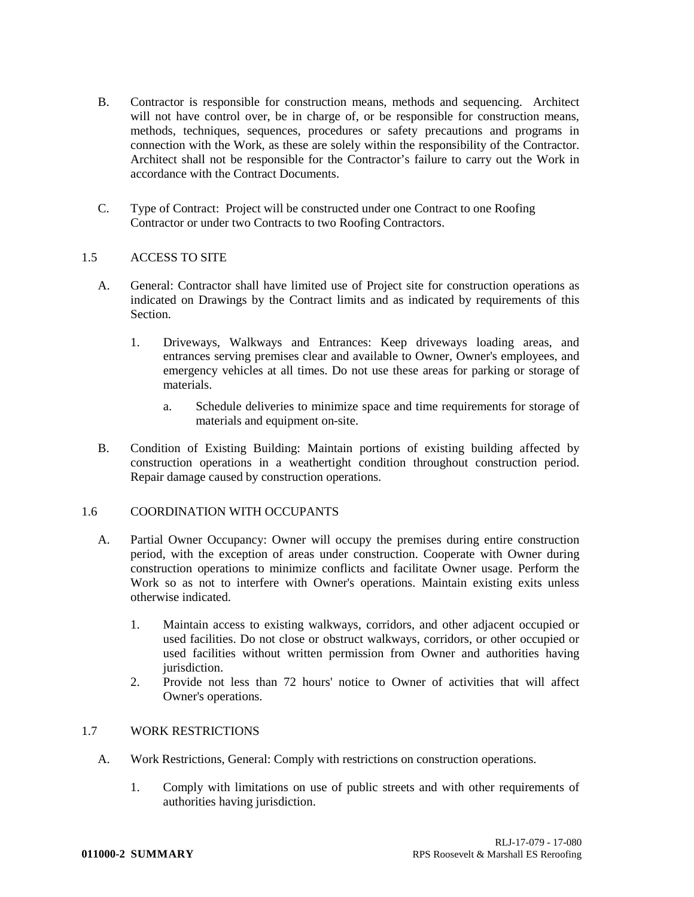- B. Contractor is responsible for construction means, methods and sequencing. Architect will not have control over, be in charge of, or be responsible for construction means, methods, techniques, sequences, procedures or safety precautions and programs in connection with the Work, as these are solely within the responsibility of the Contractor. Architect shall not be responsible for the Contractor's failure to carry out the Work in accordance with the Contract Documents.
- C. Type of Contract: Project will be constructed under one Contract to one Roofing Contractor or under two Contracts to two Roofing Contractors.

## 1.5 ACCESS TO SITE

- A. General: Contractor shall have limited use of Project site for construction operations as indicated on Drawings by the Contract limits and as indicated by requirements of this Section.
	- 1. Driveways, Walkways and Entrances: Keep driveways loading areas, and entrances serving premises clear and available to Owner, Owner's employees, and emergency vehicles at all times. Do not use these areas for parking or storage of materials.
		- a. Schedule deliveries to minimize space and time requirements for storage of materials and equipment on-site.
- B. Condition of Existing Building: Maintain portions of existing building affected by construction operations in a weathertight condition throughout construction period. Repair damage caused by construction operations.

## 1.6 COORDINATION WITH OCCUPANTS

- A. Partial Owner Occupancy: Owner will occupy the premises during entire construction period, with the exception of areas under construction. Cooperate with Owner during construction operations to minimize conflicts and facilitate Owner usage. Perform the Work so as not to interfere with Owner's operations. Maintain existing exits unless otherwise indicated.
	- 1. Maintain access to existing walkways, corridors, and other adjacent occupied or used facilities. Do not close or obstruct walkways, corridors, or other occupied or used facilities without written permission from Owner and authorities having jurisdiction.
	- 2. Provide not less than 72 hours' notice to Owner of activities that will affect Owner's operations.

## 1.7 WORK RESTRICTIONS

- A. Work Restrictions, General: Comply with restrictions on construction operations.
	- 1. Comply with limitations on use of public streets and with other requirements of authorities having jurisdiction.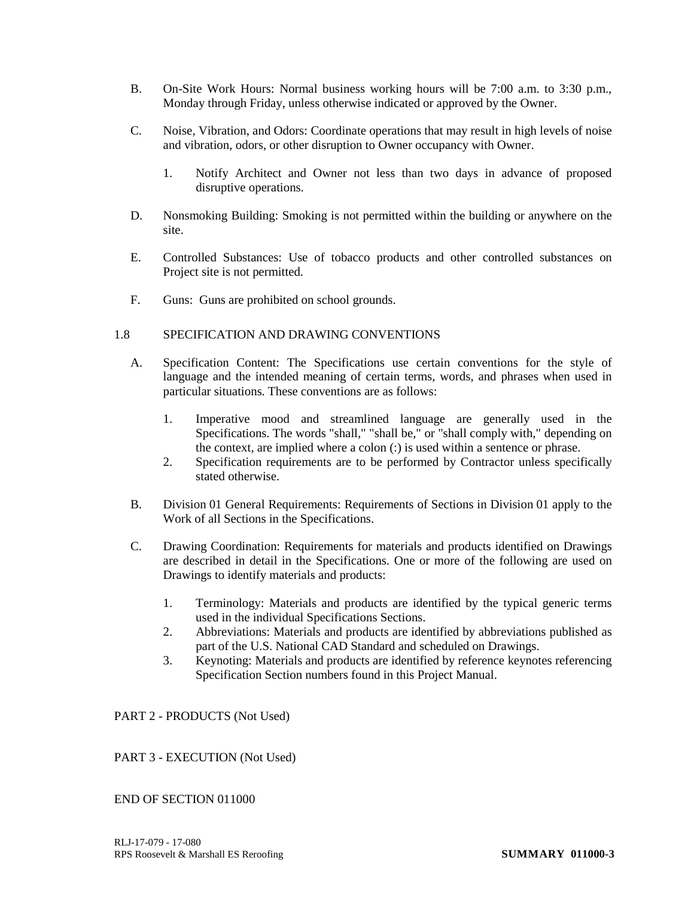- B. On-Site Work Hours: Normal business working hours will be 7:00 a.m. to 3:30 p.m., Monday through Friday, unless otherwise indicated or approved by the Owner.
- C. Noise, Vibration, and Odors: Coordinate operations that may result in high levels of noise and vibration, odors, or other disruption to Owner occupancy with Owner.
	- 1. Notify Architect and Owner not less than two days in advance of proposed disruptive operations.
- D. Nonsmoking Building: Smoking is not permitted within the building or anywhere on the site.
- E. Controlled Substances: Use of tobacco products and other controlled substances on Project site is not permitted.
- F. Guns: Guns are prohibited on school grounds.

## 1.8 SPECIFICATION AND DRAWING CONVENTIONS

- A. Specification Content: The Specifications use certain conventions for the style of language and the intended meaning of certain terms, words, and phrases when used in particular situations. These conventions are as follows:
	- 1. Imperative mood and streamlined language are generally used in the Specifications. The words "shall," "shall be," or "shall comply with," depending on the context, are implied where a colon (:) is used within a sentence or phrase.
	- 2. Specification requirements are to be performed by Contractor unless specifically stated otherwise.
- B. Division 01 General Requirements: Requirements of Sections in Division 01 apply to the Work of all Sections in the Specifications.
- C. Drawing Coordination: Requirements for materials and products identified on Drawings are described in detail in the Specifications. One or more of the following are used on Drawings to identify materials and products:
	- 1. Terminology: Materials and products are identified by the typical generic terms used in the individual Specifications Sections.
	- 2. Abbreviations: Materials and products are identified by abbreviations published as part of the U.S. National CAD Standard and scheduled on Drawings.
	- 3. Keynoting: Materials and products are identified by reference keynotes referencing Specification Section numbers found in this Project Manual.

## PART 2 - PRODUCTS (Not Used)

## PART 3 - EXECUTION (Not Used)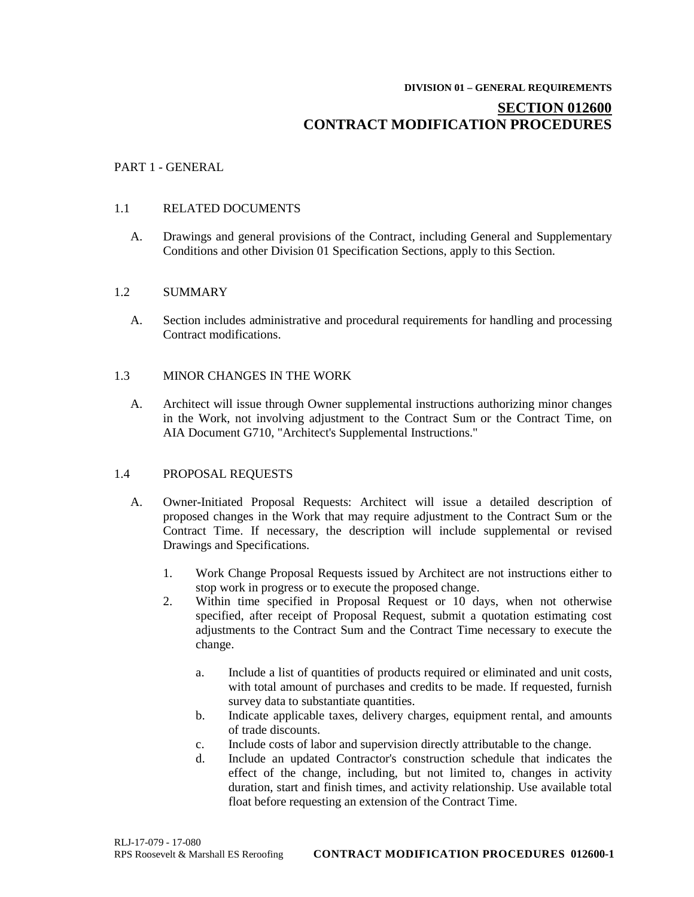#### **DIVISION 01 – GENERAL REQUIREMENTS**

# **SECTION 012600 CONTRACT MODIFICATION PROCEDURES**

## PART 1 - GENERAL

## 1.1 RELATED DOCUMENTS

A. Drawings and general provisions of the Contract, including General and Supplementary Conditions and other Division 01 Specification Sections, apply to this Section.

## 1.2 SUMMARY

A. Section includes administrative and procedural requirements for handling and processing Contract modifications.

# 1.3 MINOR CHANGES IN THE WORK

A. Architect will issue through Owner supplemental instructions authorizing minor changes in the Work, not involving adjustment to the Contract Sum or the Contract Time, on AIA Document G710, "Architect's Supplemental Instructions."

## 1.4 PROPOSAL REQUESTS

- A. Owner-Initiated Proposal Requests: Architect will issue a detailed description of proposed changes in the Work that may require adjustment to the Contract Sum or the Contract Time. If necessary, the description will include supplemental or revised Drawings and Specifications.
	- 1. Work Change Proposal Requests issued by Architect are not instructions either to stop work in progress or to execute the proposed change.
	- 2. Within time specified in Proposal Request or 10 days, when not otherwise specified, after receipt of Proposal Request, submit a quotation estimating cost adjustments to the Contract Sum and the Contract Time necessary to execute the change.
		- a. Include a list of quantities of products required or eliminated and unit costs, with total amount of purchases and credits to be made. If requested, furnish survey data to substantiate quantities.
		- b. Indicate applicable taxes, delivery charges, equipment rental, and amounts of trade discounts.
		- c. Include costs of labor and supervision directly attributable to the change.
		- d. Include an updated Contractor's construction schedule that indicates the effect of the change, including, but not limited to, changes in activity duration, start and finish times, and activity relationship. Use available total float before requesting an extension of the Contract Time.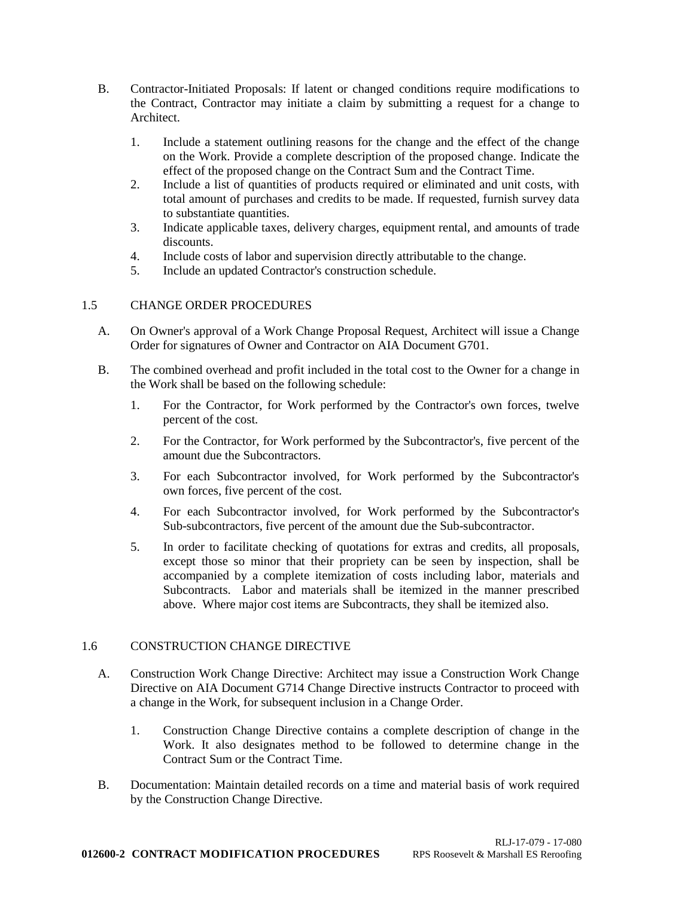- B. Contractor-Initiated Proposals: If latent or changed conditions require modifications to the Contract, Contractor may initiate a claim by submitting a request for a change to Architect.
	- 1. Include a statement outlining reasons for the change and the effect of the change on the Work. Provide a complete description of the proposed change. Indicate the effect of the proposed change on the Contract Sum and the Contract Time.
	- 2. Include a list of quantities of products required or eliminated and unit costs, with total amount of purchases and credits to be made. If requested, furnish survey data to substantiate quantities.
	- 3. Indicate applicable taxes, delivery charges, equipment rental, and amounts of trade discounts.
	- 4. Include costs of labor and supervision directly attributable to the change.
	- 5. Include an updated Contractor's construction schedule.

# 1.5 CHANGE ORDER PROCEDURES

- A. On Owner's approval of a Work Change Proposal Request, Architect will issue a Change Order for signatures of Owner and Contractor on AIA Document G701.
- B. The combined overhead and profit included in the total cost to the Owner for a change in the Work shall be based on the following schedule:
	- 1. For the Contractor, for Work performed by the Contractor's own forces, twelve percent of the cost.
	- 2. For the Contractor, for Work performed by the Subcontractor's, five percent of the amount due the Subcontractors.
	- 3. For each Subcontractor involved, for Work performed by the Subcontractor's own forces, five percent of the cost.
	- 4. For each Subcontractor involved, for Work performed by the Subcontractor's Sub-subcontractors, five percent of the amount due the Sub-subcontractor.
	- 5. In order to facilitate checking of quotations for extras and credits, all proposals, except those so minor that their propriety can be seen by inspection, shall be accompanied by a complete itemization of costs including labor, materials and Subcontracts. Labor and materials shall be itemized in the manner prescribed above. Where major cost items are Subcontracts, they shall be itemized also.

## 1.6 CONSTRUCTION CHANGE DIRECTIVE

- A. Construction Work Change Directive: Architect may issue a Construction Work Change Directive on AIA Document G714 Change Directive instructs Contractor to proceed with a change in the Work, for subsequent inclusion in a Change Order.
	- 1. Construction Change Directive contains a complete description of change in the Work. It also designates method to be followed to determine change in the Contract Sum or the Contract Time.
- B. Documentation: Maintain detailed records on a time and material basis of work required by the Construction Change Directive.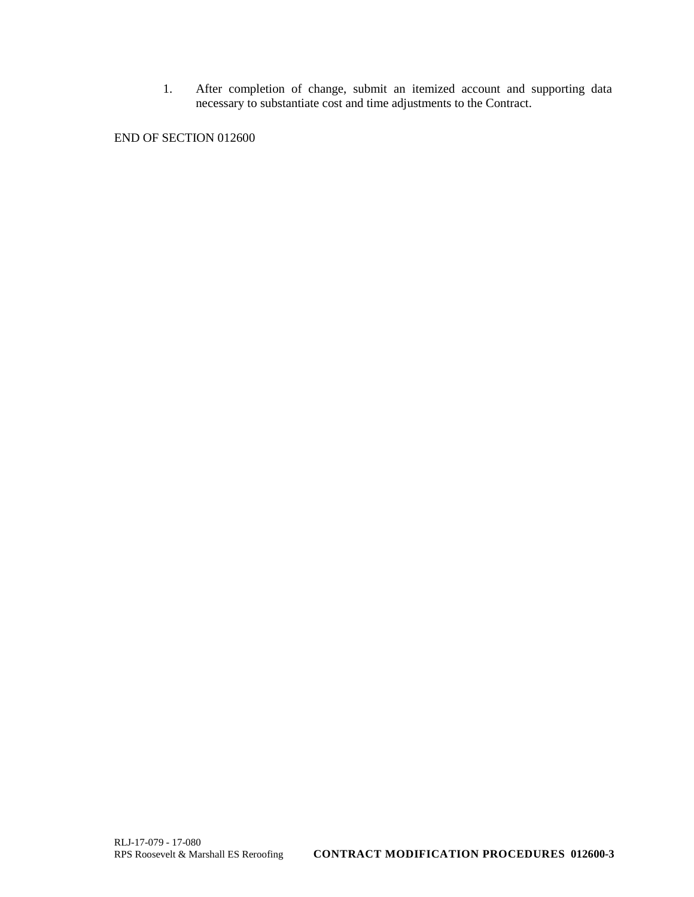1. After completion of change, submit an itemized account and supporting data necessary to substantiate cost and time adjustments to the Contract.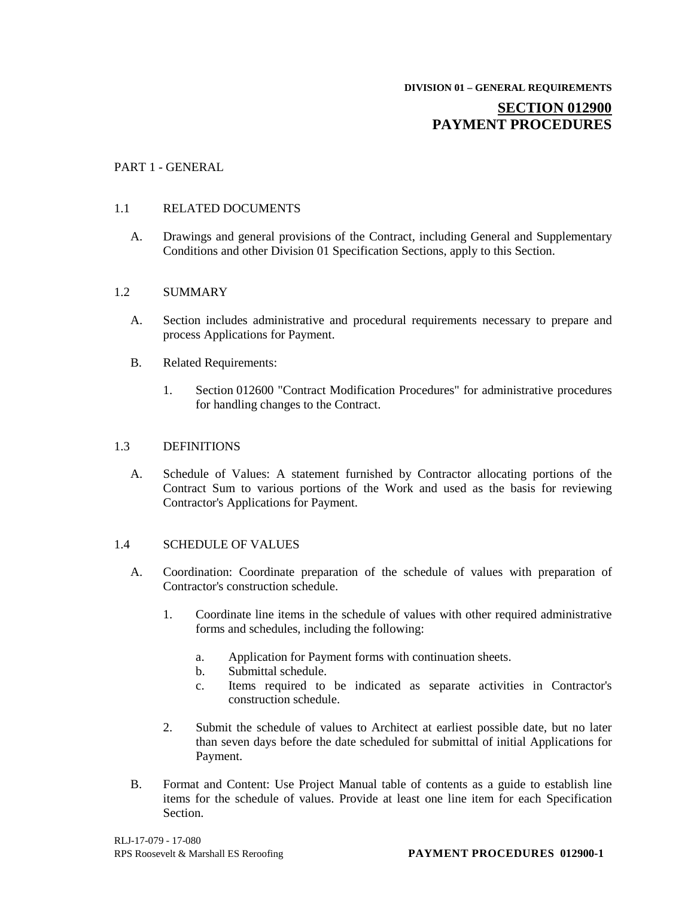# **SECTION 012900 PAYMENT PROCEDURES**

## PART 1 - GENERAL

### 1.1 RELATED DOCUMENTS

A. Drawings and general provisions of the Contract, including General and Supplementary Conditions and other Division 01 Specification Sections, apply to this Section.

### 1.2 SUMMARY

- A. Section includes administrative and procedural requirements necessary to prepare and process Applications for Payment.
- B. Related Requirements:
	- 1. Section 012600 "Contract Modification Procedures" for administrative procedures for handling changes to the Contract.

### 1.3 DEFINITIONS

A. Schedule of Values: A statement furnished by Contractor allocating portions of the Contract Sum to various portions of the Work and used as the basis for reviewing Contractor's Applications for Payment.

### 1.4 SCHEDULE OF VALUES

- A. Coordination: Coordinate preparation of the schedule of values with preparation of Contractor's construction schedule.
	- 1. Coordinate line items in the schedule of values with other required administrative forms and schedules, including the following:
		- a. Application for Payment forms with continuation sheets.
		- b. Submittal schedule.
		- c. Items required to be indicated as separate activities in Contractor's construction schedule.
	- 2. Submit the schedule of values to Architect at earliest possible date, but no later than seven days before the date scheduled for submittal of initial Applications for Payment.
- B. Format and Content: Use Project Manual table of contents as a guide to establish line items for the schedule of values. Provide at least one line item for each Specification Section.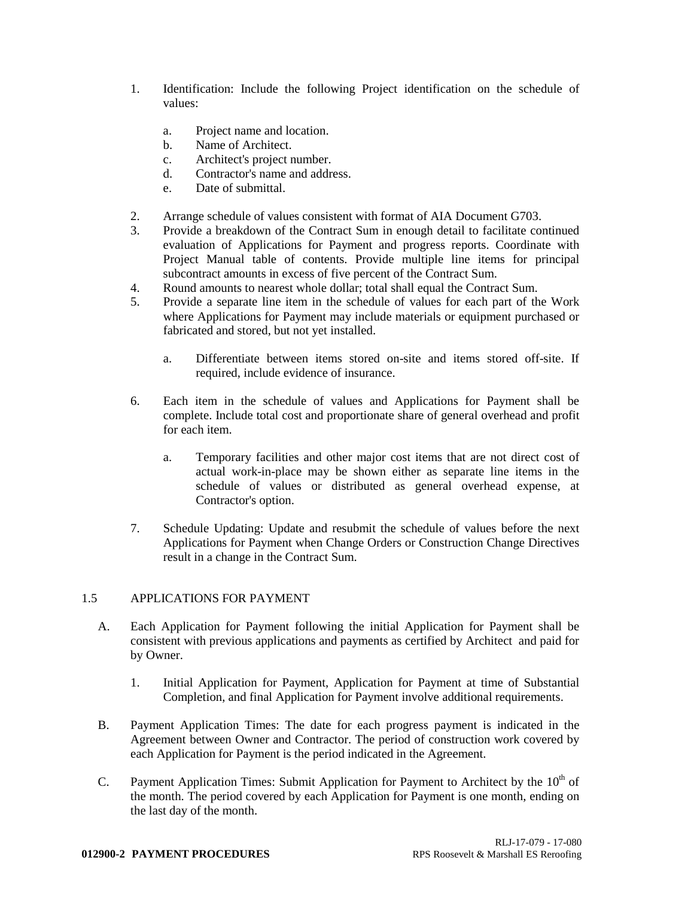- 1. Identification: Include the following Project identification on the schedule of values:
	- a. Project name and location.
	- b. Name of Architect.
	- c. Architect's project number.
	- d. Contractor's name and address.
	- e. Date of submittal.
- 2. Arrange schedule of values consistent with format of AIA Document G703.
- 3. Provide a breakdown of the Contract Sum in enough detail to facilitate continued evaluation of Applications for Payment and progress reports. Coordinate with Project Manual table of contents. Provide multiple line items for principal subcontract amounts in excess of five percent of the Contract Sum.
- 4. Round amounts to nearest whole dollar; total shall equal the Contract Sum.
- 5. Provide a separate line item in the schedule of values for each part of the Work where Applications for Payment may include materials or equipment purchased or fabricated and stored, but not yet installed.
	- a. Differentiate between items stored on-site and items stored off-site. If required, include evidence of insurance.
- 6. Each item in the schedule of values and Applications for Payment shall be complete. Include total cost and proportionate share of general overhead and profit for each item.
	- a. Temporary facilities and other major cost items that are not direct cost of actual work-in-place may be shown either as separate line items in the schedule of values or distributed as general overhead expense, at Contractor's option.
- 7. Schedule Updating: Update and resubmit the schedule of values before the next Applications for Payment when Change Orders or Construction Change Directives result in a change in the Contract Sum.

## 1.5 APPLICATIONS FOR PAYMENT

- A. Each Application for Payment following the initial Application for Payment shall be consistent with previous applications and payments as certified by Architect and paid for by Owner.
	- 1. Initial Application for Payment, Application for Payment at time of Substantial Completion, and final Application for Payment involve additional requirements.
- B. Payment Application Times: The date for each progress payment is indicated in the Agreement between Owner and Contractor. The period of construction work covered by each Application for Payment is the period indicated in the Agreement.
- C. Payment Application Times: Submit Application for Payment to Architect by the  $10<sup>th</sup>$  of the month. The period covered by each Application for Payment is one month, ending on the last day of the month.

### **012900-2 PAYMENT PROCEDURES** RPS Roosevelt & Marshall ES Reroofing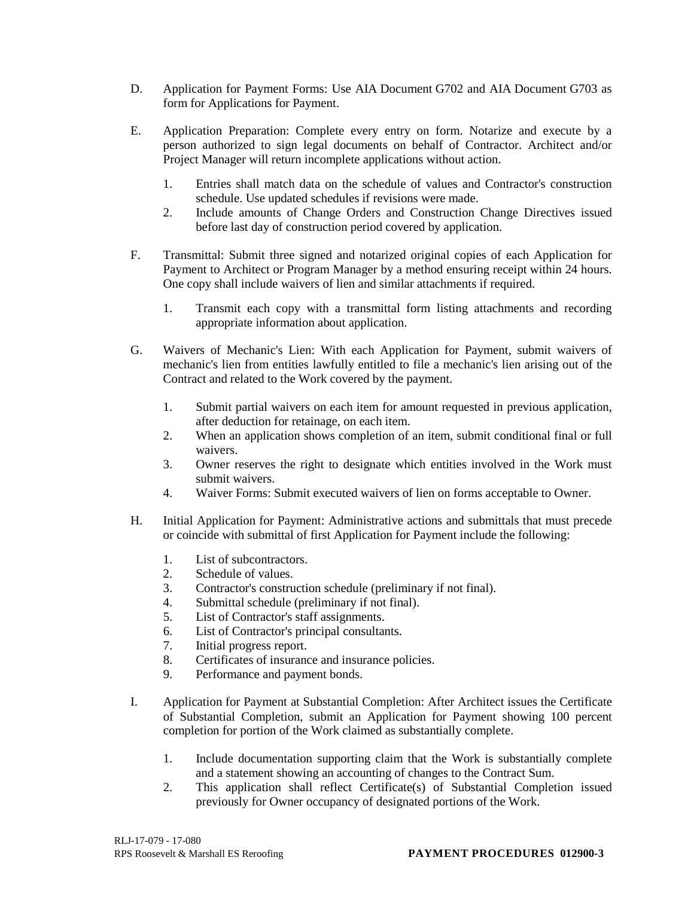- D. Application for Payment Forms: Use AIA Document G702 and AIA Document G703 as form for Applications for Payment.
- E. Application Preparation: Complete every entry on form. Notarize and execute by a person authorized to sign legal documents on behalf of Contractor. Architect and/or Project Manager will return incomplete applications without action.
	- 1. Entries shall match data on the schedule of values and Contractor's construction schedule. Use updated schedules if revisions were made.
	- 2. Include amounts of Change Orders and Construction Change Directives issued before last day of construction period covered by application.
- F. Transmittal: Submit three signed and notarized original copies of each Application for Payment to Architect or Program Manager by a method ensuring receipt within 24 hours. One copy shall include waivers of lien and similar attachments if required.
	- 1. Transmit each copy with a transmittal form listing attachments and recording appropriate information about application.
- G. Waivers of Mechanic's Lien: With each Application for Payment, submit waivers of mechanic's lien from entities lawfully entitled to file a mechanic's lien arising out of the Contract and related to the Work covered by the payment.
	- 1. Submit partial waivers on each item for amount requested in previous application, after deduction for retainage, on each item.
	- 2. When an application shows completion of an item, submit conditional final or full waivers.
	- 3. Owner reserves the right to designate which entities involved in the Work must submit waivers.
	- 4. Waiver Forms: Submit executed waivers of lien on forms acceptable to Owner.
- H. Initial Application for Payment: Administrative actions and submittals that must precede or coincide with submittal of first Application for Payment include the following:
	- 1. List of subcontractors.
	- 2. Schedule of values.
	- 3. Contractor's construction schedule (preliminary if not final).
	- 4. Submittal schedule (preliminary if not final).
	- 5. List of Contractor's staff assignments.
	- 6. List of Contractor's principal consultants.
	- 7. Initial progress report.
	- 8. Certificates of insurance and insurance policies.
	- 9. Performance and payment bonds.
- I. Application for Payment at Substantial Completion: After Architect issues the Certificate of Substantial Completion, submit an Application for Payment showing 100 percent completion for portion of the Work claimed as substantially complete.
	- 1. Include documentation supporting claim that the Work is substantially complete and a statement showing an accounting of changes to the Contract Sum.
	- 2. This application shall reflect Certificate(s) of Substantial Completion issued previously for Owner occupancy of designated portions of the Work.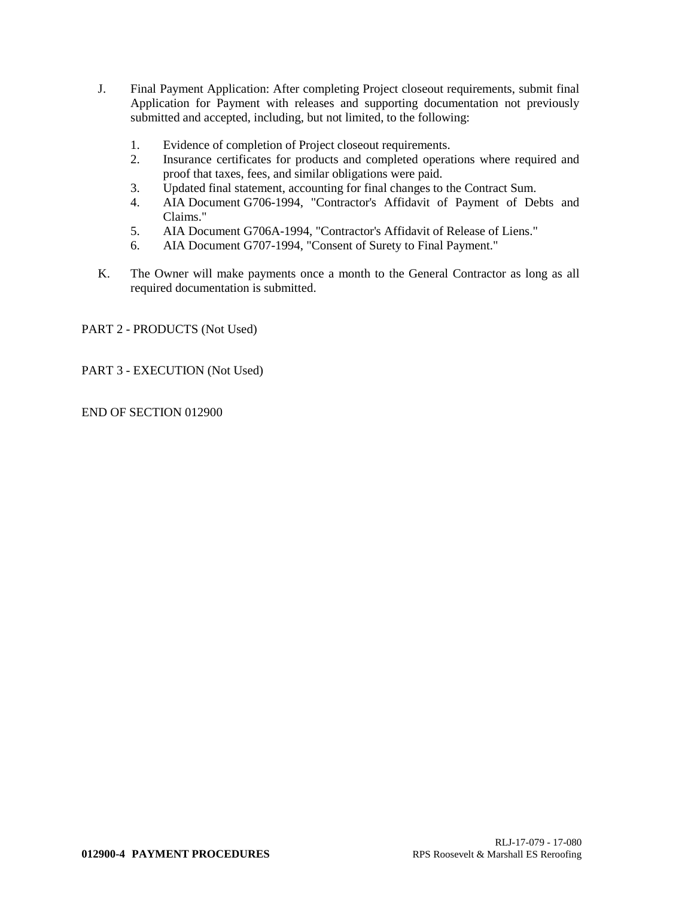- J. Final Payment Application: After completing Project closeout requirements, submit final Application for Payment with releases and supporting documentation not previously submitted and accepted, including, but not limited, to the following:
	- 1. Evidence of completion of Project closeout requirements.
	- 2. Insurance certificates for products and completed operations where required and proof that taxes, fees, and similar obligations were paid.
	- 3. Updated final statement, accounting for final changes to the Contract Sum.
	- 4. AIA Document G706-1994, "Contractor's Affidavit of Payment of Debts and Claims."
	- 5. AIA Document G706A-1994, "Contractor's Affidavit of Release of Liens."
	- 6. AIA Document G707-1994, "Consent of Surety to Final Payment."
- K. The Owner will make payments once a month to the General Contractor as long as all required documentation is submitted.

PART 2 - PRODUCTS (Not Used)

PART 3 - EXECUTION (Not Used)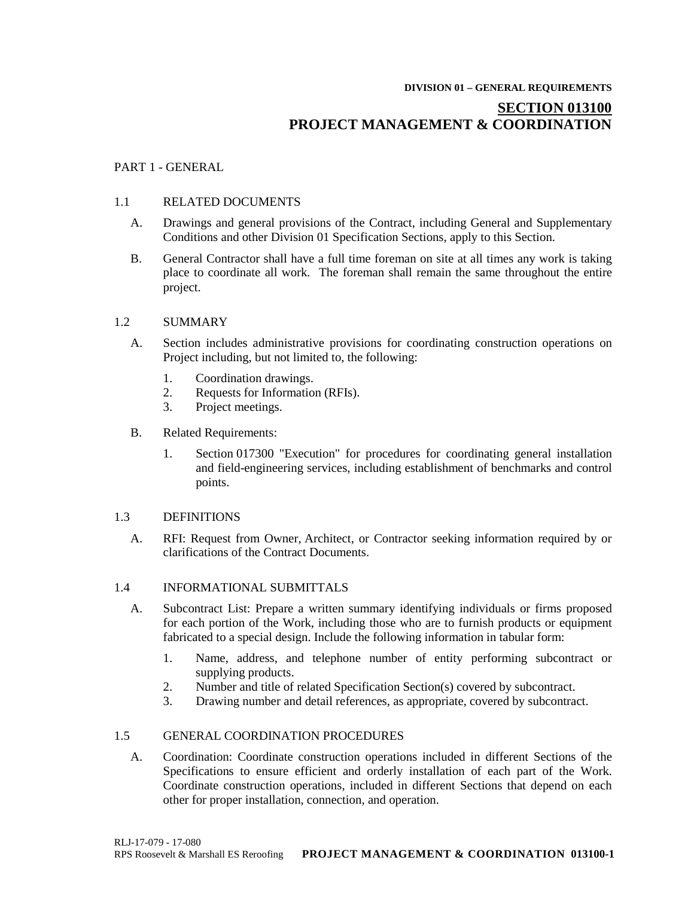#### **DIVISION 01 – GENERAL REQUIREMENTS**

# **SECTION 013100 PROJECT MANAGEMENT & COORDINATION**

## PART 1 - GENERAL

### 1.1 RELATED DOCUMENTS

- A. Drawings and general provisions of the Contract, including General and Supplementary Conditions and other Division 01 Specification Sections, apply to this Section.
- B. General Contractor shall have a full time foreman on site at all times any work is taking place to coordinate all work. The foreman shall remain the same throughout the entire project.

### 1.2 SUMMARY

- A. Section includes administrative provisions for coordinating construction operations on Project including, but not limited to, the following:
	- 1. Coordination drawings.
	- 2. Requests for Information (RFIs).
	- 3. Project meetings.
- B. Related Requirements:
	- 1. Section 017300 "Execution" for procedures for coordinating general installation and field-engineering services, including establishment of benchmarks and control points.

### 1.3 DEFINITIONS

A. RFI: Request from Owner, Architect, or Contractor seeking information required by or clarifications of the Contract Documents.

### 1.4 INFORMATIONAL SUBMITTALS

- A. Subcontract List: Prepare a written summary identifying individuals or firms proposed for each portion of the Work, including those who are to furnish products or equipment fabricated to a special design. Include the following information in tabular form:
	- 1. Name, address, and telephone number of entity performing subcontract or supplying products.
	- 2. Number and title of related Specification Section(s) covered by subcontract.
	- 3. Drawing number and detail references, as appropriate, covered by subcontract.

## 1.5 GENERAL COORDINATION PROCEDURES

A. Coordination: Coordinate construction operations included in different Sections of the Specifications to ensure efficient and orderly installation of each part of the Work. Coordinate construction operations, included in different Sections that depend on each other for proper installation, connection, and operation.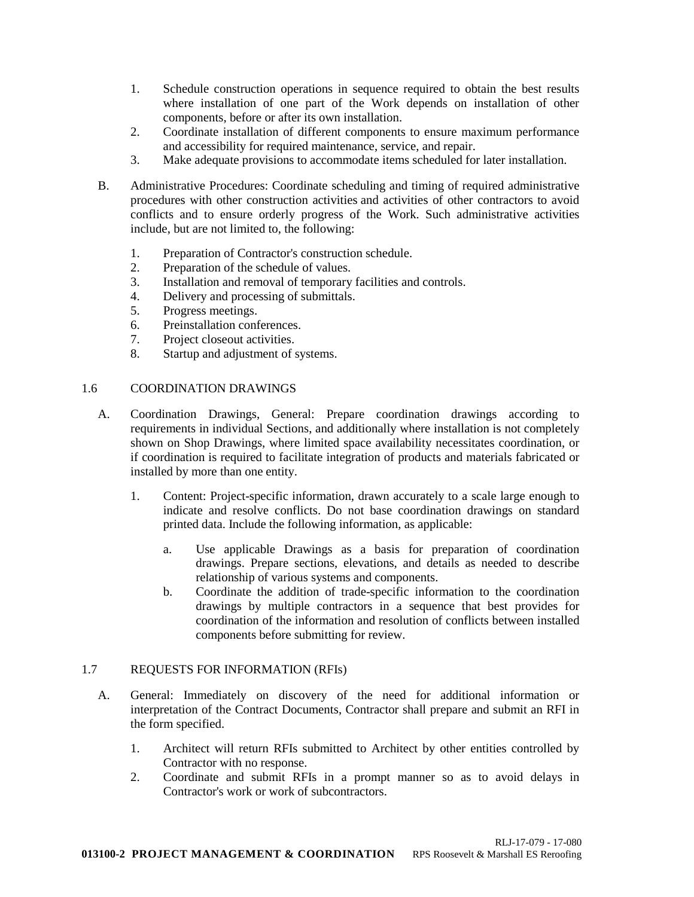- 1. Schedule construction operations in sequence required to obtain the best results where installation of one part of the Work depends on installation of other components, before or after its own installation.
- 2. Coordinate installation of different components to ensure maximum performance and accessibility for required maintenance, service, and repair.
- 3. Make adequate provisions to accommodate items scheduled for later installation.
- B. Administrative Procedures: Coordinate scheduling and timing of required administrative procedures with other construction activities and activities of other contractors to avoid conflicts and to ensure orderly progress of the Work. Such administrative activities include, but are not limited to, the following:
	- 1. Preparation of Contractor's construction schedule.
	- 2. Preparation of the schedule of values.
	- 3. Installation and removal of temporary facilities and controls.
	- 4. Delivery and processing of submittals.
	- 5. Progress meetings.
	- 6. Preinstallation conferences.
	- 7. Project closeout activities.
	- 8. Startup and adjustment of systems.

## 1.6 COORDINATION DRAWINGS

- A. Coordination Drawings, General: Prepare coordination drawings according to requirements in individual Sections, and additionally where installation is not completely shown on Shop Drawings, where limited space availability necessitates coordination, or if coordination is required to facilitate integration of products and materials fabricated or installed by more than one entity.
	- 1. Content: Project-specific information, drawn accurately to a scale large enough to indicate and resolve conflicts. Do not base coordination drawings on standard printed data. Include the following information, as applicable:
		- a. Use applicable Drawings as a basis for preparation of coordination drawings. Prepare sections, elevations, and details as needed to describe relationship of various systems and components.
		- b. Coordinate the addition of trade-specific information to the coordination drawings by multiple contractors in a sequence that best provides for coordination of the information and resolution of conflicts between installed components before submitting for review.

## 1.7 REQUESTS FOR INFORMATION (RFIs)

- A. General: Immediately on discovery of the need for additional information or interpretation of the Contract Documents, Contractor shall prepare and submit an RFI in the form specified.
	- 1. Architect will return RFIs submitted to Architect by other entities controlled by Contractor with no response.
	- 2. Coordinate and submit RFIs in a prompt manner so as to avoid delays in Contractor's work or work of subcontractors.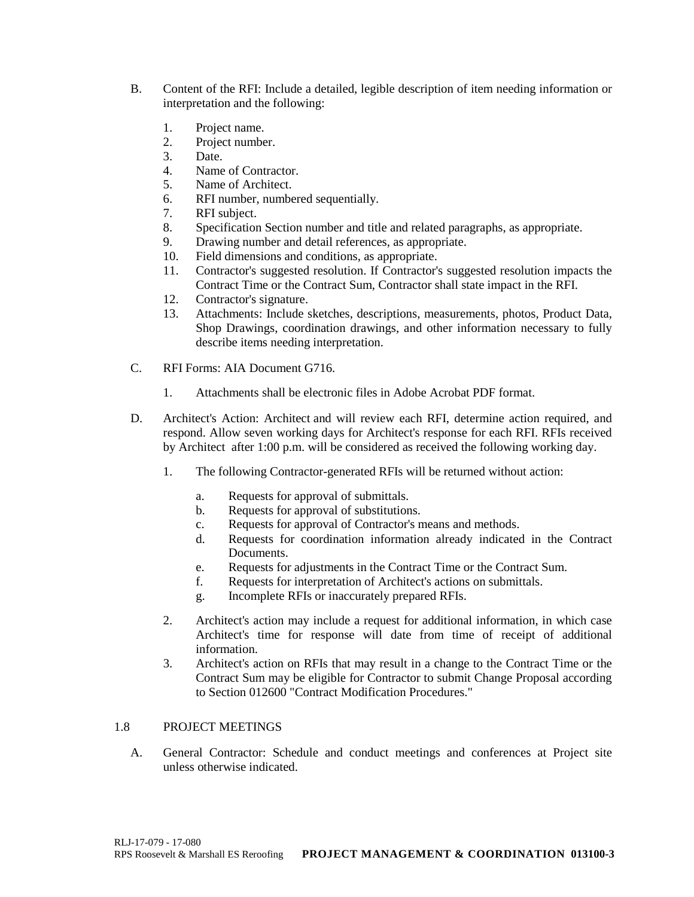- B. Content of the RFI: Include a detailed, legible description of item needing information or interpretation and the following:
	- 1. Project name.
	- 2. Project number.
	- 3. Date.
	- 4. Name of Contractor.
	- 5. Name of Architect.
	- 6. RFI number, numbered sequentially.
	- 7. RFI subject.
	- 8. Specification Section number and title and related paragraphs, as appropriate.
	- 9. Drawing number and detail references, as appropriate.
	- 10. Field dimensions and conditions, as appropriate.
	- 11. Contractor's suggested resolution. If Contractor's suggested resolution impacts the Contract Time or the Contract Sum, Contractor shall state impact in the RFI.
	- 12. Contractor's signature.
	- 13. Attachments: Include sketches, descriptions, measurements, photos, Product Data, Shop Drawings, coordination drawings, and other information necessary to fully describe items needing interpretation.
- C. RFI Forms: AIA Document G716.
	- 1. Attachments shall be electronic files in Adobe Acrobat PDF format.
- D. Architect's Action: Architect and will review each RFI, determine action required, and respond. Allow seven working days for Architect's response for each RFI. RFIs received by Architect after 1:00 p.m. will be considered as received the following working day.
	- 1. The following Contractor-generated RFIs will be returned without action:
		- a. Requests for approval of submittals.
		- b. Requests for approval of substitutions.
		- c. Requests for approval of Contractor's means and methods.
		- d. Requests for coordination information already indicated in the Contract Documents.
		- e. Requests for adjustments in the Contract Time or the Contract Sum.
		- f. Requests for interpretation of Architect's actions on submittals.
		- g. Incomplete RFIs or inaccurately prepared RFIs.
	- 2. Architect's action may include a request for additional information, in which case Architect's time for response will date from time of receipt of additional information.
	- 3. Architect's action on RFIs that may result in a change to the Contract Time or the Contract Sum may be eligible for Contractor to submit Change Proposal according to Section 012600 "Contract Modification Procedures."

## 1.8 PROJECT MEETINGS

A. General Contractor: Schedule and conduct meetings and conferences at Project site unless otherwise indicated.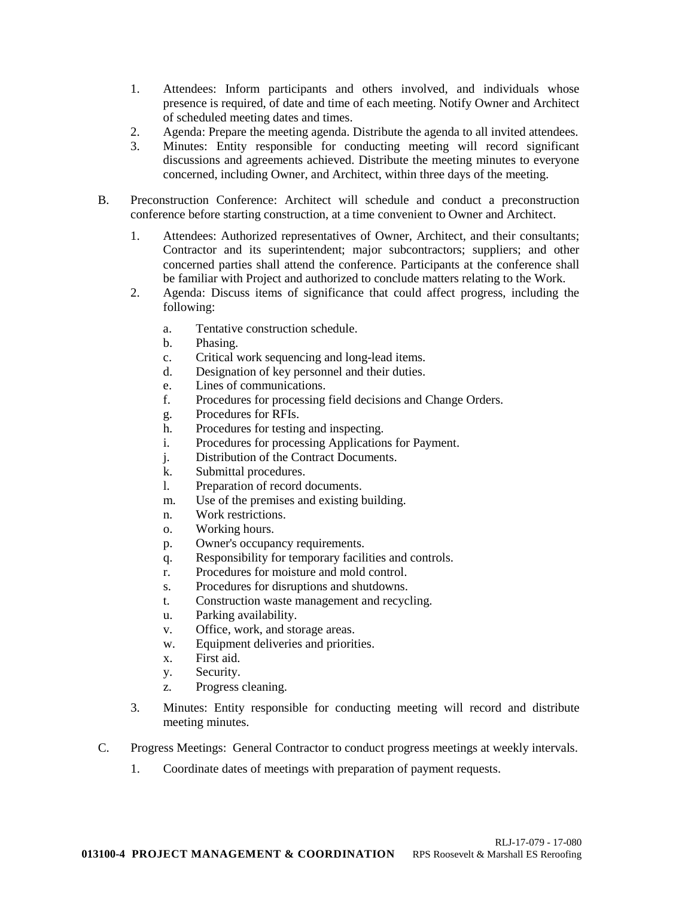- 1. Attendees: Inform participants and others involved, and individuals whose presence is required, of date and time of each meeting. Notify Owner and Architect of scheduled meeting dates and times.
- 2. Agenda: Prepare the meeting agenda. Distribute the agenda to all invited attendees.
- 3. Minutes: Entity responsible for conducting meeting will record significant discussions and agreements achieved. Distribute the meeting minutes to everyone concerned, including Owner, and Architect, within three days of the meeting.
- B. Preconstruction Conference: Architect will schedule and conduct a preconstruction conference before starting construction, at a time convenient to Owner and Architect.
	- 1. Attendees: Authorized representatives of Owner, Architect, and their consultants; Contractor and its superintendent; major subcontractors; suppliers; and other concerned parties shall attend the conference. Participants at the conference shall be familiar with Project and authorized to conclude matters relating to the Work.
	- 2. Agenda: Discuss items of significance that could affect progress, including the following:
		- a. Tentative construction schedule.
		- b. Phasing.
		- c. Critical work sequencing and long-lead items.
		- d. Designation of key personnel and their duties.
		- e. Lines of communications.
		- f. Procedures for processing field decisions and Change Orders.
		- g. Procedures for RFIs.
		- h. Procedures for testing and inspecting.
		- i. Procedures for processing Applications for Payment.
		- j. Distribution of the Contract Documents.
		- k. Submittal procedures.
		- l. Preparation of record documents.
		- m. Use of the premises and existing building.
		- n. Work restrictions.
		- o. Working hours.
		- p. Owner's occupancy requirements.
		- q. Responsibility for temporary facilities and controls.
		- r. Procedures for moisture and mold control.
		- s. Procedures for disruptions and shutdowns.
		- t. Construction waste management and recycling.
		- u. Parking availability.
		- v. Office, work, and storage areas.
		- w. Equipment deliveries and priorities.
		- x. First aid.
		- y. Security.
		- z. Progress cleaning.
	- 3. Minutes: Entity responsible for conducting meeting will record and distribute meeting minutes.
- C. Progress Meetings: General Contractor to conduct progress meetings at weekly intervals.
	- 1. Coordinate dates of meetings with preparation of payment requests.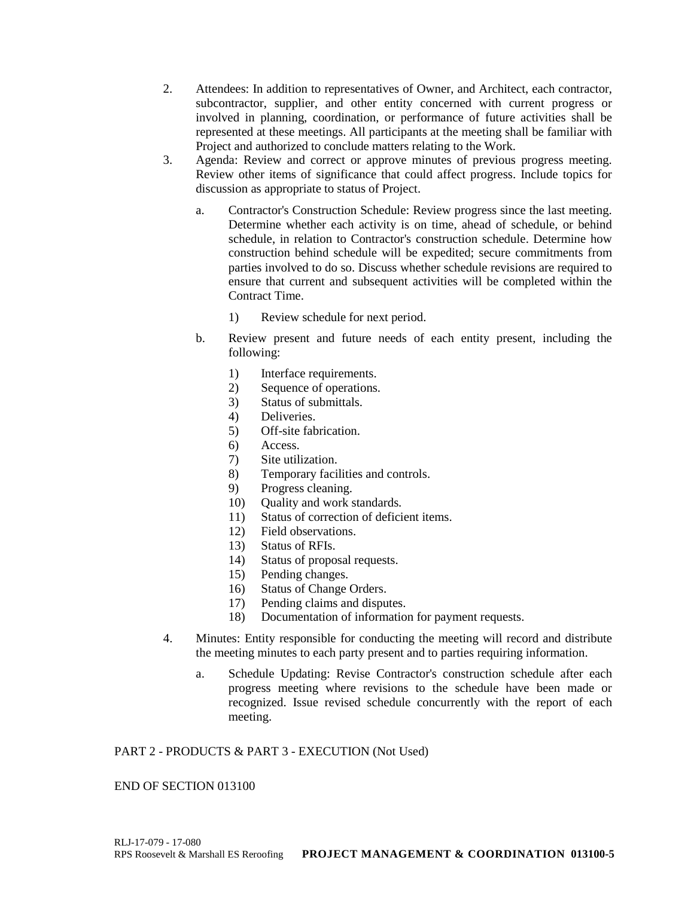- 2. Attendees: In addition to representatives of Owner, and Architect, each contractor, subcontractor, supplier, and other entity concerned with current progress or involved in planning, coordination, or performance of future activities shall be represented at these meetings. All participants at the meeting shall be familiar with Project and authorized to conclude matters relating to the Work.
- 3. Agenda: Review and correct or approve minutes of previous progress meeting. Review other items of significance that could affect progress. Include topics for discussion as appropriate to status of Project.
	- a. Contractor's Construction Schedule: Review progress since the last meeting. Determine whether each activity is on time, ahead of schedule, or behind schedule, in relation to Contractor's construction schedule. Determine how construction behind schedule will be expedited; secure commitments from parties involved to do so. Discuss whether schedule revisions are required to ensure that current and subsequent activities will be completed within the Contract Time.
		- 1) Review schedule for next period.
	- b. Review present and future needs of each entity present, including the following:
		- 1) Interface requirements.
		- 2) Sequence of operations.
		- 3) Status of submittals.
		- 4) Deliveries.
		- 5) Off-site fabrication.
		- 6) Access.
		- 7) Site utilization.
		- 8) Temporary facilities and controls.
		- 9) Progress cleaning.
		- 10) Quality and work standards.
		- 11) Status of correction of deficient items.
		- 12) Field observations.
		- 13) Status of RFIs.
		- 14) Status of proposal requests.
		- 15) Pending changes.
		- 16) Status of Change Orders.
		- 17) Pending claims and disputes.
		- 18) Documentation of information for payment requests.
- 4. Minutes: Entity responsible for conducting the meeting will record and distribute the meeting minutes to each party present and to parties requiring information.
	- a. Schedule Updating: Revise Contractor's construction schedule after each progress meeting where revisions to the schedule have been made or recognized. Issue revised schedule concurrently with the report of each meeting.

## PART 2 - PRODUCTS & PART 3 - EXECUTION (Not Used)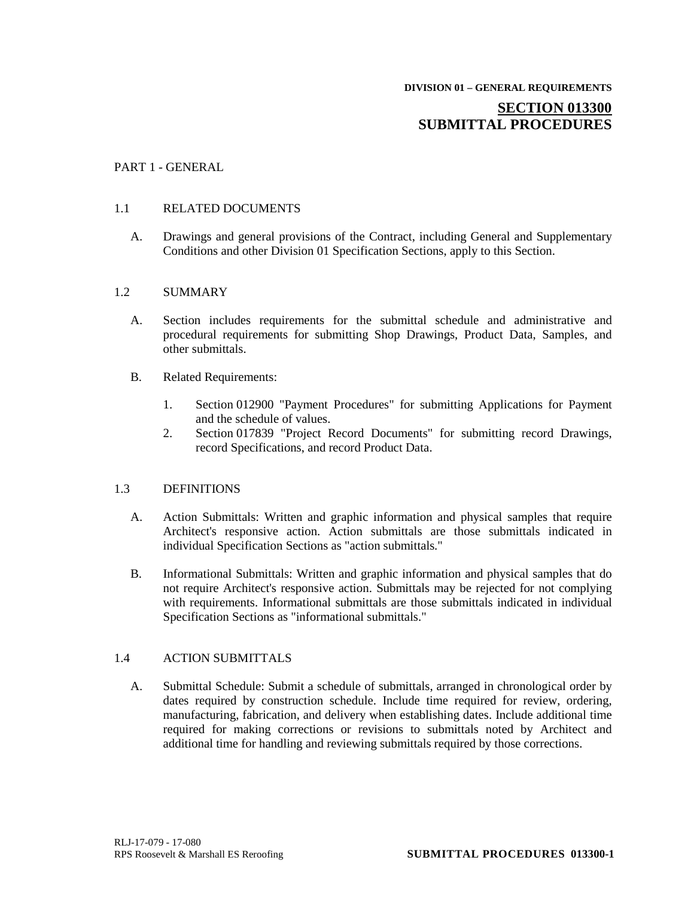# **SECTION 013300 SUBMITTAL PROCEDURES**

## PART 1 - GENERAL

## 1.1 RELATED DOCUMENTS

A. Drawings and general provisions of the Contract, including General and Supplementary Conditions and other Division 01 Specification Sections, apply to this Section.

## 1.2 SUMMARY

- A. Section includes requirements for the submittal schedule and administrative and procedural requirements for submitting Shop Drawings, Product Data, Samples, and other submittals.
- B. Related Requirements:
	- 1. Section 012900 "Payment Procedures" for submitting Applications for Payment and the schedule of values.
	- 2. Section 017839 "Project Record Documents" for submitting record Drawings, record Specifications, and record Product Data.

## 1.3 DEFINITIONS

- A. Action Submittals: Written and graphic information and physical samples that require Architect's responsive action. Action submittals are those submittals indicated in individual Specification Sections as "action submittals."
- B. Informational Submittals: Written and graphic information and physical samples that do not require Architect's responsive action. Submittals may be rejected for not complying with requirements. Informational submittals are those submittals indicated in individual Specification Sections as "informational submittals."

## 1.4 ACTION SUBMITTALS

A. Submittal Schedule: Submit a schedule of submittals, arranged in chronological order by dates required by construction schedule. Include time required for review, ordering, manufacturing, fabrication, and delivery when establishing dates. Include additional time required for making corrections or revisions to submittals noted by Architect and additional time for handling and reviewing submittals required by those corrections.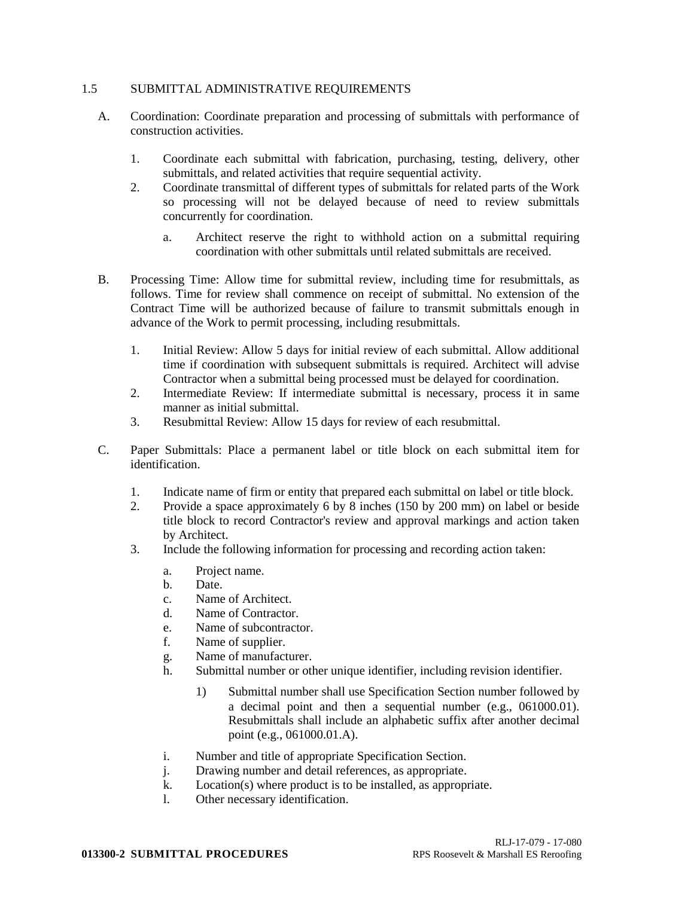## 1.5 SUBMITTAL ADMINISTRATIVE REQUIREMENTS

- A. Coordination: Coordinate preparation and processing of submittals with performance of construction activities.
	- 1. Coordinate each submittal with fabrication, purchasing, testing, delivery, other submittals, and related activities that require sequential activity.
	- 2. Coordinate transmittal of different types of submittals for related parts of the Work so processing will not be delayed because of need to review submittals concurrently for coordination.
		- a. Architect reserve the right to withhold action on a submittal requiring coordination with other submittals until related submittals are received.
- B. Processing Time: Allow time for submittal review, including time for resubmittals, as follows. Time for review shall commence on receipt of submittal. No extension of the Contract Time will be authorized because of failure to transmit submittals enough in advance of the Work to permit processing, including resubmittals.
	- 1. Initial Review: Allow 5 days for initial review of each submittal. Allow additional time if coordination with subsequent submittals is required. Architect will advise Contractor when a submittal being processed must be delayed for coordination.
	- 2. Intermediate Review: If intermediate submittal is necessary, process it in same manner as initial submittal.
	- 3. Resubmittal Review: Allow 15 days for review of each resubmittal.
- C. Paper Submittals: Place a permanent label or title block on each submittal item for identification.
	- 1. Indicate name of firm or entity that prepared each submittal on label or title block.
	- 2. Provide a space approximately 6 by 8 inches (150 by 200 mm) on label or beside title block to record Contractor's review and approval markings and action taken by Architect.
	- 3. Include the following information for processing and recording action taken:
		- a. Project name.
		- b. Date.
		- c. Name of Architect.
		- d. Name of Contractor.
		- e. Name of subcontractor.
		- f. Name of supplier.
		- g. Name of manufacturer.
		- h. Submittal number or other unique identifier, including revision identifier.
			- 1) Submittal number shall use Specification Section number followed by a decimal point and then a sequential number (e.g., 061000.01). Resubmittals shall include an alphabetic suffix after another decimal point (e.g., 061000.01.A).
		- i. Number and title of appropriate Specification Section.
		- j. Drawing number and detail references, as appropriate.
		- k. Location(s) where product is to be installed, as appropriate.
		- l. Other necessary identification.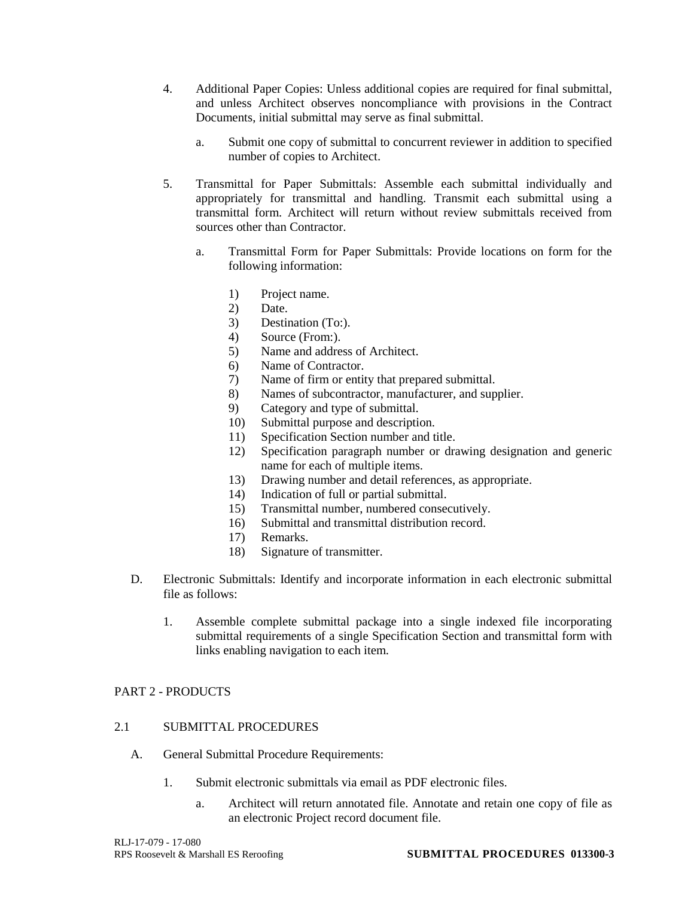- 4. Additional Paper Copies: Unless additional copies are required for final submittal, and unless Architect observes noncompliance with provisions in the Contract Documents, initial submittal may serve as final submittal.
	- a. Submit one copy of submittal to concurrent reviewer in addition to specified number of copies to Architect.
- 5. Transmittal for Paper Submittals: Assemble each submittal individually and appropriately for transmittal and handling. Transmit each submittal using a transmittal form. Architect will return without review submittals received from sources other than Contractor.
	- a. Transmittal Form for Paper Submittals: Provide locations on form for the following information:
		- 1) Project name.
		- 2) Date.
		- 3) Destination (To:).
		- 4) Source (From:).
		- 5) Name and address of Architect.
		- 6) Name of Contractor.
		- 7) Name of firm or entity that prepared submittal.
		- 8) Names of subcontractor, manufacturer, and supplier.
		- 9) Category and type of submittal.
		- 10) Submittal purpose and description.
		- 11) Specification Section number and title.
		- 12) Specification paragraph number or drawing designation and generic name for each of multiple items.
		- 13) Drawing number and detail references, as appropriate.
		- 14) Indication of full or partial submittal.
		- 15) Transmittal number, numbered consecutively.
		- 16) Submittal and transmittal distribution record.
		- 17) Remarks.
		- 18) Signature of transmitter.
- D. Electronic Submittals: Identify and incorporate information in each electronic submittal file as follows:
	- 1. Assemble complete submittal package into a single indexed file incorporating submittal requirements of a single Specification Section and transmittal form with links enabling navigation to each item.

## PART 2 - PRODUCTS

## 2.1 SUBMITTAL PROCEDURES

- A. General Submittal Procedure Requirements:
	- 1. Submit electronic submittals via email as PDF electronic files.
		- a. Architect will return annotated file. Annotate and retain one copy of file as an electronic Project record document file.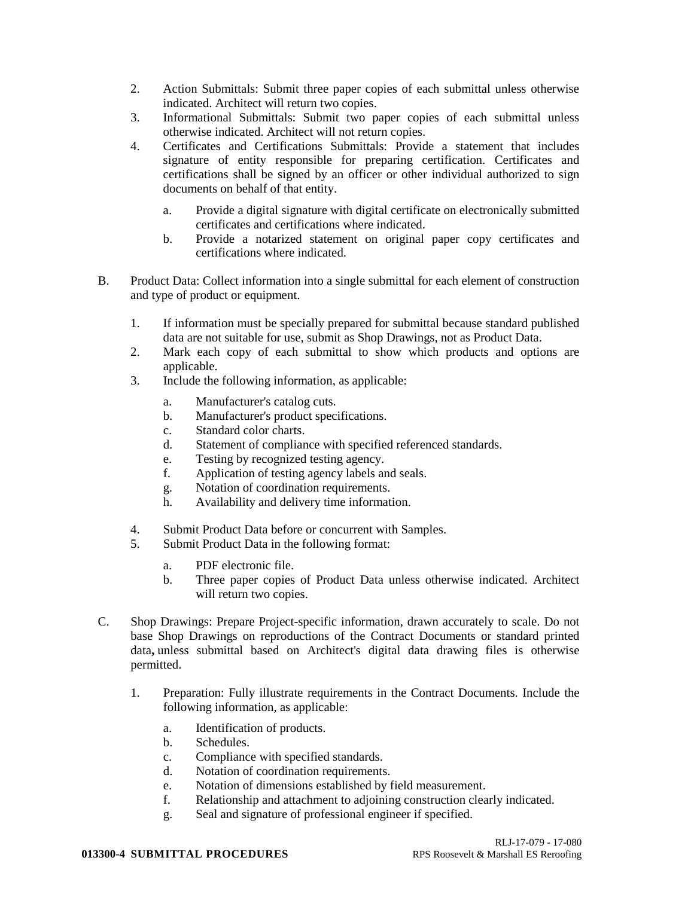- 2. Action Submittals: Submit three paper copies of each submittal unless otherwise indicated. Architect will return two copies.
- 3. Informational Submittals: Submit two paper copies of each submittal unless otherwise indicated. Architect will not return copies.
- 4. Certificates and Certifications Submittals: Provide a statement that includes signature of entity responsible for preparing certification. Certificates and certifications shall be signed by an officer or other individual authorized to sign documents on behalf of that entity.
	- a. Provide a digital signature with digital certificate on electronically submitted certificates and certifications where indicated.
	- b. Provide a notarized statement on original paper copy certificates and certifications where indicated.
- B. Product Data: Collect information into a single submittal for each element of construction and type of product or equipment.
	- 1. If information must be specially prepared for submittal because standard published data are not suitable for use, submit as Shop Drawings, not as Product Data.
	- 2. Mark each copy of each submittal to show which products and options are applicable.
	- 3. Include the following information, as applicable:
		- a. Manufacturer's catalog cuts.
		- b. Manufacturer's product specifications.
		- c. Standard color charts.
		- d. Statement of compliance with specified referenced standards.
		- e. Testing by recognized testing agency.
		- f. Application of testing agency labels and seals.
		- g. Notation of coordination requirements.
		- h. Availability and delivery time information.
	- 4. Submit Product Data before or concurrent with Samples.
	- 5. Submit Product Data in the following format:
		- a. PDF electronic file.
		- b. Three paper copies of Product Data unless otherwise indicated. Architect will return two copies.
- C. Shop Drawings: Prepare Project-specific information, drawn accurately to scale. Do not base Shop Drawings on reproductions of the Contract Documents or standard printed data**,** unless submittal based on Architect's digital data drawing files is otherwise permitted.
	- 1. Preparation: Fully illustrate requirements in the Contract Documents. Include the following information, as applicable:
		- a. Identification of products.
		- b. Schedules.
		- c. Compliance with specified standards.
		- d. Notation of coordination requirements.
		- e. Notation of dimensions established by field measurement.
		- f. Relationship and attachment to adjoining construction clearly indicated.
		- g. Seal and signature of professional engineer if specified.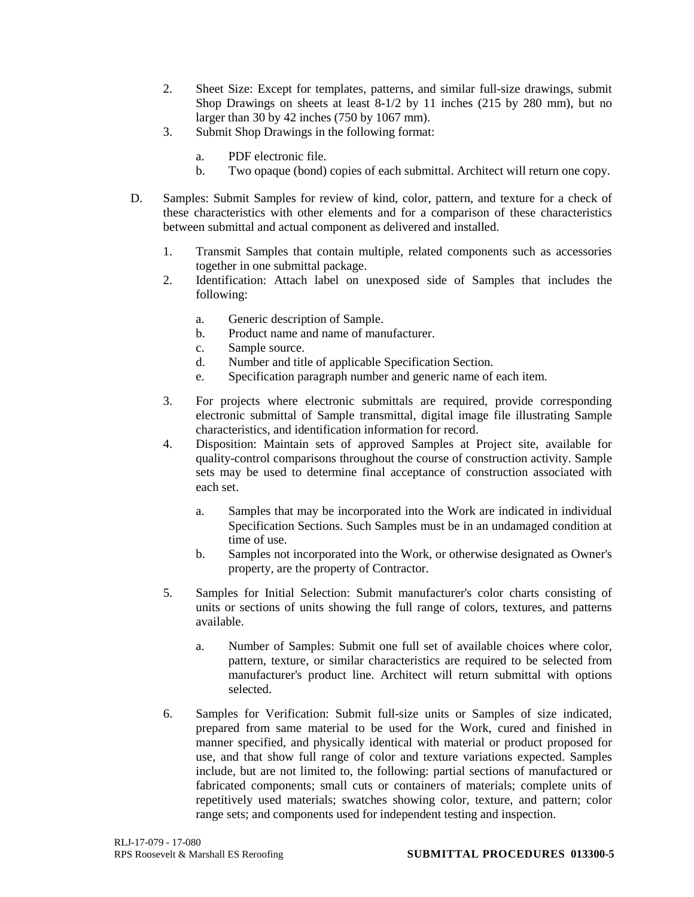- 2. Sheet Size: Except for templates, patterns, and similar full-size drawings, submit Shop Drawings on sheets at least 8-1/2 by 11 inches (215 by 280 mm), but no larger than 30 by 42 inches (750 by 1067 mm).
- 3. Submit Shop Drawings in the following format:
	- a. PDF electronic file.
	- b. Two opaque (bond) copies of each submittal. Architect will return one copy.
- D. Samples: Submit Samples for review of kind, color, pattern, and texture for a check of these characteristics with other elements and for a comparison of these characteristics between submittal and actual component as delivered and installed.
	- 1. Transmit Samples that contain multiple, related components such as accessories together in one submittal package.
	- 2. Identification: Attach label on unexposed side of Samples that includes the following:
		- a. Generic description of Sample.
		- b. Product name and name of manufacturer.
		- c. Sample source.
		- d. Number and title of applicable Specification Section.
		- e. Specification paragraph number and generic name of each item.
	- 3. For projects where electronic submittals are required, provide corresponding electronic submittal of Sample transmittal, digital image file illustrating Sample characteristics, and identification information for record.
	- 4. Disposition: Maintain sets of approved Samples at Project site, available for quality-control comparisons throughout the course of construction activity. Sample sets may be used to determine final acceptance of construction associated with each set.
		- a. Samples that may be incorporated into the Work are indicated in individual Specification Sections. Such Samples must be in an undamaged condition at time of use.
		- b. Samples not incorporated into the Work, or otherwise designated as Owner's property, are the property of Contractor.
	- 5. Samples for Initial Selection: Submit manufacturer's color charts consisting of units or sections of units showing the full range of colors, textures, and patterns available.
		- a. Number of Samples: Submit one full set of available choices where color, pattern, texture, or similar characteristics are required to be selected from manufacturer's product line. Architect will return submittal with options selected.
	- 6. Samples for Verification: Submit full-size units or Samples of size indicated, prepared from same material to be used for the Work, cured and finished in manner specified, and physically identical with material or product proposed for use, and that show full range of color and texture variations expected. Samples include, but are not limited to, the following: partial sections of manufactured or fabricated components; small cuts or containers of materials; complete units of repetitively used materials; swatches showing color, texture, and pattern; color range sets; and components used for independent testing and inspection.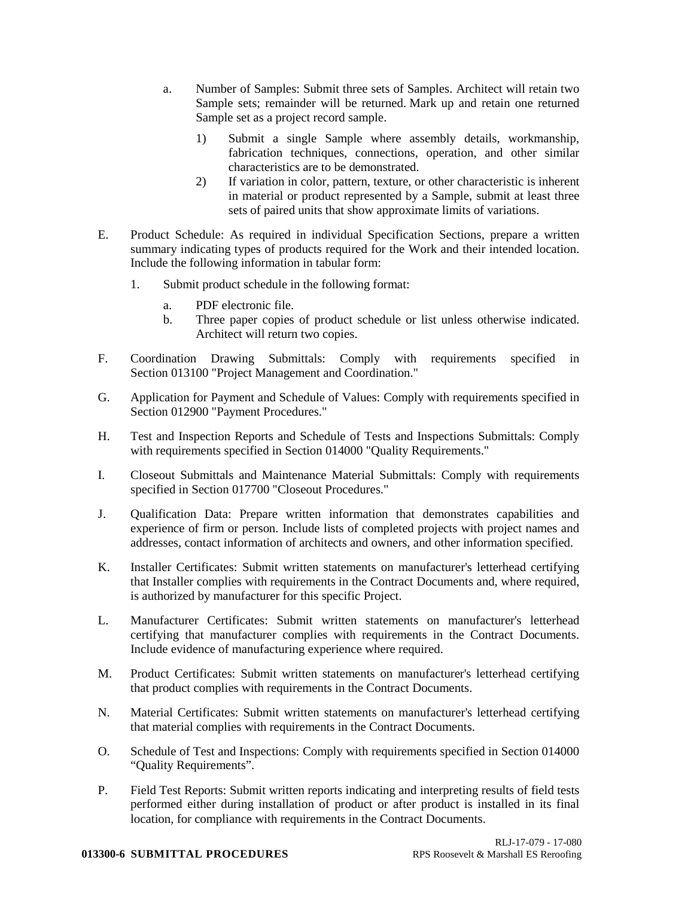- a. Number of Samples: Submit three sets of Samples. Architect will retain two Sample sets; remainder will be returned. Mark up and retain one returned Sample set as a project record sample.
	- 1) Submit a single Sample where assembly details, workmanship, fabrication techniques, connections, operation, and other similar characteristics are to be demonstrated.
	- 2) If variation in color, pattern, texture, or other characteristic is inherent in material or product represented by a Sample, submit at least three sets of paired units that show approximate limits of variations.
- E. Product Schedule: As required in individual Specification Sections, prepare a written summary indicating types of products required for the Work and their intended location. Include the following information in tabular form:
	- 1. Submit product schedule in the following format:
		- a. PDF electronic file.
		- b. Three paper copies of product schedule or list unless otherwise indicated. Architect will return two copies.
- F. Coordination Drawing Submittals: Comply with requirements specified in Section 013100 "Project Management and Coordination."
- G. Application for Payment and Schedule of Values: Comply with requirements specified in Section 012900 "Payment Procedures."
- H. Test and Inspection Reports and Schedule of Tests and Inspections Submittals: Comply with requirements specified in Section 014000 "Quality Requirements."
- I. Closeout Submittals and Maintenance Material Submittals: Comply with requirements specified in Section 017700 "Closeout Procedures."
- J. Qualification Data: Prepare written information that demonstrates capabilities and experience of firm or person. Include lists of completed projects with project names and addresses, contact information of architects and owners, and other information specified.
- K. Installer Certificates: Submit written statements on manufacturer's letterhead certifying that Installer complies with requirements in the Contract Documents and, where required, is authorized by manufacturer for this specific Project.
- L. Manufacturer Certificates: Submit written statements on manufacturer's letterhead certifying that manufacturer complies with requirements in the Contract Documents. Include evidence of manufacturing experience where required.
- M. Product Certificates: Submit written statements on manufacturer's letterhead certifying that product complies with requirements in the Contract Documents.
- N. Material Certificates: Submit written statements on manufacturer's letterhead certifying that material complies with requirements in the Contract Documents.
- O. Schedule of Test and Inspections: Comply with requirements specified in Section 014000 "Quality Requirements".
- P. Field Test Reports: Submit written reports indicating and interpreting results of field tests performed either during installation of product or after product is installed in its final location, for compliance with requirements in the Contract Documents.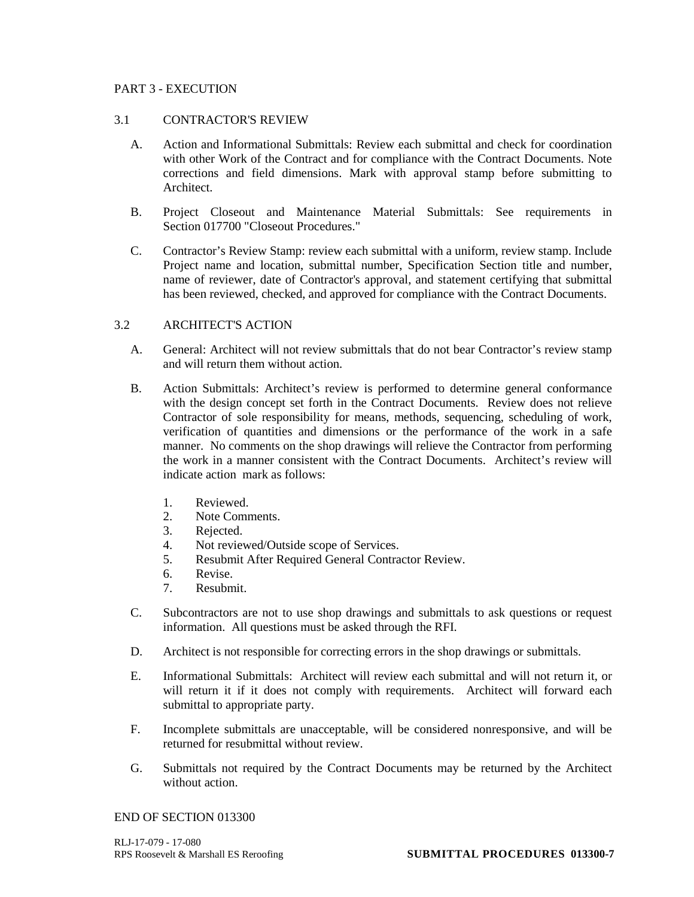## PART 3 - EXECUTION

### 3.1 CONTRACTOR'S REVIEW

- A. Action and Informational Submittals: Review each submittal and check for coordination with other Work of the Contract and for compliance with the Contract Documents. Note corrections and field dimensions. Mark with approval stamp before submitting to Architect.
- B. Project Closeout and Maintenance Material Submittals: See requirements in Section 017700 "Closeout Procedures."
- C. Contractor's Review Stamp: review each submittal with a uniform, review stamp. Include Project name and location, submittal number, Specification Section title and number, name of reviewer, date of Contractor's approval, and statement certifying that submittal has been reviewed, checked, and approved for compliance with the Contract Documents.

## 3.2 ARCHITECT'S ACTION

- A. General: Architect will not review submittals that do not bear Contractor's review stamp and will return them without action.
- B. Action Submittals: Architect's review is performed to determine general conformance with the design concept set forth in the Contract Documents. Review does not relieve Contractor of sole responsibility for means, methods, sequencing, scheduling of work, verification of quantities and dimensions or the performance of the work in a safe manner. No comments on the shop drawings will relieve the Contractor from performing the work in a manner consistent with the Contract Documents. Architect's review will indicate action mark as follows:
	- 1. Reviewed.
	- 2. Note Comments.
	- 3. Rejected.
	- 4. Not reviewed/Outside scope of Services.
	- 5. Resubmit After Required General Contractor Review.
	- 6. Revise.
	- 7. Resubmit.
- C. Subcontractors are not to use shop drawings and submittals to ask questions or request information. All questions must be asked through the RFI.
- D. Architect is not responsible for correcting errors in the shop drawings or submittals.
- E. Informational Submittals: Architect will review each submittal and will not return it, or will return it if it does not comply with requirements. Architect will forward each submittal to appropriate party.
- F. Incomplete submittals are unacceptable, will be considered nonresponsive, and will be returned for resubmittal without review.
- G. Submittals not required by the Contract Documents may be returned by the Architect without action.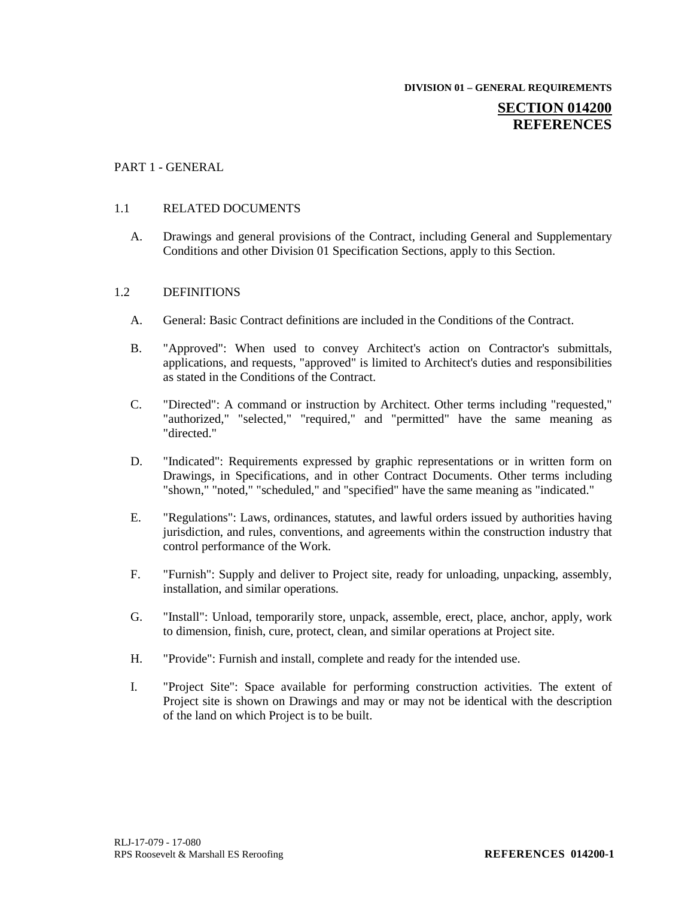**DIVISION 01 – GENERAL REQUIREMENTS**

# **SECTION 014200 REFERENCES**

## PART 1 - GENERAL

## 1.1 RELATED DOCUMENTS

A. Drawings and general provisions of the Contract, including General and Supplementary Conditions and other Division 01 Specification Sections, apply to this Section.

### 1.2 DEFINITIONS

- A. General: Basic Contract definitions are included in the Conditions of the Contract.
- B. "Approved": When used to convey Architect's action on Contractor's submittals, applications, and requests, "approved" is limited to Architect's duties and responsibilities as stated in the Conditions of the Contract.
- C. "Directed": A command or instruction by Architect. Other terms including "requested," "authorized," "selected," "required," and "permitted" have the same meaning as "directed."
- D. "Indicated": Requirements expressed by graphic representations or in written form on Drawings, in Specifications, and in other Contract Documents. Other terms including "shown," "noted," "scheduled," and "specified" have the same meaning as "indicated."
- E. "Regulations": Laws, ordinances, statutes, and lawful orders issued by authorities having jurisdiction, and rules, conventions, and agreements within the construction industry that control performance of the Work.
- F. "Furnish": Supply and deliver to Project site, ready for unloading, unpacking, assembly, installation, and similar operations.
- G. "Install": Unload, temporarily store, unpack, assemble, erect, place, anchor, apply, work to dimension, finish, cure, protect, clean, and similar operations at Project site.
- H. "Provide": Furnish and install, complete and ready for the intended use.
- I. "Project Site": Space available for performing construction activities. The extent of Project site is shown on Drawings and may or may not be identical with the description of the land on which Project is to be built.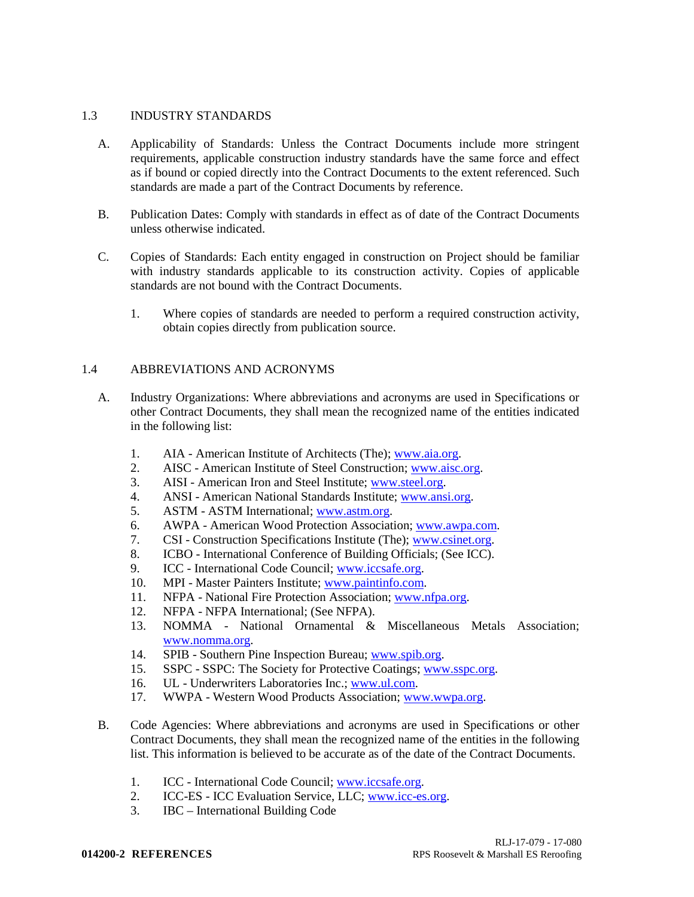## 1.3 INDUSTRY STANDARDS

- A. Applicability of Standards: Unless the Contract Documents include more stringent requirements, applicable construction industry standards have the same force and effect as if bound or copied directly into the Contract Documents to the extent referenced. Such standards are made a part of the Contract Documents by reference.
- B. Publication Dates: Comply with standards in effect as of date of the Contract Documents unless otherwise indicated.
- C. Copies of Standards: Each entity engaged in construction on Project should be familiar with industry standards applicable to its construction activity. Copies of applicable standards are not bound with the Contract Documents.
	- 1. Where copies of standards are needed to perform a required construction activity, obtain copies directly from publication source.

## 1.4 ABBREVIATIONS AND ACRONYMS

- A. Industry Organizations: Where abbreviations and acronyms are used in Specifications or other Contract Documents, they shall mean the recognized name of the entities indicated in the following list:
	- 1. AIA American Institute of Architects (The)[; www.aia.org.](http://www.aia.org/)
	- 2. AISC American Institute of Steel Construction; [www.aisc.org.](http://www.aisc.org/)
	- 3. AISI American Iron and Steel Institute; [www.steel.org.](http://www.steel.org/)
	- 4. ANSI American National Standards Institute; [www.ansi.org.](http://www.ansi.org/)
	- 5. ASTM ASTM International; [www.astm.org.](http://www.astm.org/)
	- 6. AWPA American Wood Protection Association; [www.awpa.com.](http://www.awpa.com/)
	- 7. CSI Construction Specifications Institute (The); [www.csinet.org.](http://www.csinet.org/)
	- 8. ICBO International Conference of Building Officials; (See ICC).
	- 9. ICC International Code Council; [www.iccsafe.org.](http://www.iccsafe.org/)
	- 10. MPI Master Painters Institute; [www.paintinfo.com.](http://www.paintinfo.com/)
	- 11. NFPA National Fire Protection Association; [www.nfpa.org.](http://www.nfpa.org/)
	- 12. NFPA NFPA International; (See NFPA).
	- 13. NOMMA National Ornamental & Miscellaneous Metals Association; [www.nomma.org.](http://www.nomma.org/)
	- 14. SPIB Southern Pine Inspection Bureau; [www.spib.org.](http://www.spib.org/)
	- 15. SSPC SSPC: The Society for Protective Coatings; [www.sspc.org.](http://www.sspc.org/)
	- 16. UL Underwriters Laboratories Inc.; [www.ul.com.](http://www.ul.com/)
	- 17. WWPA Western Wood Products Association; [www.wwpa.org.](http://www.wwpa.org/)
- B. Code Agencies: Where abbreviations and acronyms are used in Specifications or other Contract Documents, they shall mean the recognized name of the entities in the following list. This information is believed to be accurate as of the date of the Contract Documents.
	- 1. ICC International Code Council; [www.iccsafe.org.](http://www.iccsafe.org/)
	- 2. ICC-ES ICC Evaluation Service, LLC; [www.icc-es.org.](http://www.icc-es.org/)
	- 3. IBC International Building Code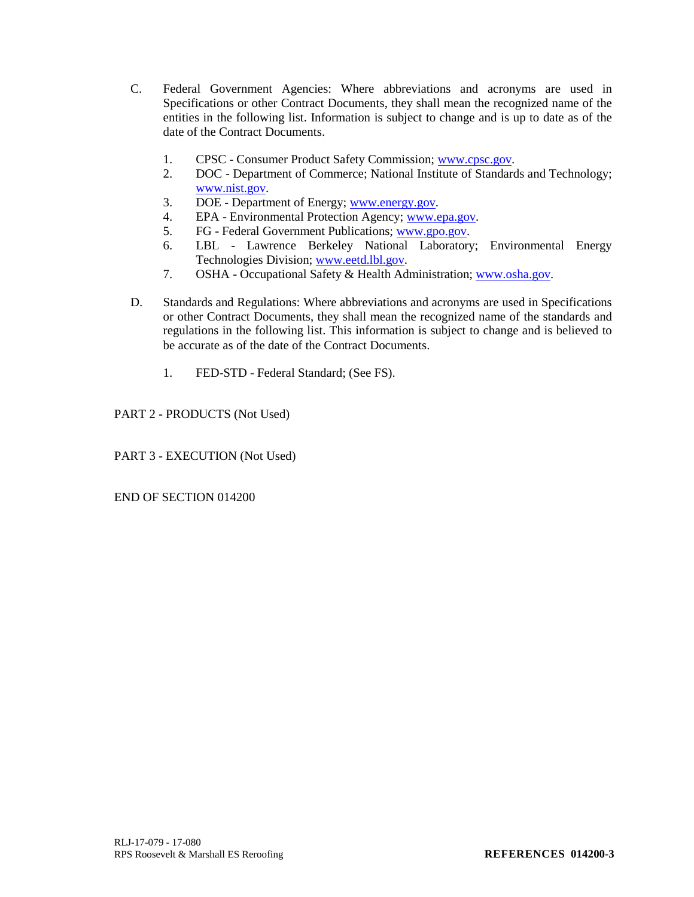- C. Federal Government Agencies: Where abbreviations and acronyms are used in Specifications or other Contract Documents, they shall mean the recognized name of the entities in the following list. Information is subject to change and is up to date as of the date of the Contract Documents.
	- 1. CPSC Consumer Product Safety Commission; [www.cpsc.gov.](http://www.cpsc.gov/)
	- 2. DOC Department of Commerce; National Institute of Standards and Technology; [www.nist.gov.](http://www.nist.gov/)
	- 3. DOE Department of Energy; [www.energy.gov.](http://www.energy.gov/)
	- 4. EPA Environmental Protection Agency; [www.epa.gov.](http://www.epa.gov/)
	- 5. FG Federal Government Publications[; www.gpo.gov.](http://www.gpo.gov/)
	- 6. LBL Lawrence Berkeley National Laboratory; Environmental Energy Technologies Division; [www.eetd.lbl.gov.](http://www.eetd.lbl.gov/)
	- 7. OSHA Occupational Safety & Health Administration; [www.osha.gov.](http://www.osha.gov/)
- D. Standards and Regulations: Where abbreviations and acronyms are used in Specifications or other Contract Documents, they shall mean the recognized name of the standards and regulations in the following list. This information is subject to change and is believed to be accurate as of the date of the Contract Documents.
	- 1. FED-STD Federal Standard; (See FS).

PART 2 - PRODUCTS (Not Used)

PART 3 - EXECUTION (Not Used)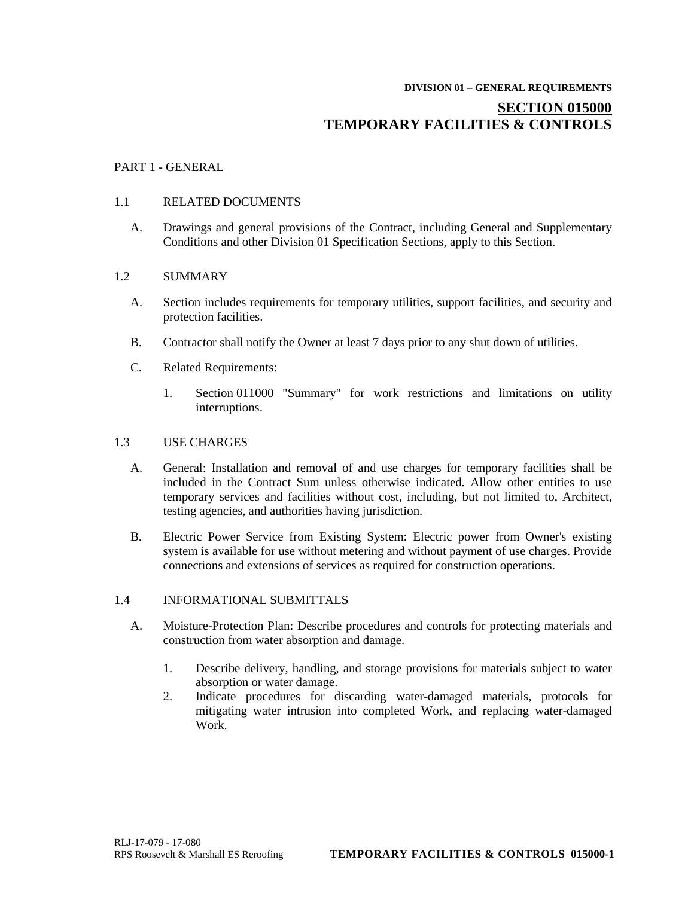# **DIVISION 01 – GENERAL REQUIREMENTS SECTION 015000 TEMPORARY FACILITIES & CONTROLS**

## PART 1 - GENERAL

## 1.1 RELATED DOCUMENTS

A. Drawings and general provisions of the Contract, including General and Supplementary Conditions and other Division 01 Specification Sections, apply to this Section.

## 1.2 SUMMARY

- A. Section includes requirements for temporary utilities, support facilities, and security and protection facilities.
- B. Contractor shall notify the Owner at least 7 days prior to any shut down of utilities.
- C. Related Requirements:
	- 1. Section 011000 "Summary" for work restrictions and limitations on utility interruptions.

### 1.3 USE CHARGES

- A. General: Installation and removal of and use charges for temporary facilities shall be included in the Contract Sum unless otherwise indicated. Allow other entities to use temporary services and facilities without cost, including, but not limited to, Architect, testing agencies, and authorities having jurisdiction.
- B. Electric Power Service from Existing System: Electric power from Owner's existing system is available for use without metering and without payment of use charges. Provide connections and extensions of services as required for construction operations.

## 1.4 INFORMATIONAL SUBMITTALS

- A. Moisture-Protection Plan: Describe procedures and controls for protecting materials and construction from water absorption and damage.
	- 1. Describe delivery, handling, and storage provisions for materials subject to water absorption or water damage.
	- 2. Indicate procedures for discarding water-damaged materials, protocols for mitigating water intrusion into completed Work, and replacing water-damaged Work.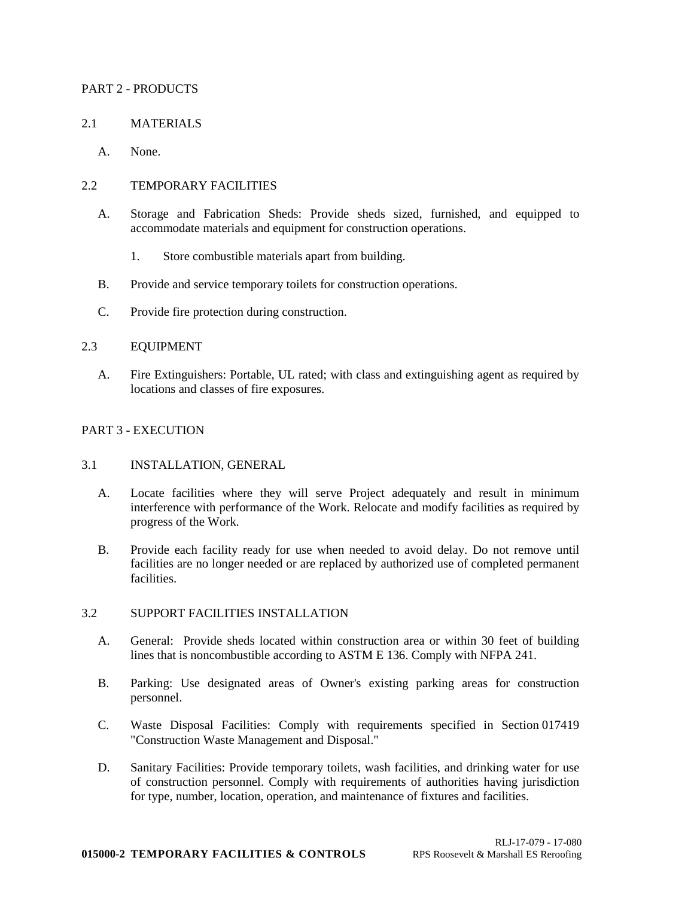## PART 2 - PRODUCTS

## 2.1 MATERIALS

A. None.

## 2.2 TEMPORARY FACILITIES

- A. Storage and Fabrication Sheds: Provide sheds sized, furnished, and equipped to accommodate materials and equipment for construction operations.
	- 1. Store combustible materials apart from building.
- B. Provide and service temporary toilets for construction operations.
- C. Provide fire protection during construction.

## 2.3 EQUIPMENT

A. Fire Extinguishers: Portable, UL rated; with class and extinguishing agent as required by locations and classes of fire exposures.

## PART 3 - EXECUTION

### 3.1 INSTALLATION, GENERAL

- A. Locate facilities where they will serve Project adequately and result in minimum interference with performance of the Work. Relocate and modify facilities as required by progress of the Work.
- B. Provide each facility ready for use when needed to avoid delay. Do not remove until facilities are no longer needed or are replaced by authorized use of completed permanent facilities.

### 3.2 SUPPORT FACILITIES INSTALLATION

- A. General: Provide sheds located within construction area or within 30 feet of building lines that is noncombustible according to ASTM E 136. Comply with NFPA 241.
- B. Parking: Use designated areas of Owner's existing parking areas for construction personnel.
- C. Waste Disposal Facilities: Comply with requirements specified in Section 017419 "Construction Waste Management and Disposal."
- D. Sanitary Facilities: Provide temporary toilets, wash facilities, and drinking water for use of construction personnel. Comply with requirements of authorities having jurisdiction for type, number, location, operation, and maintenance of fixtures and facilities.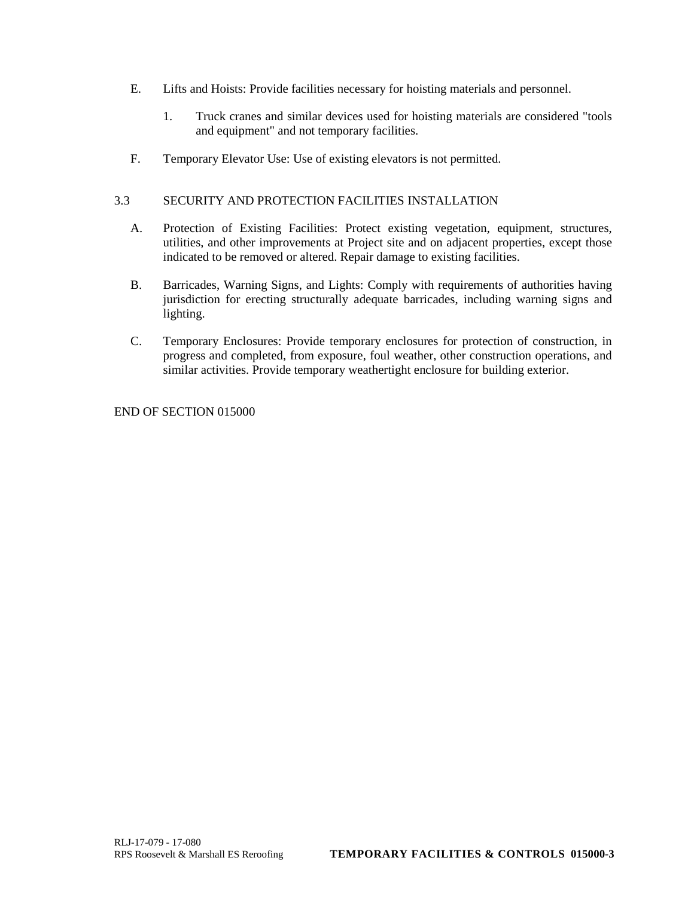- E. Lifts and Hoists: Provide facilities necessary for hoisting materials and personnel.
	- 1. Truck cranes and similar devices used for hoisting materials are considered "tools and equipment" and not temporary facilities.
- F. Temporary Elevator Use: Use of existing elevators is not permitted.

# 3.3 SECURITY AND PROTECTION FACILITIES INSTALLATION

- A. Protection of Existing Facilities: Protect existing vegetation, equipment, structures, utilities, and other improvements at Project site and on adjacent properties, except those indicated to be removed or altered. Repair damage to existing facilities.
- B. Barricades, Warning Signs, and Lights: Comply with requirements of authorities having jurisdiction for erecting structurally adequate barricades, including warning signs and lighting.
- C. Temporary Enclosures: Provide temporary enclosures for protection of construction, in progress and completed, from exposure, foul weather, other construction operations, and similar activities. Provide temporary weathertight enclosure for building exterior.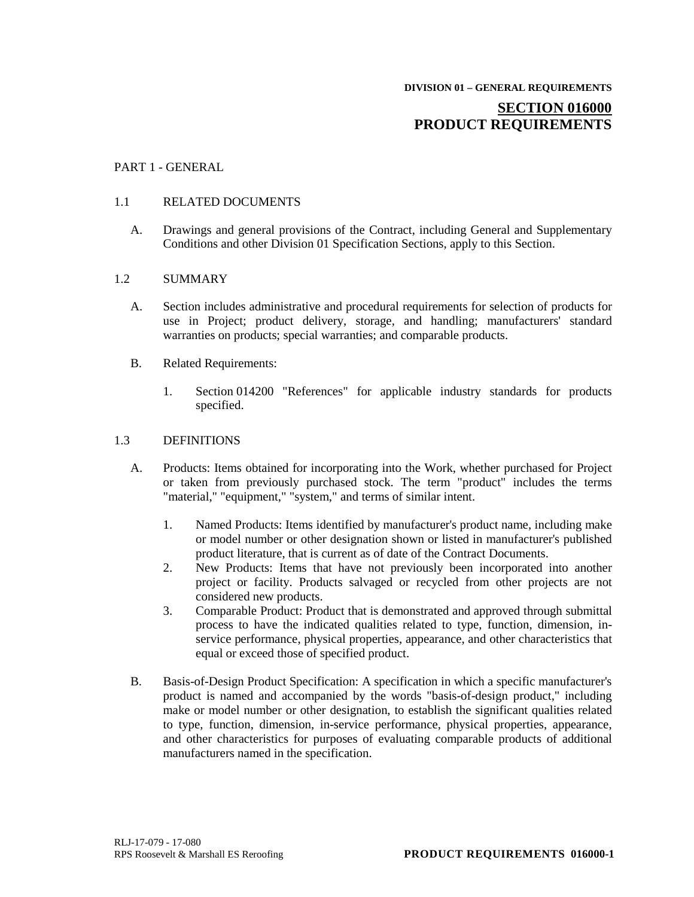# **SECTION 016000 PRODUCT REQUIREMENTS**

## PART 1 - GENERAL

### 1.1 RELATED DOCUMENTS

A. Drawings and general provisions of the Contract, including General and Supplementary Conditions and other Division 01 Specification Sections, apply to this Section.

### 1.2 SUMMARY

- A. Section includes administrative and procedural requirements for selection of products for use in Project; product delivery, storage, and handling; manufacturers' standard warranties on products; special warranties; and comparable products.
- B. Related Requirements:
	- 1. Section 014200 "References" for applicable industry standards for products specified.

## 1.3 DEFINITIONS

- A. Products: Items obtained for incorporating into the Work, whether purchased for Project or taken from previously purchased stock. The term "product" includes the terms "material," "equipment," "system," and terms of similar intent.
	- 1. Named Products: Items identified by manufacturer's product name, including make or model number or other designation shown or listed in manufacturer's published product literature, that is current as of date of the Contract Documents.
	- 2. New Products: Items that have not previously been incorporated into another project or facility. Products salvaged or recycled from other projects are not considered new products.
	- 3. Comparable Product: Product that is demonstrated and approved through submittal process to have the indicated qualities related to type, function, dimension, inservice performance, physical properties, appearance, and other characteristics that equal or exceed those of specified product.
- B. Basis-of-Design Product Specification: A specification in which a specific manufacturer's product is named and accompanied by the words "basis-of-design product," including make or model number or other designation, to establish the significant qualities related to type, function, dimension, in-service performance, physical properties, appearance, and other characteristics for purposes of evaluating comparable products of additional manufacturers named in the specification.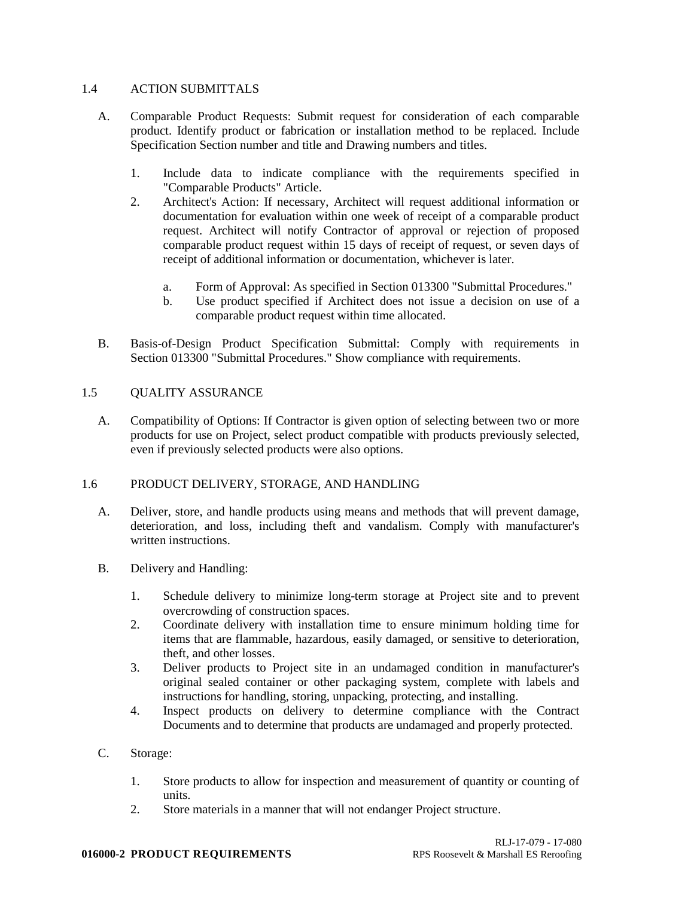## 1.4 ACTION SUBMITTALS

- A. Comparable Product Requests: Submit request for consideration of each comparable product. Identify product or fabrication or installation method to be replaced. Include Specification Section number and title and Drawing numbers and titles.
	- 1. Include data to indicate compliance with the requirements specified in "Comparable Products" Article.
	- 2. Architect's Action: If necessary, Architect will request additional information or documentation for evaluation within one week of receipt of a comparable product request. Architect will notify Contractor of approval or rejection of proposed comparable product request within 15 days of receipt of request, or seven days of receipt of additional information or documentation, whichever is later.
		- a. Form of Approval: As specified in Section 013300 "Submittal Procedures."
		- b. Use product specified if Architect does not issue a decision on use of a comparable product request within time allocated.
- B. Basis-of-Design Product Specification Submittal: Comply with requirements in Section 013300 "Submittal Procedures." Show compliance with requirements.

## 1.5 QUALITY ASSURANCE

A. Compatibility of Options: If Contractor is given option of selecting between two or more products for use on Project, select product compatible with products previously selected, even if previously selected products were also options.

## 1.6 PRODUCT DELIVERY, STORAGE, AND HANDLING

- A. Deliver, store, and handle products using means and methods that will prevent damage, deterioration, and loss, including theft and vandalism. Comply with manufacturer's written instructions.
- B. Delivery and Handling:
	- 1. Schedule delivery to minimize long-term storage at Project site and to prevent overcrowding of construction spaces.
	- 2. Coordinate delivery with installation time to ensure minimum holding time for items that are flammable, hazardous, easily damaged, or sensitive to deterioration, theft, and other losses.
	- 3. Deliver products to Project site in an undamaged condition in manufacturer's original sealed container or other packaging system, complete with labels and instructions for handling, storing, unpacking, protecting, and installing.
	- 4. Inspect products on delivery to determine compliance with the Contract Documents and to determine that products are undamaged and properly protected.

## C. Storage:

- 1. Store products to allow for inspection and measurement of quantity or counting of units.
- 2. Store materials in a manner that will not endanger Project structure.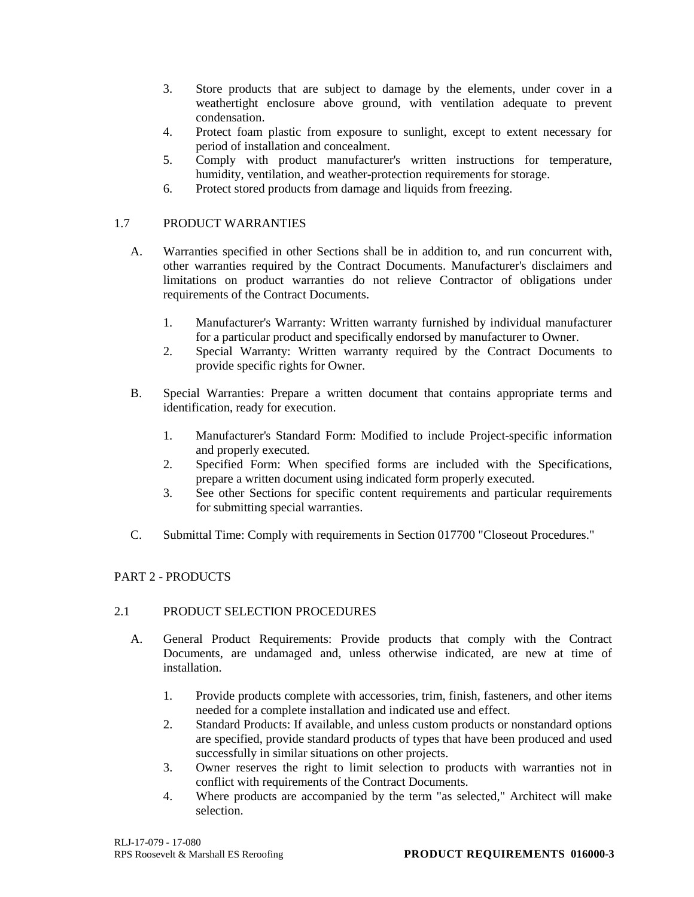- 3. Store products that are subject to damage by the elements, under cover in a weathertight enclosure above ground, with ventilation adequate to prevent condensation.
- 4. Protect foam plastic from exposure to sunlight, except to extent necessary for period of installation and concealment.
- 5. Comply with product manufacturer's written instructions for temperature, humidity, ventilation, and weather-protection requirements for storage.
- 6. Protect stored products from damage and liquids from freezing.

# 1.7 PRODUCT WARRANTIES

- A. Warranties specified in other Sections shall be in addition to, and run concurrent with, other warranties required by the Contract Documents. Manufacturer's disclaimers and limitations on product warranties do not relieve Contractor of obligations under requirements of the Contract Documents.
	- 1. Manufacturer's Warranty: Written warranty furnished by individual manufacturer for a particular product and specifically endorsed by manufacturer to Owner.
	- 2. Special Warranty: Written warranty required by the Contract Documents to provide specific rights for Owner.
- B. Special Warranties: Prepare a written document that contains appropriate terms and identification, ready for execution.
	- 1. Manufacturer's Standard Form: Modified to include Project-specific information and properly executed.
	- 2. Specified Form: When specified forms are included with the Specifications, prepare a written document using indicated form properly executed.
	- 3. See other Sections for specific content requirements and particular requirements for submitting special warranties.
- C. Submittal Time: Comply with requirements in Section 017700 "Closeout Procedures."

# PART 2 - PRODUCTS

## 2.1 PRODUCT SELECTION PROCEDURES

- A. General Product Requirements: Provide products that comply with the Contract Documents, are undamaged and, unless otherwise indicated, are new at time of installation.
	- 1. Provide products complete with accessories, trim, finish, fasteners, and other items needed for a complete installation and indicated use and effect.
	- 2. Standard Products: If available, and unless custom products or nonstandard options are specified, provide standard products of types that have been produced and used successfully in similar situations on other projects.
	- 3. Owner reserves the right to limit selection to products with warranties not in conflict with requirements of the Contract Documents.
	- 4. Where products are accompanied by the term "as selected," Architect will make selection.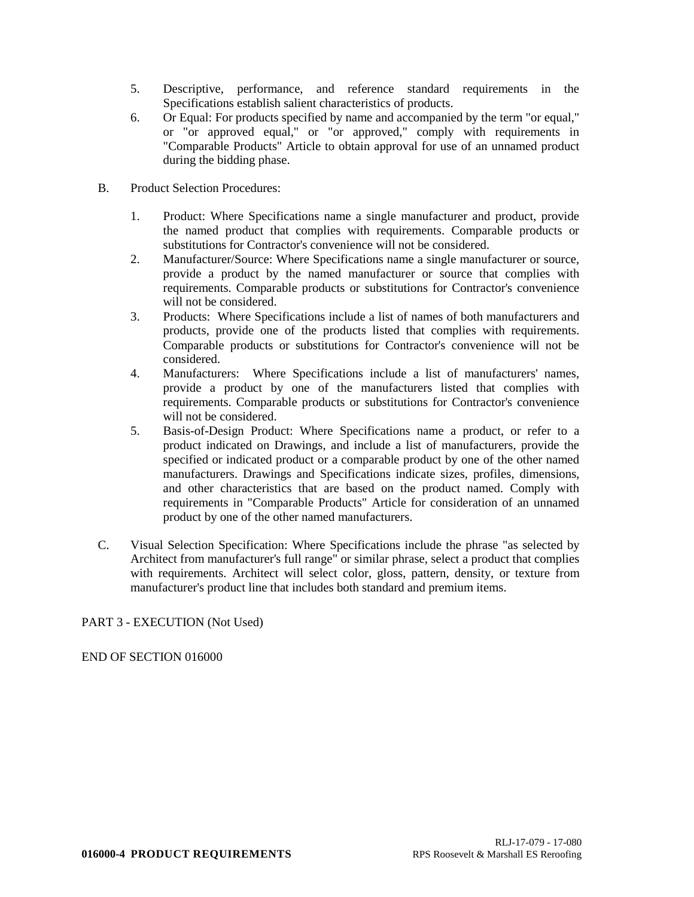- 5. Descriptive, performance, and reference standard requirements in the Specifications establish salient characteristics of products.
- 6. Or Equal: For products specified by name and accompanied by the term "or equal," or "or approved equal," or "or approved," comply with requirements in "Comparable Products" Article to obtain approval for use of an unnamed product during the bidding phase.
- B. Product Selection Procedures:
	- 1. Product: Where Specifications name a single manufacturer and product, provide the named product that complies with requirements. Comparable products or substitutions for Contractor's convenience will not be considered.
	- 2. Manufacturer/Source: Where Specifications name a single manufacturer or source, provide a product by the named manufacturer or source that complies with requirements. Comparable products or substitutions for Contractor's convenience will not be considered.
	- 3. Products: Where Specifications include a list of names of both manufacturers and products, provide one of the products listed that complies with requirements. Comparable products or substitutions for Contractor's convenience will not be considered.
	- 4. Manufacturers: Where Specifications include a list of manufacturers' names, provide a product by one of the manufacturers listed that complies with requirements. Comparable products or substitutions for Contractor's convenience will not be considered.
	- 5. Basis-of-Design Product: Where Specifications name a product, or refer to a product indicated on Drawings, and include a list of manufacturers, provide the specified or indicated product or a comparable product by one of the other named manufacturers. Drawings and Specifications indicate sizes, profiles, dimensions, and other characteristics that are based on the product named. Comply with requirements in "Comparable Products" Article for consideration of an unnamed product by one of the other named manufacturers.
- C. Visual Selection Specification: Where Specifications include the phrase "as selected by Architect from manufacturer's full range" or similar phrase, select a product that complies with requirements. Architect will select color, gloss, pattern, density, or texture from manufacturer's product line that includes both standard and premium items.

# PART 3 - EXECUTION (Not Used)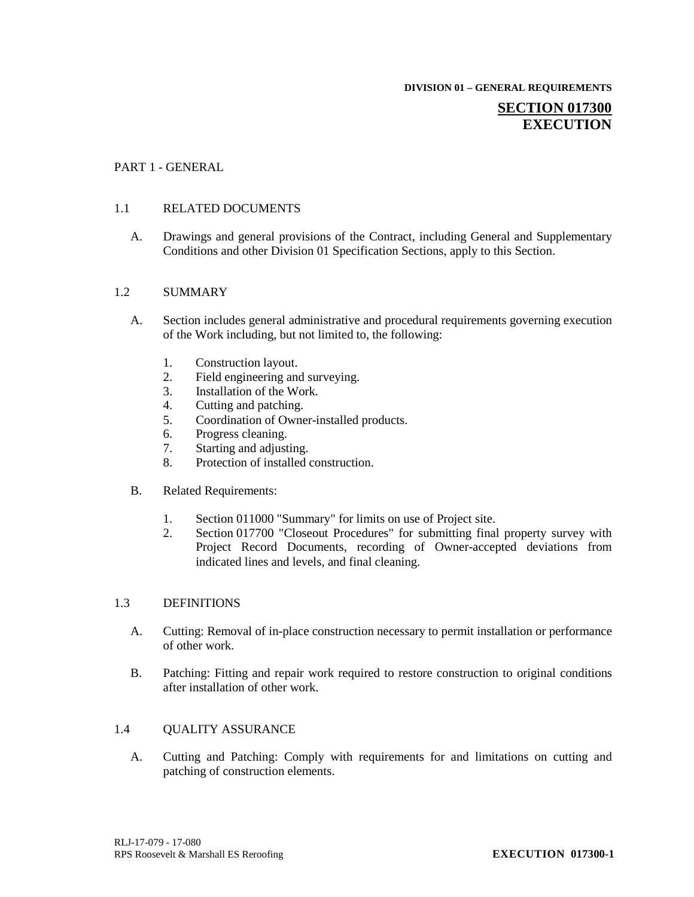#### **DIVISION 01 – GENERAL REQUIREMENTS**

# **SECTION 017300 EXECUTION**

## PART 1 - GENERAL

## 1.1 RELATED DOCUMENTS

A. Drawings and general provisions of the Contract, including General and Supplementary Conditions and other Division 01 Specification Sections, apply to this Section.

### 1.2 SUMMARY

- A. Section includes general administrative and procedural requirements governing execution of the Work including, but not limited to, the following:
	- 1. Construction layout.<br>2. Field engineering and
	- Field engineering and surveying.
	- 3. Installation of the Work.
	- 4. Cutting and patching.
	- 5. Coordination of Owner-installed products.
	- 6. Progress cleaning.
	- 7. Starting and adjusting.
	- 8. Protection of installed construction.
- B. Related Requirements:
	- 1. Section 011000 "Summary" for limits on use of Project site.
	- 2. Section 017700 "Closeout Procedures" for submitting final property survey with Project Record Documents, recording of Owner-accepted deviations from indicated lines and levels, and final cleaning.

### 1.3 DEFINITIONS

- A. Cutting: Removal of in-place construction necessary to permit installation or performance of other work.
- B. Patching: Fitting and repair work required to restore construction to original conditions after installation of other work.

## 1.4 QUALITY ASSURANCE

A. Cutting and Patching: Comply with requirements for and limitations on cutting and patching of construction elements.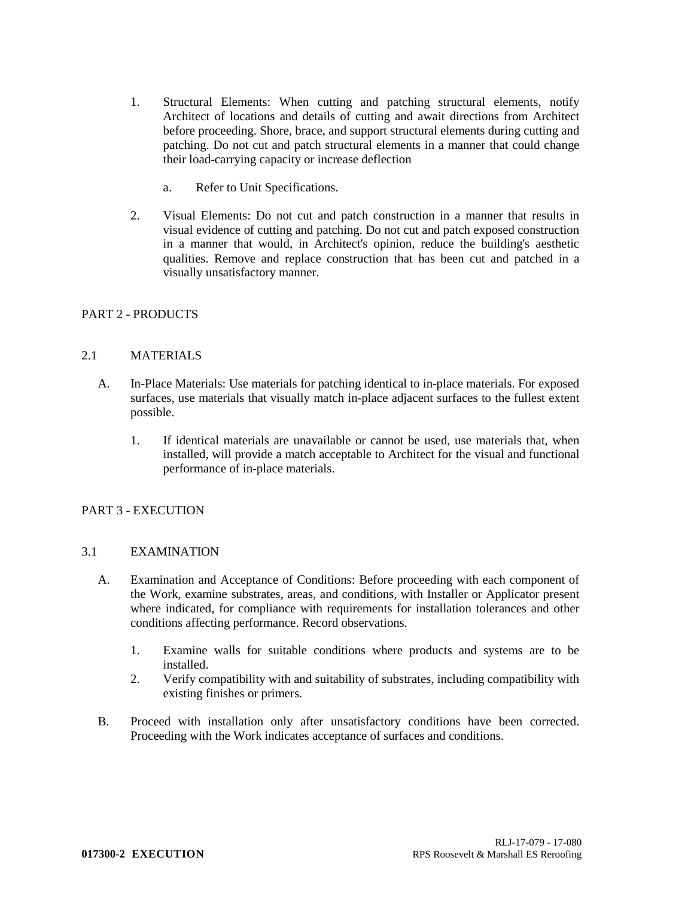- 1. Structural Elements: When cutting and patching structural elements, notify Architect of locations and details of cutting and await directions from Architect before proceeding. Shore, brace, and support structural elements during cutting and patching. Do not cut and patch structural elements in a manner that could change their load-carrying capacity or increase deflection
	- a. Refer to Unit Specifications.
- 2. Visual Elements: Do not cut and patch construction in a manner that results in visual evidence of cutting and patching. Do not cut and patch exposed construction in a manner that would, in Architect's opinion, reduce the building's aesthetic qualities. Remove and replace construction that has been cut and patched in a visually unsatisfactory manner.

# PART 2 - PRODUCTS

## 2.1 MATERIALS

- A. In-Place Materials: Use materials for patching identical to in-place materials. For exposed surfaces, use materials that visually match in-place adjacent surfaces to the fullest extent possible.
	- 1. If identical materials are unavailable or cannot be used, use materials that, when installed, will provide a match acceptable to Architect for the visual and functional performance of in-place materials.

## PART 3 - EXECUTION

## 3.1 EXAMINATION

- A. Examination and Acceptance of Conditions: Before proceeding with each component of the Work, examine substrates, areas, and conditions, with Installer or Applicator present where indicated, for compliance with requirements for installation tolerances and other conditions affecting performance. Record observations.
	- 1. Examine walls for suitable conditions where products and systems are to be installed.
	- 2. Verify compatibility with and suitability of substrates, including compatibility with existing finishes or primers.
- B. Proceed with installation only after unsatisfactory conditions have been corrected. Proceeding with the Work indicates acceptance of surfaces and conditions.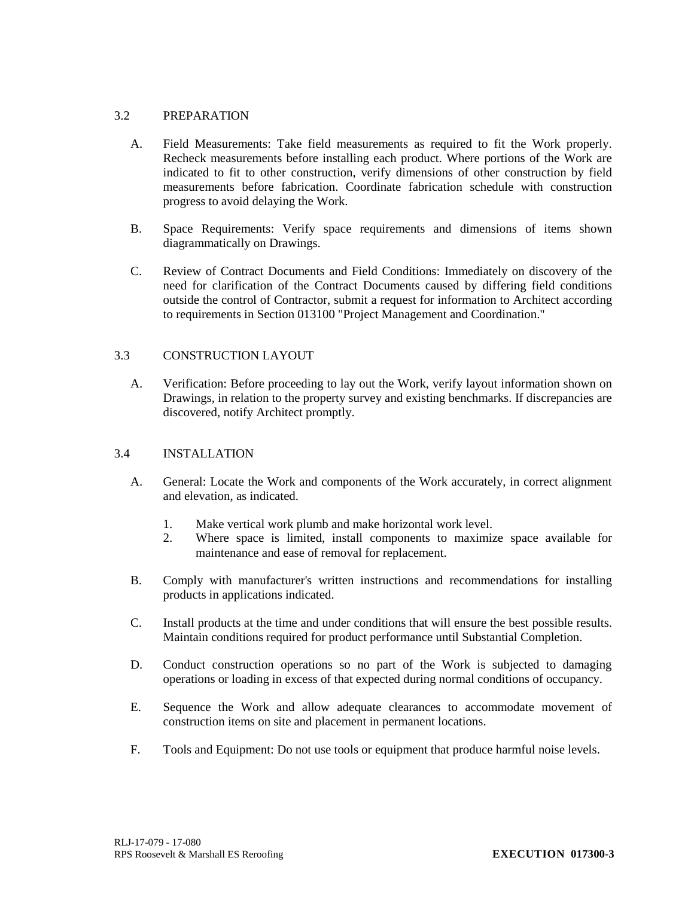# 3.2 PREPARATION

- A. Field Measurements: Take field measurements as required to fit the Work properly. Recheck measurements before installing each product. Where portions of the Work are indicated to fit to other construction, verify dimensions of other construction by field measurements before fabrication. Coordinate fabrication schedule with construction progress to avoid delaying the Work.
- B. Space Requirements: Verify space requirements and dimensions of items shown diagrammatically on Drawings.
- C. Review of Contract Documents and Field Conditions: Immediately on discovery of the need for clarification of the Contract Documents caused by differing field conditions outside the control of Contractor, submit a request for information to Architect according to requirements in Section 013100 "Project Management and Coordination."

## 3.3 CONSTRUCTION LAYOUT

A. Verification: Before proceeding to lay out the Work, verify layout information shown on Drawings, in relation to the property survey and existing benchmarks. If discrepancies are discovered, notify Architect promptly.

## 3.4 INSTALLATION

- A. General: Locate the Work and components of the Work accurately, in correct alignment and elevation, as indicated.
	- 1. Make vertical work plumb and make horizontal work level.<br>2. Where space is limited, install components to maximize
	- 2. Where space is limited, install components to maximize space available for maintenance and ease of removal for replacement.
- B. Comply with manufacturer's written instructions and recommendations for installing products in applications indicated.
- C. Install products at the time and under conditions that will ensure the best possible results. Maintain conditions required for product performance until Substantial Completion.
- D. Conduct construction operations so no part of the Work is subjected to damaging operations or loading in excess of that expected during normal conditions of occupancy.
- E. Sequence the Work and allow adequate clearances to accommodate movement of construction items on site and placement in permanent locations.
- F. Tools and Equipment: Do not use tools or equipment that produce harmful noise levels.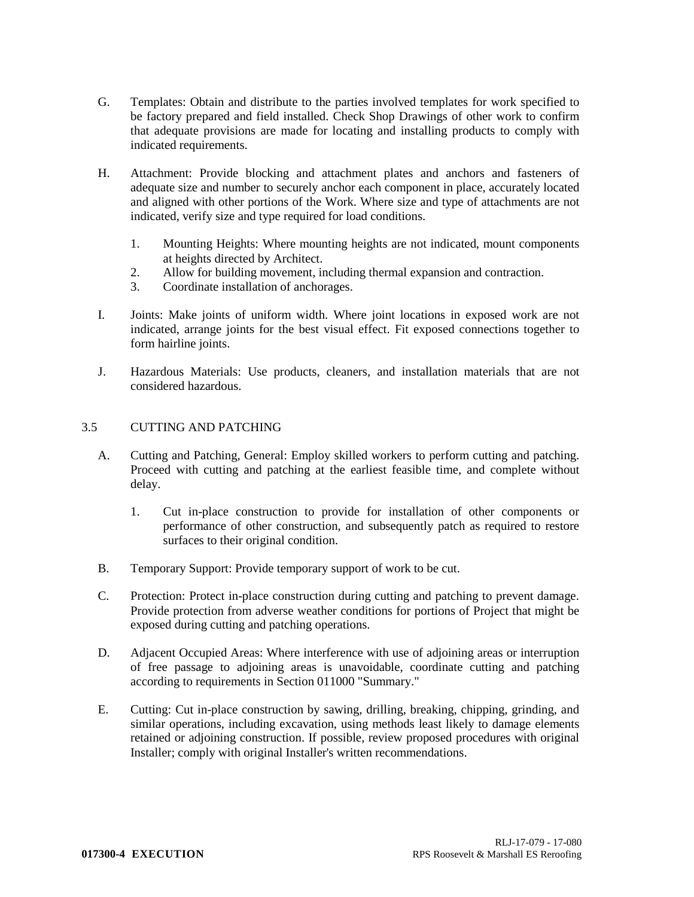- G. Templates: Obtain and distribute to the parties involved templates for work specified to be factory prepared and field installed. Check Shop Drawings of other work to confirm that adequate provisions are made for locating and installing products to comply with indicated requirements.
- H. Attachment: Provide blocking and attachment plates and anchors and fasteners of adequate size and number to securely anchor each component in place, accurately located and aligned with other portions of the Work. Where size and type of attachments are not indicated, verify size and type required for load conditions.
	- 1. Mounting Heights: Where mounting heights are not indicated, mount components at heights directed by Architect.
	- 2. Allow for building movement, including thermal expansion and contraction.
	- 3. Coordinate installation of anchorages.
- I. Joints: Make joints of uniform width. Where joint locations in exposed work are not indicated, arrange joints for the best visual effect. Fit exposed connections together to form hairline joints.
- J. Hazardous Materials: Use products, cleaners, and installation materials that are not considered hazardous.

## 3.5 CUTTING AND PATCHING

- A. Cutting and Patching, General: Employ skilled workers to perform cutting and patching. Proceed with cutting and patching at the earliest feasible time, and complete without delay.
	- 1. Cut in-place construction to provide for installation of other components or performance of other construction, and subsequently patch as required to restore surfaces to their original condition.
- B. Temporary Support: Provide temporary support of work to be cut.
- C. Protection: Protect in-place construction during cutting and patching to prevent damage. Provide protection from adverse weather conditions for portions of Project that might be exposed during cutting and patching operations.
- D. Adjacent Occupied Areas: Where interference with use of adjoining areas or interruption of free passage to adjoining areas is unavoidable, coordinate cutting and patching according to requirements in Section 011000 "Summary."
- E. Cutting: Cut in-place construction by sawing, drilling, breaking, chipping, grinding, and similar operations, including excavation, using methods least likely to damage elements retained or adjoining construction. If possible, review proposed procedures with original Installer; comply with original Installer's written recommendations.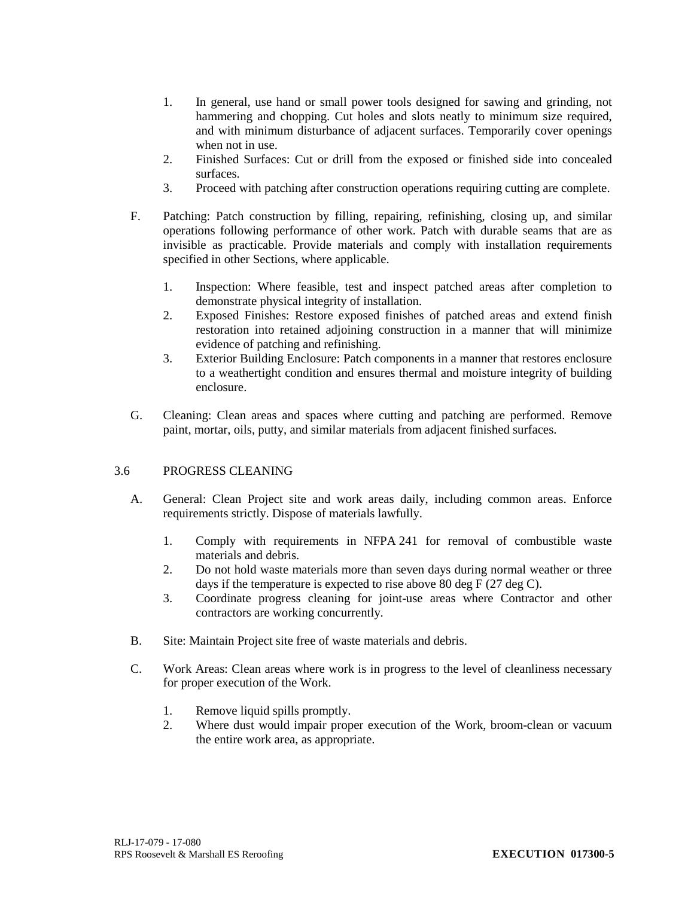- 1. In general, use hand or small power tools designed for sawing and grinding, not hammering and chopping. Cut holes and slots neatly to minimum size required, and with minimum disturbance of adjacent surfaces. Temporarily cover openings when not in use.
- 2. Finished Surfaces: Cut or drill from the exposed or finished side into concealed surfaces.
- 3. Proceed with patching after construction operations requiring cutting are complete.
- F. Patching: Patch construction by filling, repairing, refinishing, closing up, and similar operations following performance of other work. Patch with durable seams that are as invisible as practicable. Provide materials and comply with installation requirements specified in other Sections, where applicable.
	- 1. Inspection: Where feasible, test and inspect patched areas after completion to demonstrate physical integrity of installation.
	- 2. Exposed Finishes: Restore exposed finishes of patched areas and extend finish restoration into retained adjoining construction in a manner that will minimize evidence of patching and refinishing.
	- 3. Exterior Building Enclosure: Patch components in a manner that restores enclosure to a weathertight condition and ensures thermal and moisture integrity of building enclosure.
- G. Cleaning: Clean areas and spaces where cutting and patching are performed. Remove paint, mortar, oils, putty, and similar materials from adjacent finished surfaces.

## 3.6 PROGRESS CLEANING

- A. General: Clean Project site and work areas daily, including common areas. Enforce requirements strictly. Dispose of materials lawfully.
	- 1. Comply with requirements in NFPA 241 for removal of combustible waste materials and debris.
	- 2. Do not hold waste materials more than seven days during normal weather or three days if the temperature is expected to rise above 80 deg F (27 deg C).
	- 3. Coordinate progress cleaning for joint-use areas where Contractor and other contractors are working concurrently.
- B. Site: Maintain Project site free of waste materials and debris.
- C. Work Areas: Clean areas where work is in progress to the level of cleanliness necessary for proper execution of the Work.
	- 1. Remove liquid spills promptly.
	- 2. Where dust would impair proper execution of the Work, broom-clean or vacuum the entire work area, as appropriate.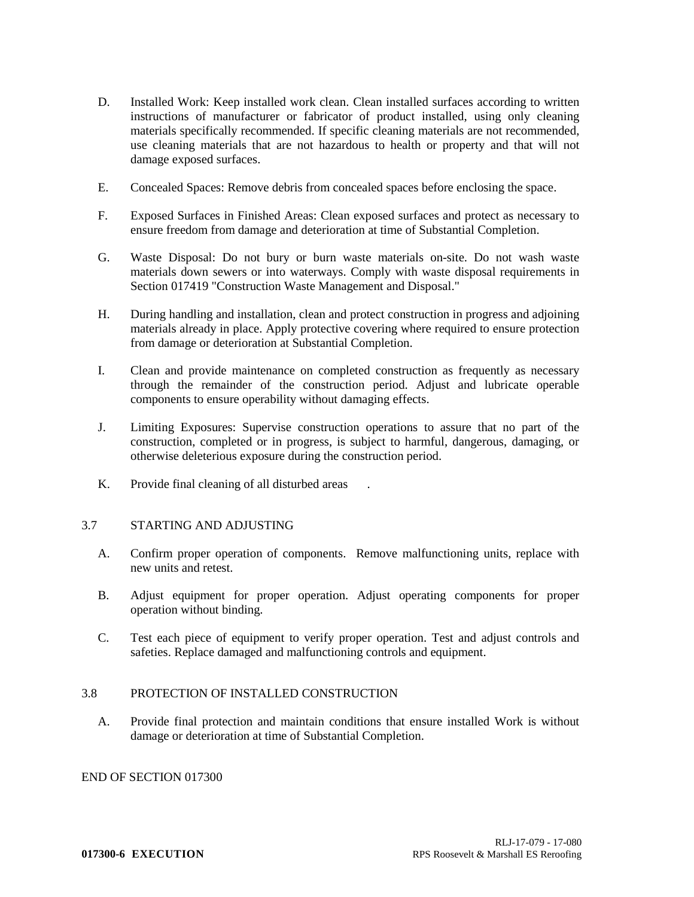- D. Installed Work: Keep installed work clean. Clean installed surfaces according to written instructions of manufacturer or fabricator of product installed, using only cleaning materials specifically recommended. If specific cleaning materials are not recommended, use cleaning materials that are not hazardous to health or property and that will not damage exposed surfaces.
- E. Concealed Spaces: Remove debris from concealed spaces before enclosing the space.
- F. Exposed Surfaces in Finished Areas: Clean exposed surfaces and protect as necessary to ensure freedom from damage and deterioration at time of Substantial Completion.
- G. Waste Disposal: Do not bury or burn waste materials on-site. Do not wash waste materials down sewers or into waterways. Comply with waste disposal requirements in Section 017419 "Construction Waste Management and Disposal."
- H. During handling and installation, clean and protect construction in progress and adjoining materials already in place. Apply protective covering where required to ensure protection from damage or deterioration at Substantial Completion.
- I. Clean and provide maintenance on completed construction as frequently as necessary through the remainder of the construction period. Adjust and lubricate operable components to ensure operability without damaging effects.
- J. Limiting Exposures: Supervise construction operations to assure that no part of the construction, completed or in progress, is subject to harmful, dangerous, damaging, or otherwise deleterious exposure during the construction period.
- K. Provide final cleaning of all disturbed areas

## 3.7 STARTING AND ADJUSTING

- A. Confirm proper operation of components. Remove malfunctioning units, replace with new units and retest.
- B. Adjust equipment for proper operation. Adjust operating components for proper operation without binding.
- C. Test each piece of equipment to verify proper operation. Test and adjust controls and safeties. Replace damaged and malfunctioning controls and equipment.

#### 3.8 PROTECTION OF INSTALLED CONSTRUCTION

A. Provide final protection and maintain conditions that ensure installed Work is without damage or deterioration at time of Substantial Completion.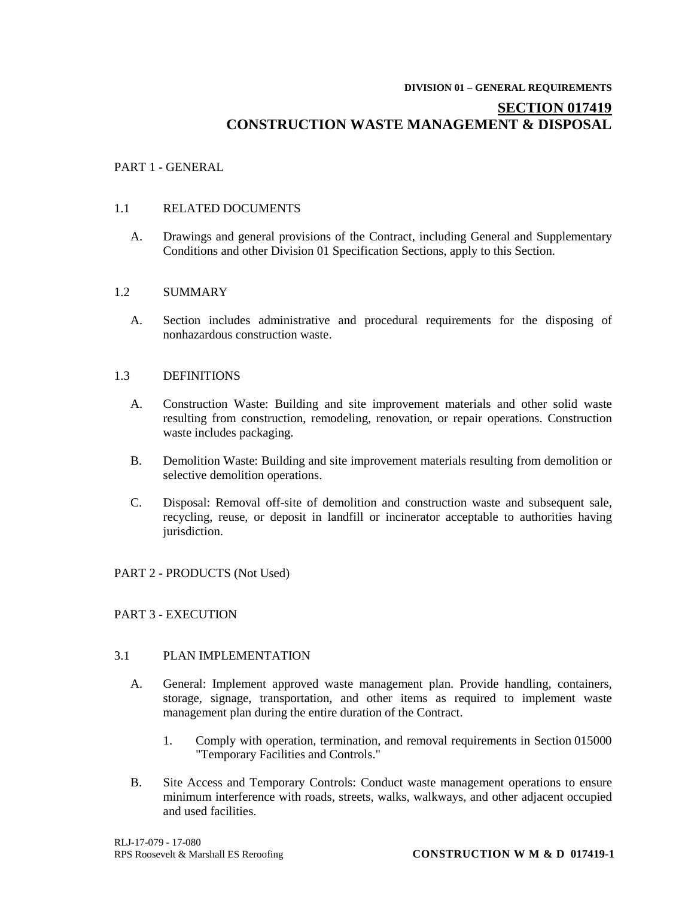#### **DIVISION 01 – GENERAL REQUIREMENTS**

## **SECTION 017419 CONSTRUCTION WASTE MANAGEMENT & DISPOSAL**

## PART 1 - GENERAL

## 1.1 RELATED DOCUMENTS

A. Drawings and general provisions of the Contract, including General and Supplementary Conditions and other Division 01 Specification Sections, apply to this Section.

#### 1.2 SUMMARY

A. Section includes administrative and procedural requirements for the disposing of nonhazardous construction waste.

### 1.3 DEFINITIONS

- A. Construction Waste: Building and site improvement materials and other solid waste resulting from construction, remodeling, renovation, or repair operations. Construction waste includes packaging.
- B. Demolition Waste: Building and site improvement materials resulting from demolition or selective demolition operations.
- C. Disposal: Removal off-site of demolition and construction waste and subsequent sale, recycling, reuse, or deposit in landfill or incinerator acceptable to authorities having jurisdiction.

## PART 2 - PRODUCTS (Not Used)

## PART 3 - EXECUTION

#### 3.1 PLAN IMPLEMENTATION

- A. General: Implement approved waste management plan. Provide handling, containers, storage, signage, transportation, and other items as required to implement waste management plan during the entire duration of the Contract.
	- 1. Comply with operation, termination, and removal requirements in Section 015000 "Temporary Facilities and Controls."
- B. Site Access and Temporary Controls: Conduct waste management operations to ensure minimum interference with roads, streets, walks, walkways, and other adjacent occupied and used facilities.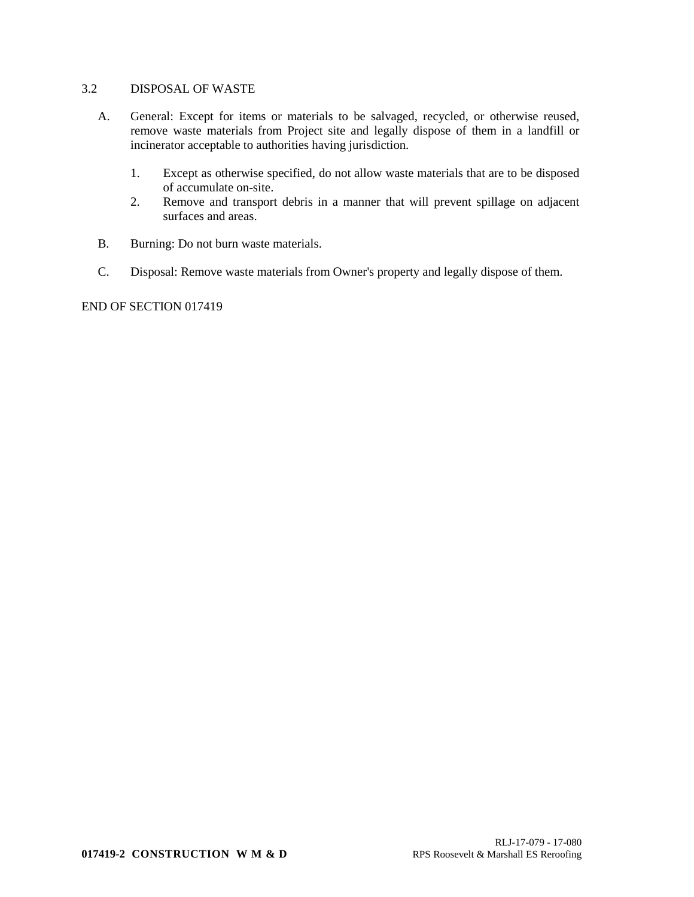## 3.2 DISPOSAL OF WASTE

- A. General: Except for items or materials to be salvaged, recycled, or otherwise reused, remove waste materials from Project site and legally dispose of them in a landfill or incinerator acceptable to authorities having jurisdiction.
	- 1. Except as otherwise specified, do not allow waste materials that are to be disposed of accumulate on-site.
	- 2. Remove and transport debris in a manner that will prevent spillage on adjacent surfaces and areas.
- B. Burning: Do not burn waste materials.
- C. Disposal: Remove waste materials from Owner's property and legally dispose of them.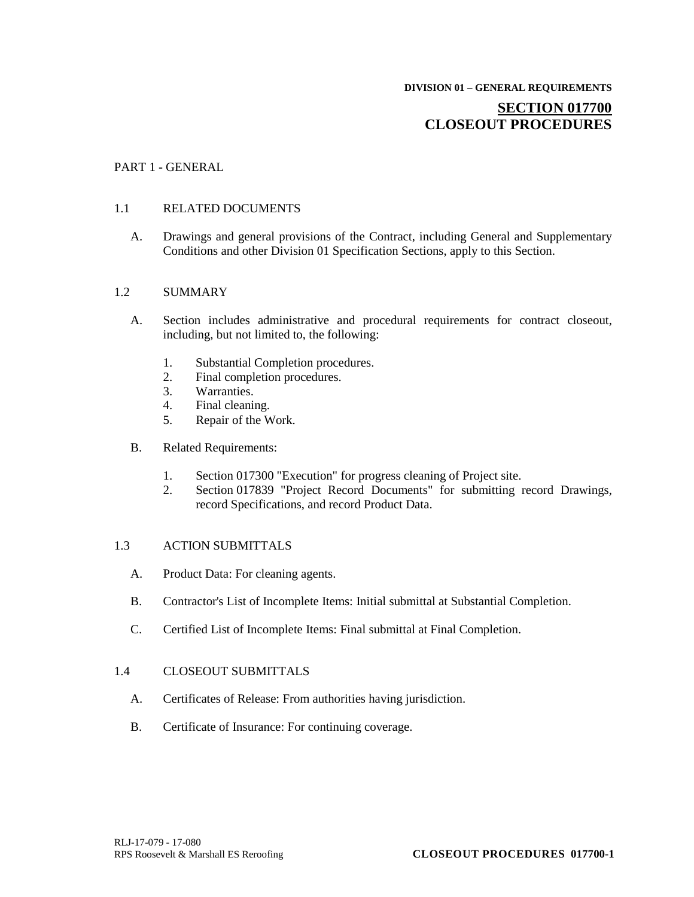## **SECTION 017700 CLOSEOUT PROCEDURES**

#### PART 1 - GENERAL

#### 1.1 RELATED DOCUMENTS

A. Drawings and general provisions of the Contract, including General and Supplementary Conditions and other Division 01 Specification Sections, apply to this Section.

#### 1.2 SUMMARY

- A. Section includes administrative and procedural requirements for contract closeout, including, but not limited to, the following:
	- 1. Substantial Completion procedures.<br>2. Final completion procedures.
	- Final completion procedures.
	- 3. Warranties.
	- 4. Final cleaning.
	- 5. Repair of the Work.
- B. Related Requirements:
	- 1. Section 017300 "Execution" for progress cleaning of Project site.
	- 2. Section 017839 "Project Record Documents" for submitting record Drawings, record Specifications, and record Product Data.

### 1.3 ACTION SUBMITTALS

- A. Product Data: For cleaning agents.
- B. Contractor's List of Incomplete Items: Initial submittal at Substantial Completion.
- C. Certified List of Incomplete Items: Final submittal at Final Completion.

#### 1.4 CLOSEOUT SUBMITTALS

- A. Certificates of Release: From authorities having jurisdiction.
- B. Certificate of Insurance: For continuing coverage.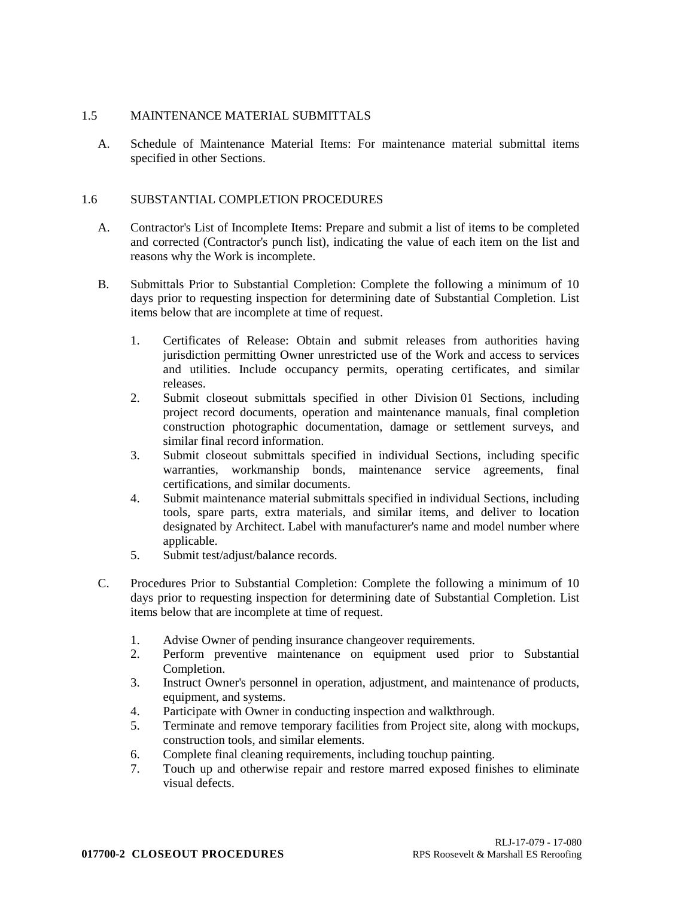## 1.5 MAINTENANCE MATERIAL SUBMITTALS

A. Schedule of Maintenance Material Items: For maintenance material submittal items specified in other Sections.

## 1.6 SUBSTANTIAL COMPLETION PROCEDURES

- A. Contractor's List of Incomplete Items: Prepare and submit a list of items to be completed and corrected (Contractor's punch list), indicating the value of each item on the list and reasons why the Work is incomplete.
- B. Submittals Prior to Substantial Completion: Complete the following a minimum of 10 days prior to requesting inspection for determining date of Substantial Completion. List items below that are incomplete at time of request.
	- 1. Certificates of Release: Obtain and submit releases from authorities having jurisdiction permitting Owner unrestricted use of the Work and access to services and utilities. Include occupancy permits, operating certificates, and similar releases.
	- 2. Submit closeout submittals specified in other Division 01 Sections, including project record documents, operation and maintenance manuals, final completion construction photographic documentation, damage or settlement surveys, and similar final record information.
	- 3. Submit closeout submittals specified in individual Sections, including specific warranties, workmanship bonds, maintenance service agreements, final certifications, and similar documents.
	- 4. Submit maintenance material submittals specified in individual Sections, including tools, spare parts, extra materials, and similar items, and deliver to location designated by Architect. Label with manufacturer's name and model number where applicable.
	- 5. Submit test/adjust/balance records.
- C. Procedures Prior to Substantial Completion: Complete the following a minimum of 10 days prior to requesting inspection for determining date of Substantial Completion. List items below that are incomplete at time of request.
	- 1. Advise Owner of pending insurance changeover requirements.
	- 2. Perform preventive maintenance on equipment used prior to Substantial Completion.
	- 3. Instruct Owner's personnel in operation, adjustment, and maintenance of products, equipment, and systems.
	- 4. Participate with Owner in conducting inspection and walkthrough.
	- 5. Terminate and remove temporary facilities from Project site, along with mockups, construction tools, and similar elements.
	- 6. Complete final cleaning requirements, including touchup painting.
	- 7. Touch up and otherwise repair and restore marred exposed finishes to eliminate visual defects.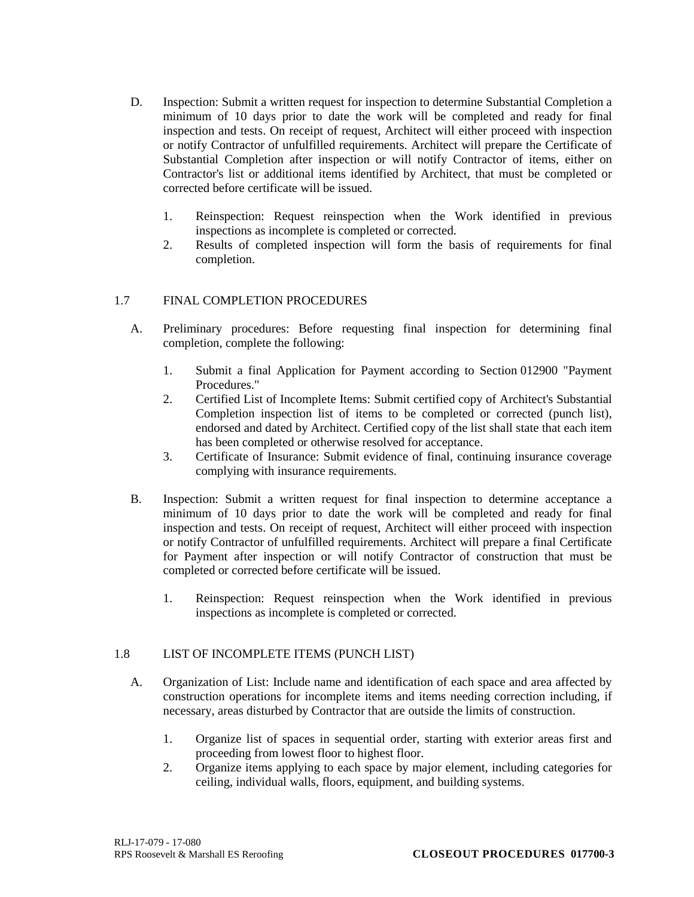- D. Inspection: Submit a written request for inspection to determine Substantial Completion a minimum of 10 days prior to date the work will be completed and ready for final inspection and tests. On receipt of request, Architect will either proceed with inspection or notify Contractor of unfulfilled requirements. Architect will prepare the Certificate of Substantial Completion after inspection or will notify Contractor of items, either on Contractor's list or additional items identified by Architect, that must be completed or corrected before certificate will be issued.
	- 1. Reinspection: Request reinspection when the Work identified in previous inspections as incomplete is completed or corrected.
	- 2. Results of completed inspection will form the basis of requirements for final completion.

## 1.7 FINAL COMPLETION PROCEDURES

- A. Preliminary procedures: Before requesting final inspection for determining final completion, complete the following:
	- 1. Submit a final Application for Payment according to Section 012900 "Payment Procedures."
	- 2. Certified List of Incomplete Items: Submit certified copy of Architect's Substantial Completion inspection list of items to be completed or corrected (punch list), endorsed and dated by Architect. Certified copy of the list shall state that each item has been completed or otherwise resolved for acceptance.
	- 3. Certificate of Insurance: Submit evidence of final, continuing insurance coverage complying with insurance requirements.
- B. Inspection: Submit a written request for final inspection to determine acceptance a minimum of 10 days prior to date the work will be completed and ready for final inspection and tests. On receipt of request, Architect will either proceed with inspection or notify Contractor of unfulfilled requirements. Architect will prepare a final Certificate for Payment after inspection or will notify Contractor of construction that must be completed or corrected before certificate will be issued.
	- 1. Reinspection: Request reinspection when the Work identified in previous inspections as incomplete is completed or corrected.

## 1.8 LIST OF INCOMPLETE ITEMS (PUNCH LIST)

- A. Organization of List: Include name and identification of each space and area affected by construction operations for incomplete items and items needing correction including, if necessary, areas disturbed by Contractor that are outside the limits of construction.
	- 1. Organize list of spaces in sequential order, starting with exterior areas first and proceeding from lowest floor to highest floor.
	- 2. Organize items applying to each space by major element, including categories for ceiling, individual walls, floors, equipment, and building systems.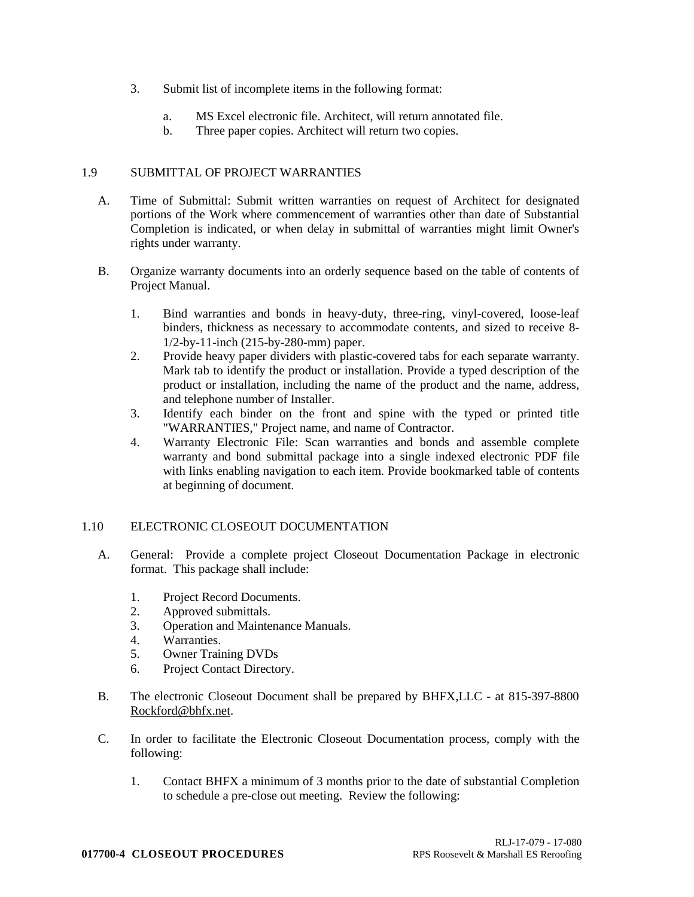- 3. Submit list of incomplete items in the following format:
	- a. MS Excel electronic file. Architect, will return annotated file.
	- b. Three paper copies. Architect will return two copies.

## 1.9 SUBMITTAL OF PROJECT WARRANTIES

- A. Time of Submittal: Submit written warranties on request of Architect for designated portions of the Work where commencement of warranties other than date of Substantial Completion is indicated, or when delay in submittal of warranties might limit Owner's rights under warranty.
- B. Organize warranty documents into an orderly sequence based on the table of contents of Project Manual.
	- 1. Bind warranties and bonds in heavy-duty, three-ring, vinyl-covered, loose-leaf binders, thickness as necessary to accommodate contents, and sized to receive 8- 1/2-by-11-inch (215-by-280-mm) paper.
	- 2. Provide heavy paper dividers with plastic-covered tabs for each separate warranty. Mark tab to identify the product or installation. Provide a typed description of the product or installation, including the name of the product and the name, address, and telephone number of Installer.
	- 3. Identify each binder on the front and spine with the typed or printed title "WARRANTIES," Project name, and name of Contractor.
	- 4. Warranty Electronic File: Scan warranties and bonds and assemble complete warranty and bond submittal package into a single indexed electronic PDF file with links enabling navigation to each item. Provide bookmarked table of contents at beginning of document.

## 1.10 ELECTRONIC CLOSEOUT DOCUMENTATION

- A. General: Provide a complete project Closeout Documentation Package in electronic format. This package shall include:
	- 1. Project Record Documents.
	- 2. Approved submittals.
	- 3. Operation and Maintenance Manuals.
	- 4. Warranties.
	- 5. Owner Training DVDs
	- 6. Project Contact Directory.
- B. The electronic Closeout Document shall be prepared by BHFX,LLC at 815-397-8800 Rockford@bhfx.net.
- C. In order to facilitate the Electronic Closeout Documentation process, comply with the following:
	- 1. Contact BHFX a minimum of 3 months prior to the date of substantial Completion to schedule a pre-close out meeting. Review the following: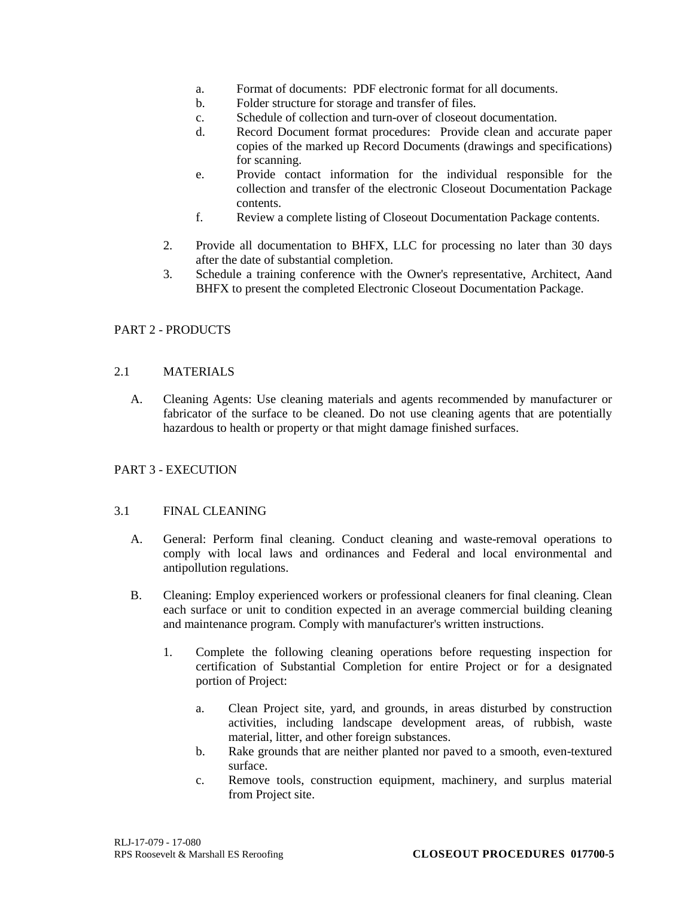- a. Format of documents: PDF electronic format for all documents.
- b. Folder structure for storage and transfer of files.
- c. Schedule of collection and turn-over of closeout documentation.
- d. Record Document format procedures: Provide clean and accurate paper copies of the marked up Record Documents (drawings and specifications) for scanning.
- e. Provide contact information for the individual responsible for the collection and transfer of the electronic Closeout Documentation Package contents.
- f. Review a complete listing of Closeout Documentation Package contents.
- 2. Provide all documentation to BHFX, LLC for processing no later than 30 days after the date of substantial completion.
- 3. Schedule a training conference with the Owner's representative, Architect, Aand BHFX to present the completed Electronic Closeout Documentation Package.

## PART 2 - PRODUCTS

## 2.1 MATERIALS

A. Cleaning Agents: Use cleaning materials and agents recommended by manufacturer or fabricator of the surface to be cleaned. Do not use cleaning agents that are potentially hazardous to health or property or that might damage finished surfaces.

## PART 3 - EXECUTION

## 3.1 FINAL CLEANING

- A. General: Perform final cleaning. Conduct cleaning and waste-removal operations to comply with local laws and ordinances and Federal and local environmental and antipollution regulations.
- B. Cleaning: Employ experienced workers or professional cleaners for final cleaning. Clean each surface or unit to condition expected in an average commercial building cleaning and maintenance program. Comply with manufacturer's written instructions.
	- 1. Complete the following cleaning operations before requesting inspection for certification of Substantial Completion for entire Project or for a designated portion of Project:
		- a. Clean Project site, yard, and grounds, in areas disturbed by construction activities, including landscape development areas, of rubbish, waste material, litter, and other foreign substances.
		- b. Rake grounds that are neither planted nor paved to a smooth, even-textured surface.
		- c. Remove tools, construction equipment, machinery, and surplus material from Project site.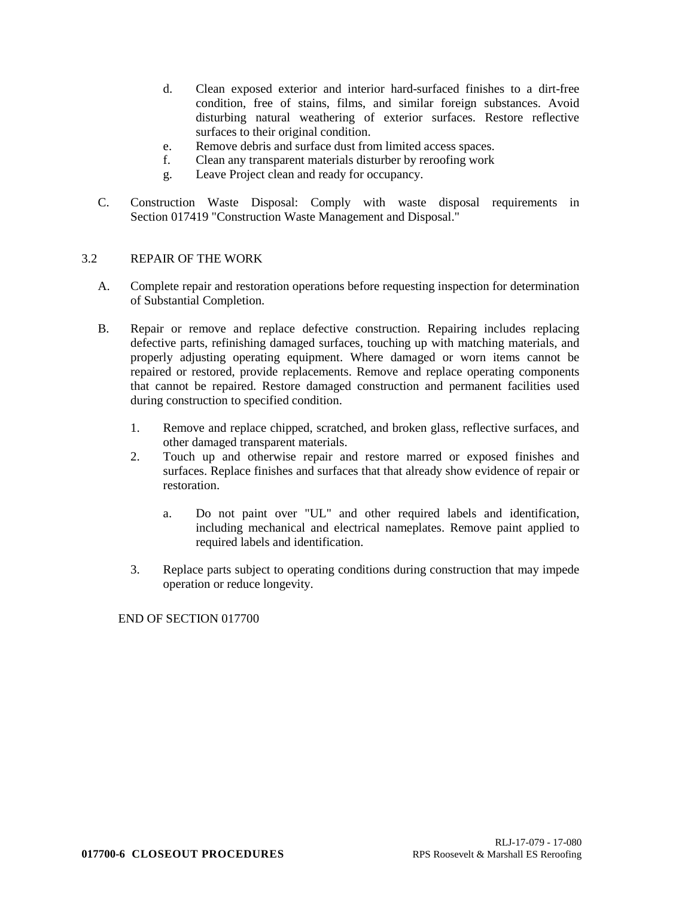- d. Clean exposed exterior and interior hard-surfaced finishes to a dirt-free condition, free of stains, films, and similar foreign substances. Avoid disturbing natural weathering of exterior surfaces. Restore reflective surfaces to their original condition.
- e. Remove debris and surface dust from limited access spaces.
- f. Clean any transparent materials disturber by reroofing work
- g. Leave Project clean and ready for occupancy.
- C. Construction Waste Disposal: Comply with waste disposal requirements in Section 017419 "Construction Waste Management and Disposal."

## 3.2 REPAIR OF THE WORK

- A. Complete repair and restoration operations before requesting inspection for determination of Substantial Completion.
- B. Repair or remove and replace defective construction. Repairing includes replacing defective parts, refinishing damaged surfaces, touching up with matching materials, and properly adjusting operating equipment. Where damaged or worn items cannot be repaired or restored, provide replacements. Remove and replace operating components that cannot be repaired. Restore damaged construction and permanent facilities used during construction to specified condition.
	- 1. Remove and replace chipped, scratched, and broken glass, reflective surfaces, and other damaged transparent materials.
	- 2. Touch up and otherwise repair and restore marred or exposed finishes and surfaces. Replace finishes and surfaces that that already show evidence of repair or restoration.
		- a. Do not paint over "UL" and other required labels and identification, including mechanical and electrical nameplates. Remove paint applied to required labels and identification.
	- 3. Replace parts subject to operating conditions during construction that may impede operation or reduce longevity.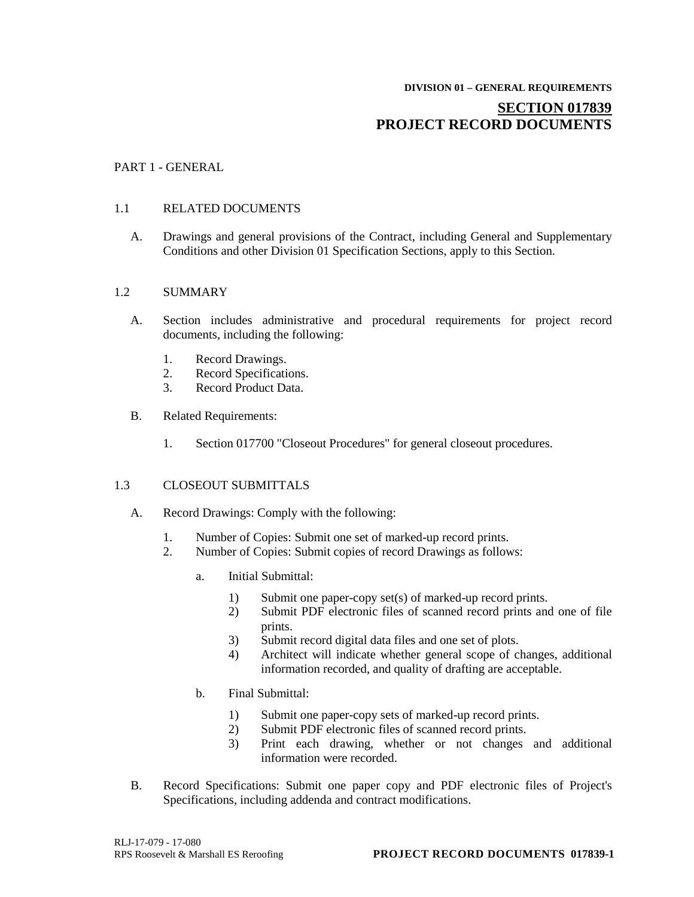# **DIVISION 01 – GENERAL REQUIREMENTS**

## **SECTION 017839 PROJECT RECORD DOCUMENTS**

## PART 1 - GENERAL

## 1.1 RELATED DOCUMENTS

A. Drawings and general provisions of the Contract, including General and Supplementary Conditions and other Division 01 Specification Sections, apply to this Section.

## 1.2 SUMMARY

- A. Section includes administrative and procedural requirements for project record documents, including the following:
	- 1. Record Drawings.<br>2. Record Specificati
	- Record Specifications.
	- 3. Record Product Data.
- B. Related Requirements:
	- 1. Section 017700 "Closeout Procedures" for general closeout procedures.

## 1.3 CLOSEOUT SUBMITTALS

- A. Record Drawings: Comply with the following:
	- 1. Number of Copies: Submit one set of marked-up record prints.
	- 2. Number of Copies: Submit copies of record Drawings as follows:
		- a. Initial Submittal:
			- 1) Submit one paper-copy set(s) of marked-up record prints.
			- 2) Submit PDF electronic files of scanned record prints and one of file prints.
			- 3) Submit record digital data files and one set of plots.
			- 4) Architect will indicate whether general scope of changes, additional information recorded, and quality of drafting are acceptable.
		- b. Final Submittal:
			- 1) Submit one paper-copy sets of marked-up record prints.
			- 2) Submit PDF electronic files of scanned record prints.
			- 3) Print each drawing, whether or not changes and additional information were recorded.
- B. Record Specifications: Submit one paper copy and PDF electronic files of Project's Specifications, including addenda and contract modifications.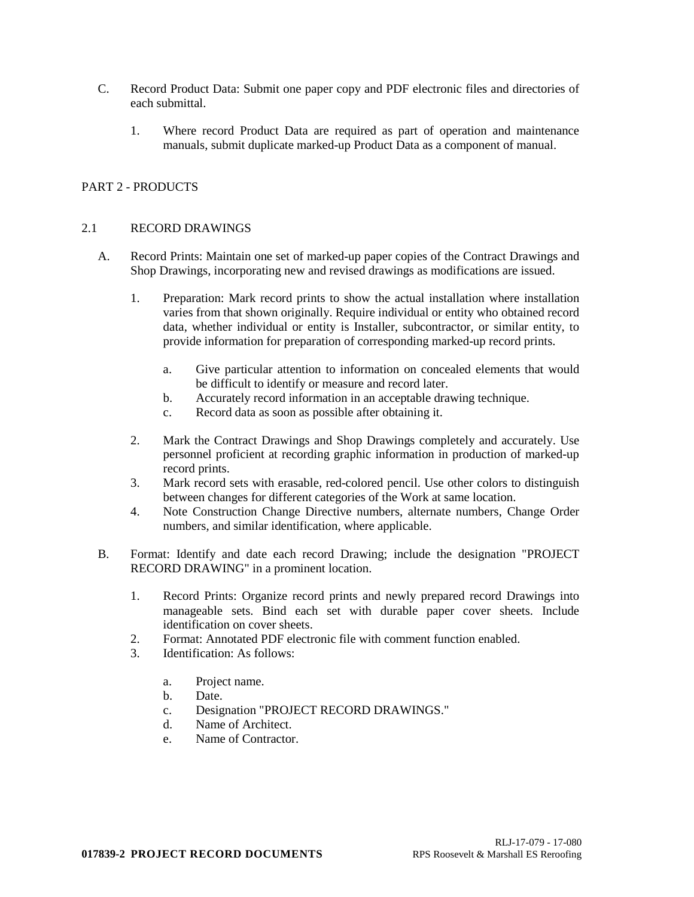- C. Record Product Data: Submit one paper copy and PDF electronic files and directories of each submittal.
	- 1. Where record Product Data are required as part of operation and maintenance manuals, submit duplicate marked-up Product Data as a component of manual.

## PART 2 - PRODUCTS

## 2.1 RECORD DRAWINGS

- A. Record Prints: Maintain one set of marked-up paper copies of the Contract Drawings and Shop Drawings, incorporating new and revised drawings as modifications are issued.
	- 1. Preparation: Mark record prints to show the actual installation where installation varies from that shown originally. Require individual or entity who obtained record data, whether individual or entity is Installer, subcontractor, or similar entity, to provide information for preparation of corresponding marked-up record prints.
		- a. Give particular attention to information on concealed elements that would be difficult to identify or measure and record later.
		- b. Accurately record information in an acceptable drawing technique.
		- c. Record data as soon as possible after obtaining it.
	- 2. Mark the Contract Drawings and Shop Drawings completely and accurately. Use personnel proficient at recording graphic information in production of marked-up record prints.
	- 3. Mark record sets with erasable, red-colored pencil. Use other colors to distinguish between changes for different categories of the Work at same location.
	- 4. Note Construction Change Directive numbers, alternate numbers, Change Order numbers, and similar identification, where applicable.
- B. Format: Identify and date each record Drawing; include the designation "PROJECT RECORD DRAWING" in a prominent location.
	- 1. Record Prints: Organize record prints and newly prepared record Drawings into manageable sets. Bind each set with durable paper cover sheets. Include identification on cover sheets.
	- 2. Format: Annotated PDF electronic file with comment function enabled.
	- 3. Identification: As follows:
		- a. Project name.
		- b. Date.
		- c. Designation "PROJECT RECORD DRAWINGS."
		- d. Name of Architect.
		- e. Name of Contractor.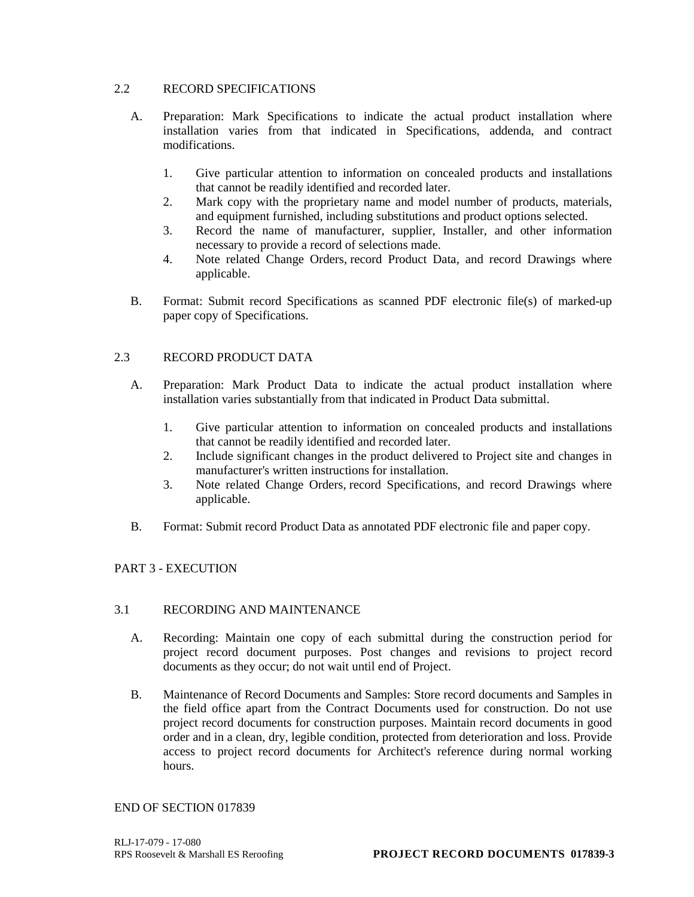## 2.2 RECORD SPECIFICATIONS

- A. Preparation: Mark Specifications to indicate the actual product installation where installation varies from that indicated in Specifications, addenda, and contract modifications.
	- 1. Give particular attention to information on concealed products and installations that cannot be readily identified and recorded later.
	- 2. Mark copy with the proprietary name and model number of products, materials, and equipment furnished, including substitutions and product options selected.
	- 3. Record the name of manufacturer, supplier, Installer, and other information necessary to provide a record of selections made.
	- 4. Note related Change Orders, record Product Data, and record Drawings where applicable.
- B. Format: Submit record Specifications as scanned PDF electronic file(s) of marked-up paper copy of Specifications.

## 2.3 RECORD PRODUCT DATA

- A. Preparation: Mark Product Data to indicate the actual product installation where installation varies substantially from that indicated in Product Data submittal.
	- 1. Give particular attention to information on concealed products and installations that cannot be readily identified and recorded later.
	- 2. Include significant changes in the product delivered to Project site and changes in manufacturer's written instructions for installation.
	- 3. Note related Change Orders, record Specifications, and record Drawings where applicable.
- B. Format: Submit record Product Data as annotated PDF electronic file and paper copy.

## PART 3 - EXECUTION

## 3.1 RECORDING AND MAINTENANCE

- A. Recording: Maintain one copy of each submittal during the construction period for project record document purposes. Post changes and revisions to project record documents as they occur; do not wait until end of Project.
- B. Maintenance of Record Documents and Samples: Store record documents and Samples in the field office apart from the Contract Documents used for construction. Do not use project record documents for construction purposes. Maintain record documents in good order and in a clean, dry, legible condition, protected from deterioration and loss. Provide access to project record documents for Architect's reference during normal working hours.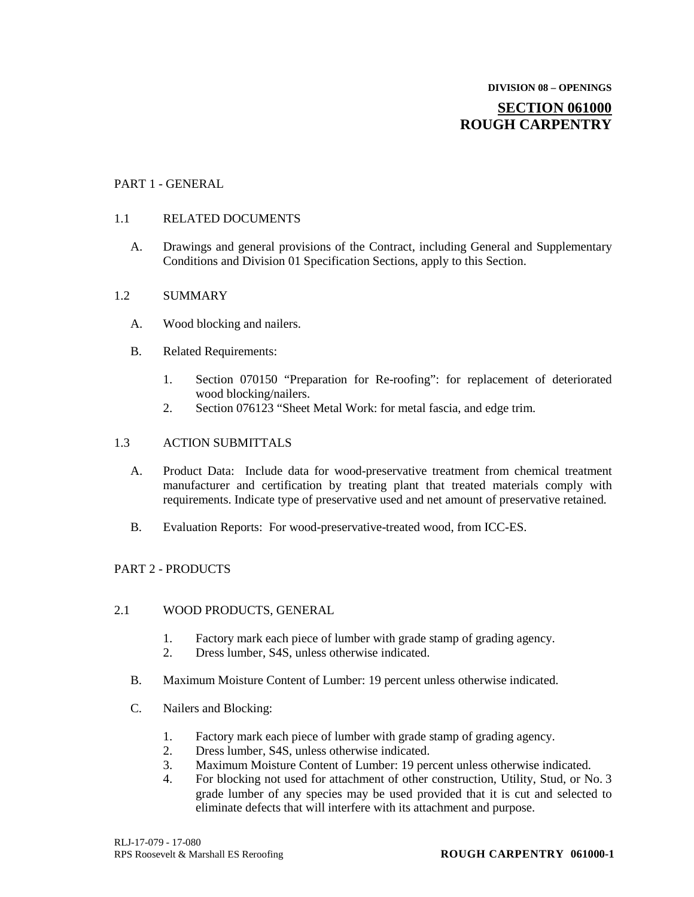## **DIVISION 08 – OPENINGS SECTION 061000 ROUGH CARPENTRY**

## PART 1 - GENERAL

## 1.1 RELATED DOCUMENTS

A. Drawings and general provisions of the Contract, including General and Supplementary Conditions and Division 01 Specification Sections, apply to this Section.

## 1.2 SUMMARY

- A. Wood blocking and nailers.
- B. Related Requirements:
	- 1. Section 070150 "Preparation for Re-roofing": for replacement of deteriorated wood blocking/nailers.
	- 2. Section 076123 "Sheet Metal Work: for metal fascia, and edge trim.

## 1.3 ACTION SUBMITTALS

- A. Product Data: Include data for wood-preservative treatment from chemical treatment manufacturer and certification by treating plant that treated materials comply with requirements. Indicate type of preservative used and net amount of preservative retained.
- B. Evaluation Reports: For wood-preservative-treated wood, from ICC-ES.

## PART 2 - PRODUCTS

## 2.1 WOOD PRODUCTS, GENERAL

- 1. Factory mark each piece of lumber with grade stamp of grading agency.
- 2. Dress lumber, S4S, unless otherwise indicated.
- B. Maximum Moisture Content of Lumber: 19 percent unless otherwise indicated.
- C. Nailers and Blocking:
	- 1. Factory mark each piece of lumber with grade stamp of grading agency.
	- 2. Dress lumber, S4S, unless otherwise indicated.
	- 3. Maximum Moisture Content of Lumber: 19 percent unless otherwise indicated.
	- 4. For blocking not used for attachment of other construction, Utility, Stud, or No. 3 grade lumber of any species may be used provided that it is cut and selected to eliminate defects that will interfere with its attachment and purpose.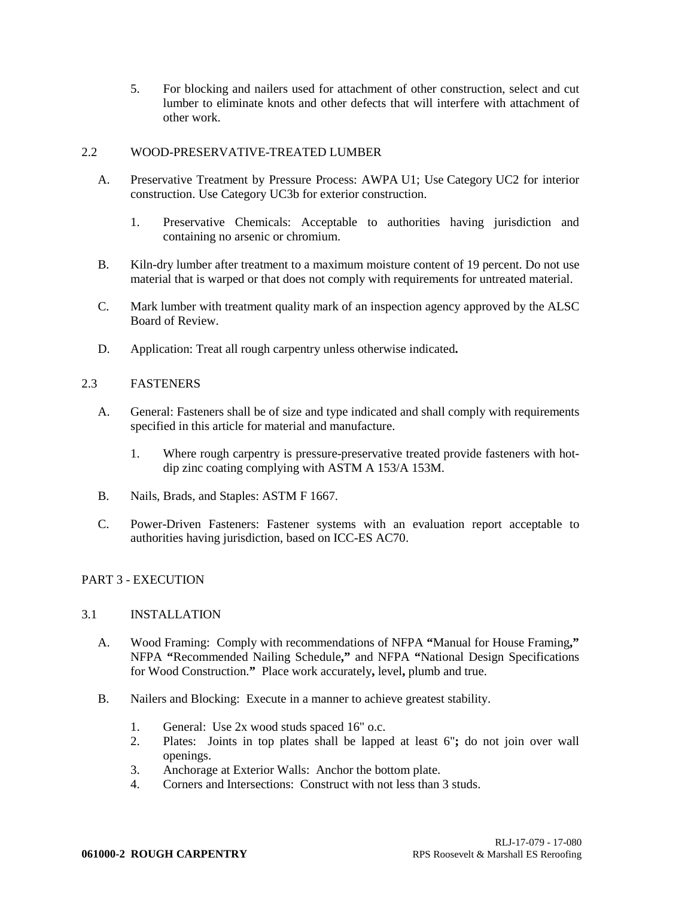5. For blocking and nailers used for attachment of other construction, select and cut lumber to eliminate knots and other defects that will interfere with attachment of other work.

## 2.2 WOOD-PRESERVATIVE-TREATED LUMBER

- A. Preservative Treatment by Pressure Process: AWPA U1; Use Category UC2 for interior construction. Use Category UC3b for exterior construction.
	- 1. Preservative Chemicals: Acceptable to authorities having jurisdiction and containing no arsenic or chromium.
- B. Kiln-dry lumber after treatment to a maximum moisture content of 19 percent. Do not use material that is warped or that does not comply with requirements for untreated material.
- C. Mark lumber with treatment quality mark of an inspection agency approved by the ALSC Board of Review.
- D. Application: Treat all rough carpentry unless otherwise indicated**.**

## 2.3 FASTENERS

- A. General: Fasteners shall be of size and type indicated and shall comply with requirements specified in this article for material and manufacture.
	- 1. Where rough carpentry is pressure-preservative treated provide fasteners with hotdip zinc coating complying with ASTM A 153/A 153M.
- B. Nails, Brads, and Staples: ASTM F 1667.
- C. Power-Driven Fasteners: Fastener systems with an evaluation report acceptable to authorities having jurisdiction, based on ICC-ES AC70.

## PART 3 - EXECUTION

## 3.1 INSTALLATION

- A. Wood Framing: Comply with recommendations of NFPA **"**Manual for House Framing**,"** NFPA **"**Recommended Nailing Schedule**,"** and NFPA **"**National Design Specifications for Wood Construction.**"** Place work accurately**,** level**,** plumb and true.
- B. Nailers and Blocking: Execute in a manner to achieve greatest stability.
	- 1. General: Use 2x wood studs spaced 16" o.c.
	- 2. Plates: Joints in top plates shall be lapped at least 6"**;** do not join over wall openings.
	- 3. Anchorage at Exterior Walls: Anchor the bottom plate.
	- 4. Corners and Intersections: Construct with not less than 3 studs.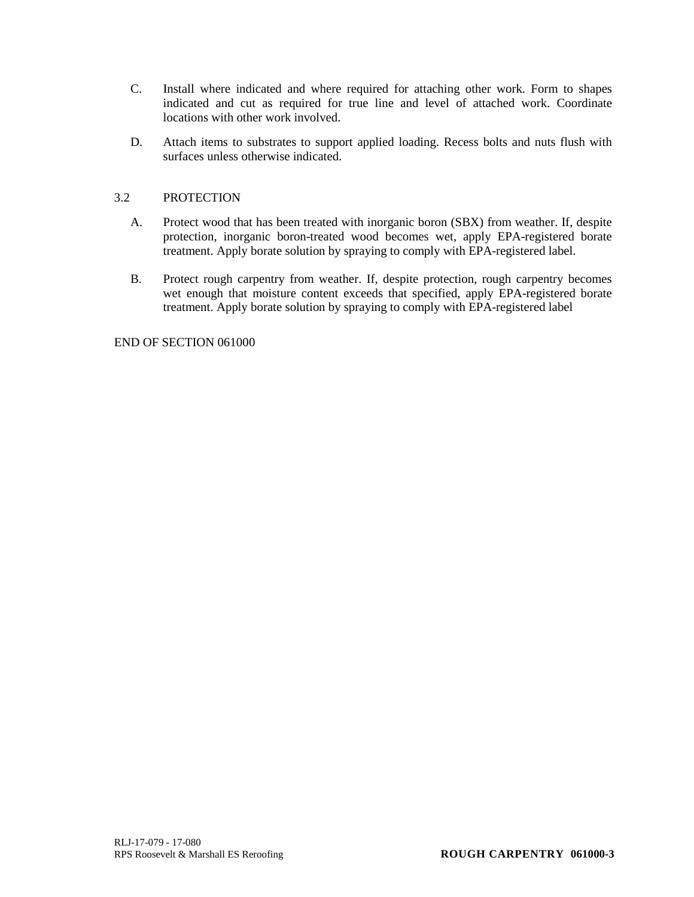- C. Install where indicated and where required for attaching other work. Form to shapes indicated and cut as required for true line and level of attached work. Coordinate locations with other work involved.
- D. Attach items to substrates to support applied loading. Recess bolts and nuts flush with surfaces unless otherwise indicated.

## 3.2 PROTECTION

- A. Protect wood that has been treated with inorganic boron (SBX) from weather. If, despite protection, inorganic boron-treated wood becomes wet, apply EPA-registered borate treatment. Apply borate solution by spraying to comply with EPA-registered label.
- B. Protect rough carpentry from weather. If, despite protection, rough carpentry becomes wet enough that moisture content exceeds that specified, apply EPA-registered borate treatment. Apply borate solution by spraying to comply with EPA-registered label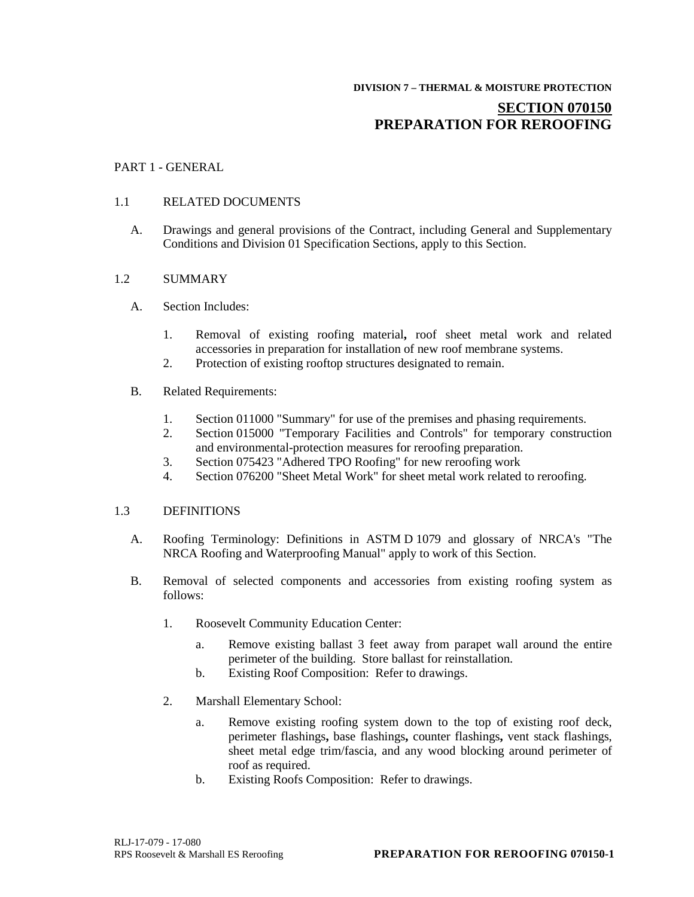## **SECTION 070150 PREPARATION FOR REROOFING**

## PART 1 - GENERAL

#### 1.1 RELATED DOCUMENTS

A. Drawings and general provisions of the Contract, including General and Supplementary Conditions and Division 01 Specification Sections, apply to this Section.

#### 1.2 SUMMARY

- A. Section Includes:
	- 1. Removal of existing roofing material**,** roof sheet metal work and related accessories in preparation for installation of new roof membrane systems.
	- 2. Protection of existing rooftop structures designated to remain.

#### B. Related Requirements:

- 1. Section 011000 "Summary" for use of the premises and phasing requirements.
- 2. Section 015000 "Temporary Facilities and Controls" for temporary construction and environmental-protection measures for reroofing preparation.
- 3. Section 075423 "Adhered TPO Roofing" for new reroofing work
- 4. Section 076200 "Sheet Metal Work" for sheet metal work related to reroofing.

#### 1.3 DEFINITIONS

- A. Roofing Terminology: Definitions in ASTM D 1079 and glossary of NRCA's "The NRCA Roofing and Waterproofing Manual" apply to work of this Section.
- B. Removal of selected components and accessories from existing roofing system as follows:
	- 1. Roosevelt Community Education Center:
		- a. Remove existing ballast 3 feet away from parapet wall around the entire perimeter of the building. Store ballast for reinstallation.
		- b. Existing Roof Composition: Refer to drawings.
	- 2. Marshall Elementary School:
		- a. Remove existing roofing system down to the top of existing roof deck, perimeter flashings**,** base flashings**,** counter flashings**,** vent stack flashings, sheet metal edge trim/fascia, and any wood blocking around perimeter of roof as required.
		- b. Existing Roofs Composition: Refer to drawings.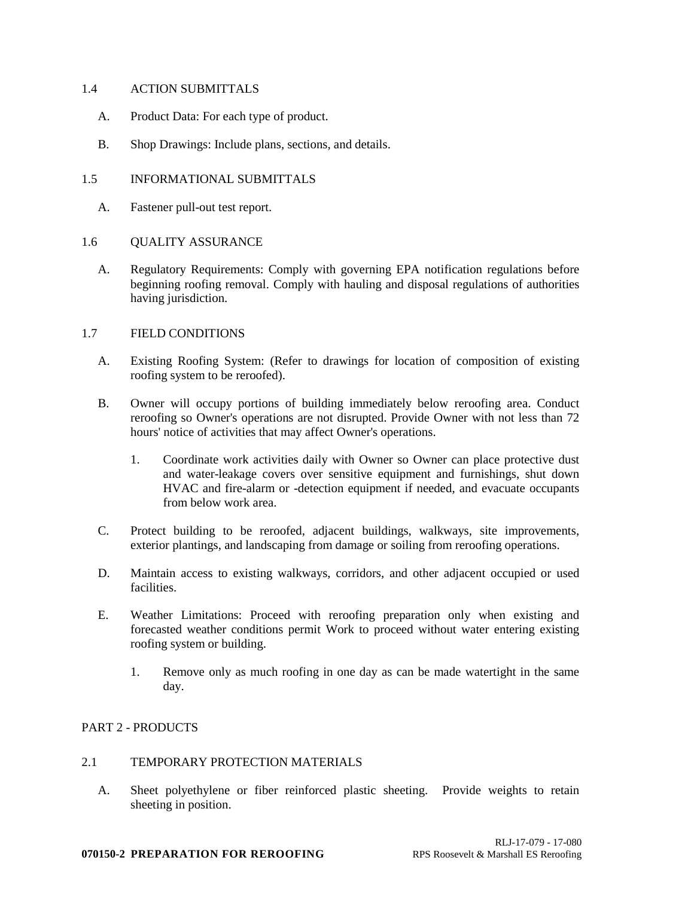#### 1.4 ACTION SUBMITTALS

- A. Product Data: For each type of product.
- B. Shop Drawings: Include plans, sections, and details.

#### 1.5 INFORMATIONAL SUBMITTALS

- A. Fastener pull-out test report.
- 1.6 QUALITY ASSURANCE
	- A. Regulatory Requirements: Comply with governing EPA notification regulations before beginning roofing removal. Comply with hauling and disposal regulations of authorities having jurisdiction.

## 1.7 FIELD CONDITIONS

- A. Existing Roofing System: (Refer to drawings for location of composition of existing roofing system to be reroofed).
- B. Owner will occupy portions of building immediately below reroofing area. Conduct reroofing so Owner's operations are not disrupted. Provide Owner with not less than 72 hours' notice of activities that may affect Owner's operations.
	- 1. Coordinate work activities daily with Owner so Owner can place protective dust and water-leakage covers over sensitive equipment and furnishings, shut down HVAC and fire-alarm or -detection equipment if needed, and evacuate occupants from below work area.
- C. Protect building to be reroofed, adjacent buildings, walkways, site improvements, exterior plantings, and landscaping from damage or soiling from reroofing operations.
- D. Maintain access to existing walkways, corridors, and other adjacent occupied or used facilities.
- E. Weather Limitations: Proceed with reroofing preparation only when existing and forecasted weather conditions permit Work to proceed without water entering existing roofing system or building.
	- 1. Remove only as much roofing in one day as can be made watertight in the same day.

## PART 2 - PRODUCTS

#### 2.1 TEMPORARY PROTECTION MATERIALS

A. Sheet polyethylene or fiber reinforced plastic sheeting. Provide weights to retain sheeting in position.

#### **070150-2 PREPARATION FOR REROOFING** RPS Roosevelt & Marshall ES Reroofing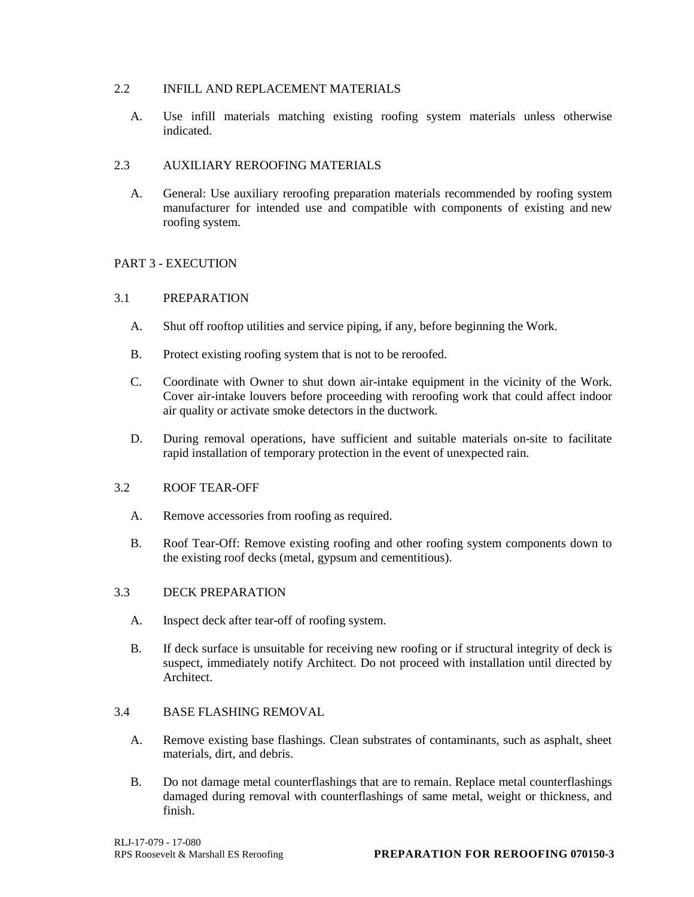## 2.2 INFILL AND REPLACEMENT MATERIALS

A. Use infill materials matching existing roofing system materials unless otherwise indicated.

## 2.3 AUXILIARY REROOFING MATERIALS

A. General: Use auxiliary reroofing preparation materials recommended by roofing system manufacturer for intended use and compatible with components of existing and new roofing system.

## PART 3 - EXECUTION

## 3.1 PREPARATION

- A. Shut off rooftop utilities and service piping, if any, before beginning the Work.
- B. Protect existing roofing system that is not to be reroofed.
- C. Coordinate with Owner to shut down air-intake equipment in the vicinity of the Work. Cover air-intake louvers before proceeding with reroofing work that could affect indoor air quality or activate smoke detectors in the ductwork.
- D. During removal operations, have sufficient and suitable materials on-site to facilitate rapid installation of temporary protection in the event of unexpected rain.

## 3.2 ROOF TEAR-OFF

- A. Remove accessories from roofing as required.
- B. Roof Tear-Off: Remove existing roofing and other roofing system components down to the existing roof decks (metal, gypsum and cementitious).

## 3.3 DECK PREPARATION

- A. Inspect deck after tear-off of roofing system.
- B. If deck surface is unsuitable for receiving new roofing or if structural integrity of deck is suspect, immediately notify Architect. Do not proceed with installation until directed by Architect.

## 3.4 BASE FLASHING REMOVAL

- A. Remove existing base flashings. Clean substrates of contaminants, such as asphalt, sheet materials, dirt, and debris.
- B. Do not damage metal counterflashings that are to remain. Replace metal counterflashings damaged during removal with counterflashings of same metal, weight or thickness, and finish.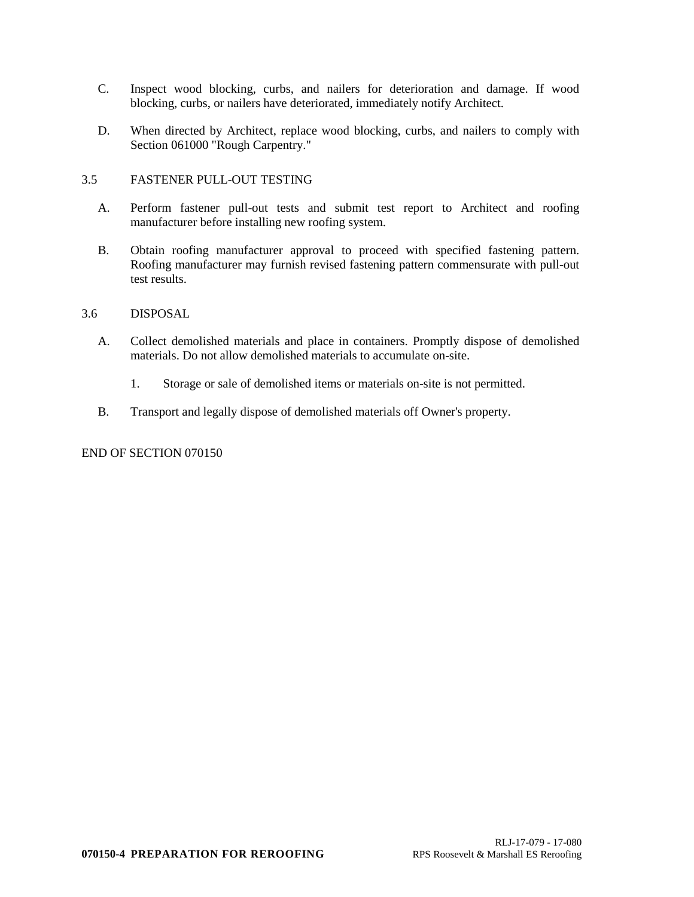- C. Inspect wood blocking, curbs, and nailers for deterioration and damage. If wood blocking, curbs, or nailers have deteriorated, immediately notify Architect.
- D. When directed by Architect, replace wood blocking, curbs, and nailers to comply with Section 061000 "Rough Carpentry."

## 3.5 FASTENER PULL-OUT TESTING

- A. Perform fastener pull-out tests and submit test report to Architect and roofing manufacturer before installing new roofing system.
- B. Obtain roofing manufacturer approval to proceed with specified fastening pattern. Roofing manufacturer may furnish revised fastening pattern commensurate with pull-out test results.

## 3.6 DISPOSAL

- A. Collect demolished materials and place in containers. Promptly dispose of demolished materials. Do not allow demolished materials to accumulate on-site.
	- 1. Storage or sale of demolished items or materials on-site is not permitted.
- B. Transport and legally dispose of demolished materials off Owner's property.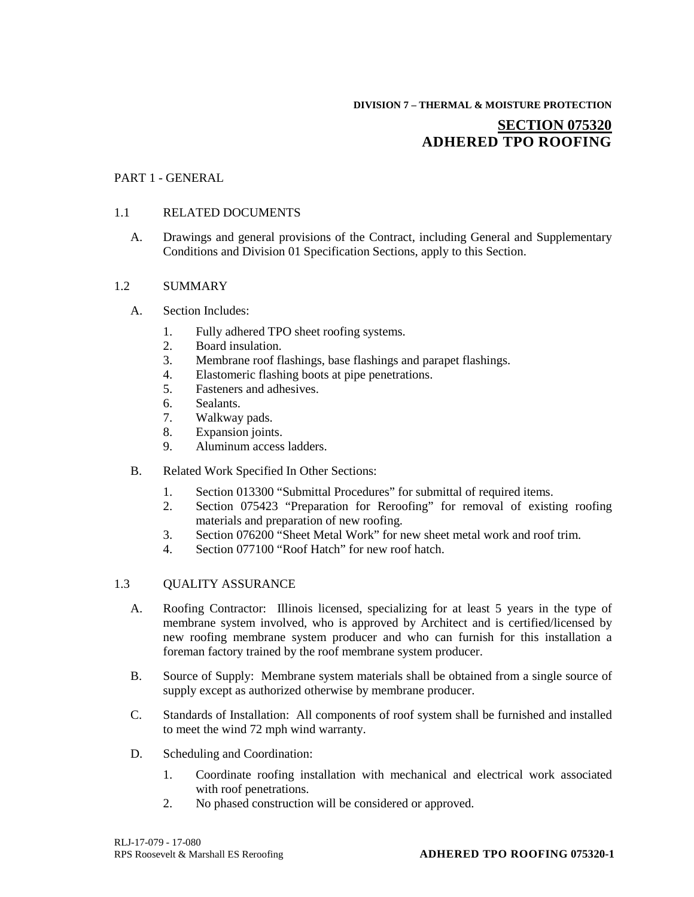# **DIVISION 7 – THERMAL & MOISTURE PROTECTION SECTION 075320 ADHERED TPO ROOFING**

## PART 1 - GENERAL

## 1.1 RELATED DOCUMENTS

A. Drawings and general provisions of the Contract, including General and Supplementary Conditions and Division 01 Specification Sections, apply to this Section.

#### 1.2 SUMMARY

- A. Section Includes:
	- 1. Fully adhered TPO sheet roofing systems.
	- 2. Board insulation.
	- 3. Membrane roof flashings, base flashings and parapet flashings.
	- 4. Elastomeric flashing boots at pipe penetrations.
	- 5. Fasteners and adhesives.
	- 6. Sealants.
	- 7. Walkway pads.
	- 8. Expansion joints.
	- 9. Aluminum access ladders.
- B. Related Work Specified In Other Sections:
	- 1. Section 013300 "Submittal Procedures" for submittal of required items.
	- 2. Section 075423 "Preparation for Reroofing" for removal of existing roofing materials and preparation of new roofing.
	- 3. Section 076200 "Sheet Metal Work" for new sheet metal work and roof trim.
	- 4. Section 077100 "Roof Hatch" for new roof hatch.

#### 1.3 OUALITY ASSURANCE

- A. Roofing Contractor: Illinois licensed, specializing for at least 5 years in the type of membrane system involved, who is approved by Architect and is certified/licensed by new roofing membrane system producer and who can furnish for this installation a foreman factory trained by the roof membrane system producer.
- B. Source of Supply: Membrane system materials shall be obtained from a single source of supply except as authorized otherwise by membrane producer.
- C. Standards of Installation: All components of roof system shall be furnished and installed to meet the wind 72 mph wind warranty.
- D. Scheduling and Coordination:
	- 1. Coordinate roofing installation with mechanical and electrical work associated with roof penetrations.
	- 2. No phased construction will be considered or approved.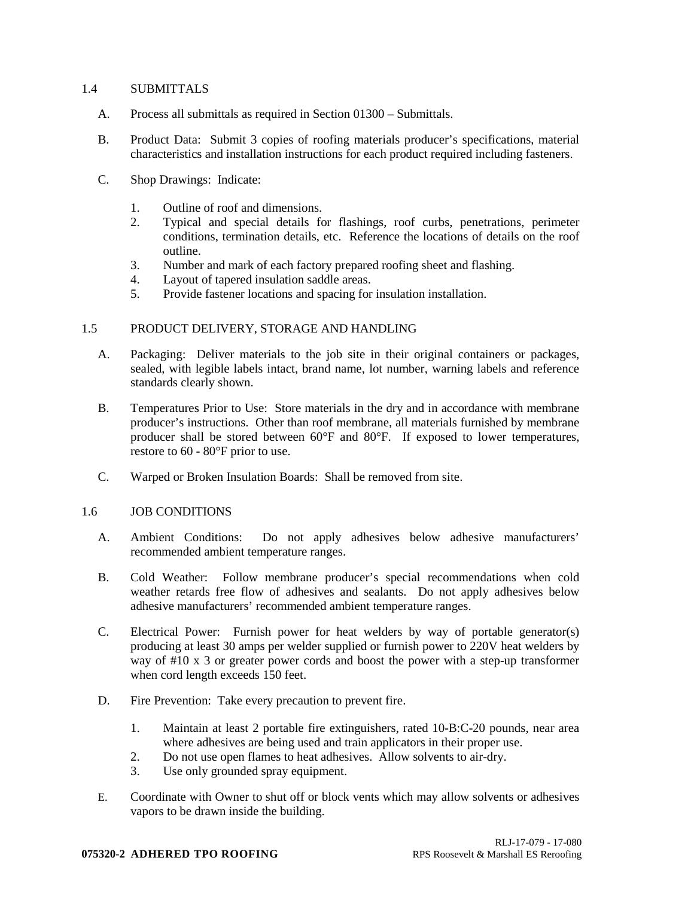#### 1.4 SUBMITTALS

- A. Process all submittals as required in Section 01300 Submittals.
- B. Product Data: Submit 3 copies of roofing materials producer's specifications, material characteristics and installation instructions for each product required including fasteners.
- C. Shop Drawings: Indicate:
	- 1. Outline of roof and dimensions.
	- 2. Typical and special details for flashings, roof curbs, penetrations, perimeter conditions, termination details, etc. Reference the locations of details on the roof outline.
	- 3. Number and mark of each factory prepared roofing sheet and flashing.
	- 4. Layout of tapered insulation saddle areas.
	- 5. Provide fastener locations and spacing for insulation installation.

#### 1.5 PRODUCT DELIVERY, STORAGE AND HANDLING

- A. Packaging: Deliver materials to the job site in their original containers or packages, sealed, with legible labels intact, brand name, lot number, warning labels and reference standards clearly shown.
- B. Temperatures Prior to Use: Store materials in the dry and in accordance with membrane producer's instructions. Other than roof membrane, all materials furnished by membrane producer shall be stored between 60°F and 80°F. If exposed to lower temperatures, restore to 60 - 80°F prior to use.
- C. Warped or Broken Insulation Boards: Shall be removed from site.

#### 1.6 JOB CONDITIONS

- A. Ambient Conditions: Do not apply adhesives below adhesive manufacturers' recommended ambient temperature ranges.
- B. Cold Weather: Follow membrane producer's special recommendations when cold weather retards free flow of adhesives and sealants. Do not apply adhesives below adhesive manufacturers' recommended ambient temperature ranges.
- C. Electrical Power: Furnish power for heat welders by way of portable generator(s) producing at least 30 amps per welder supplied or furnish power to 220V heat welders by way of #10 x 3 or greater power cords and boost the power with a step-up transformer when cord length exceeds 150 feet.
- D. Fire Prevention: Take every precaution to prevent fire.
	- 1. Maintain at least 2 portable fire extinguishers, rated 10-B:C-20 pounds, near area where adhesives are being used and train applicators in their proper use.
	- 2. Do not use open flames to heat adhesives. Allow solvents to air-dry.
	- 3. Use only grounded spray equipment.
- E. Coordinate with Owner to shut off or block vents which may allow solvents or adhesives vapors to be drawn inside the building.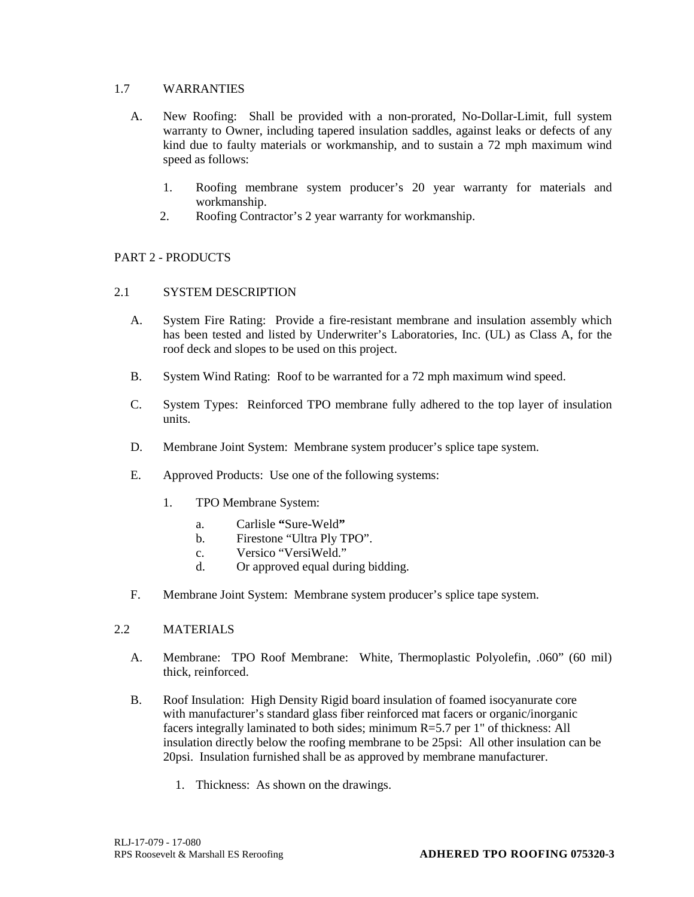## 1.7 WARRANTIES

- A. New Roofing: Shall be provided with a non-prorated, No-Dollar-Limit, full system warranty to Owner, including tapered insulation saddles, against leaks or defects of any kind due to faulty materials or workmanship, and to sustain a 72 mph maximum wind speed as follows:
	- 1. Roofing membrane system producer's 20 year warranty for materials and workmanship.
	- 2. Roofing Contractor's 2 year warranty for workmanship.

## PART 2 - PRODUCTS

## 2.1 SYSTEM DESCRIPTION

- A. System Fire Rating: Provide a fire-resistant membrane and insulation assembly which has been tested and listed by Underwriter's Laboratories, Inc. (UL) as Class A, for the roof deck and slopes to be used on this project.
- B. System Wind Rating: Roof to be warranted for a 72 mph maximum wind speed.
- C. System Types: Reinforced TPO membrane fully adhered to the top layer of insulation units.
- D. Membrane Joint System: Membrane system producer's splice tape system.
- E. Approved Products: Use one of the following systems:
	- 1. TPO Membrane System:
		- a. Carlisle **"**Sure-Weld**"**
		- b. Firestone "Ultra Ply TPO".
		- c. Versico "VersiWeld."
		- d. Or approved equal during bidding.
- F. Membrane Joint System: Membrane system producer's splice tape system.

## 2.2 MATERIALS

- A. Membrane: TPO Roof Membrane: White, Thermoplastic Polyolefin, .060" (60 mil) thick, reinforced.
- B. Roof Insulation: High Density Rigid board insulation of foamed isocyanurate core with manufacturer's standard glass fiber reinforced mat facers or organic/inorganic facers integrally laminated to both sides; minimum R=5.7 per 1" of thickness: All insulation directly below the roofing membrane to be 25psi: All other insulation can be 20psi. Insulation furnished shall be as approved by membrane manufacturer.
	- 1. Thickness: As shown on the drawings.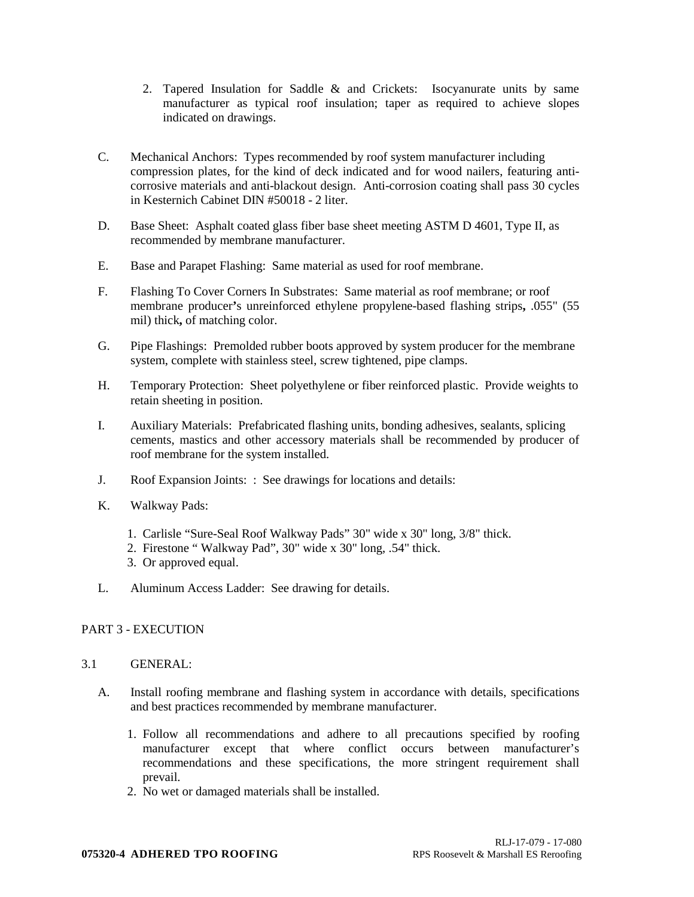- 2. Tapered Insulation for Saddle & and Crickets: Isocyanurate units by same manufacturer as typical roof insulation; taper as required to achieve slopes indicated on drawings.
- C. Mechanical Anchors: Types recommended by roof system manufacturer including compression plates, for the kind of deck indicated and for wood nailers, featuring anticorrosive materials and anti-blackout design. Anti-corrosion coating shall pass 30 cycles in Kesternich Cabinet DIN #50018 - 2 liter.
- D. Base Sheet: Asphalt coated glass fiber base sheet meeting ASTM D 4601, Type II, as recommended by membrane manufacturer.
- E. Base and Parapet Flashing: Same material as used for roof membrane.
- F. Flashing To Cover Corners In Substrates: Same material as roof membrane; or roof membrane producer**'**s unreinforced ethylene propylene-based flashing strips**,** .055" (55 mil) thick**,** of matching color.
- G. Pipe Flashings: Premolded rubber boots approved by system producer for the membrane system, complete with stainless steel, screw tightened, pipe clamps.
- H. Temporary Protection: Sheet polyethylene or fiber reinforced plastic. Provide weights to retain sheeting in position.
- I. Auxiliary Materials: Prefabricated flashing units, bonding adhesives, sealants, splicing cements, mastics and other accessory materials shall be recommended by producer of roof membrane for the system installed.
- J. Roof Expansion Joints: : See drawings for locations and details:
- K. Walkway Pads:
	- 1. Carlisle "Sure-Seal Roof Walkway Pads" 30" wide x 30" long, 3/8" thick.
	- 2. Firestone " Walkway Pad", 30" wide x 30" long, .54" thick.
	- 3. Or approved equal.
- L. Aluminum Access Ladder: See drawing for details.

## PART 3 - EXECUTION

#### 3.1 GENERAL:

- A. Install roofing membrane and flashing system in accordance with details, specifications and best practices recommended by membrane manufacturer.
	- 1. Follow all recommendations and adhere to all precautions specified by roofing manufacturer except that where conflict occurs between manufacturer's recommendations and these specifications, the more stringent requirement shall prevail.
	- 2. No wet or damaged materials shall be installed.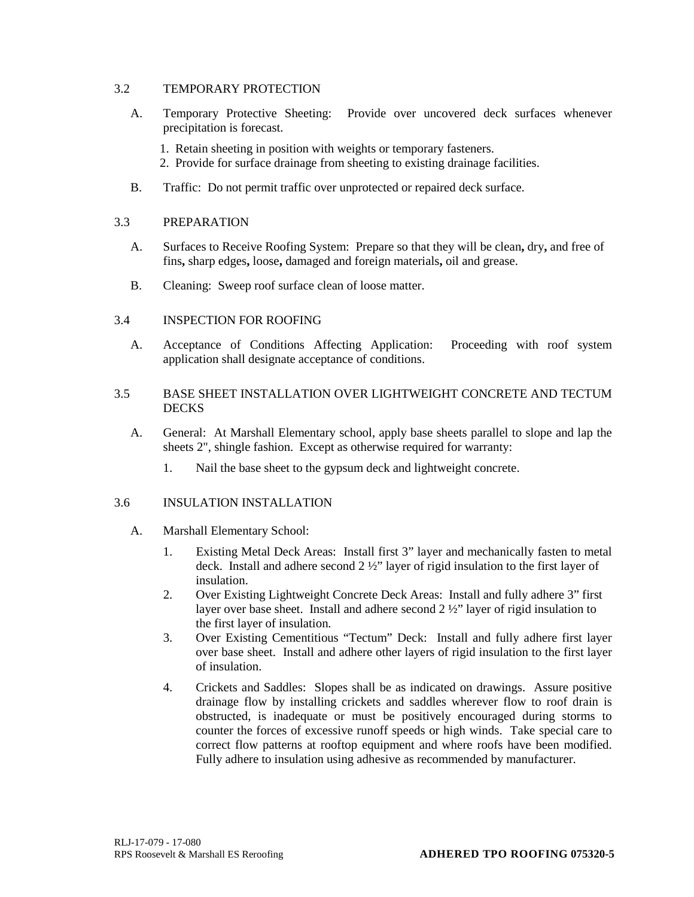## 3.2 TEMPORARY PROTECTION

- A. Temporary Protective Sheeting: Provide over uncovered deck surfaces whenever precipitation is forecast.
	- 1. Retain sheeting in position with weights or temporary fasteners.
	- 2. Provide for surface drainage from sheeting to existing drainage facilities.
- B. Traffic: Do not permit traffic over unprotected or repaired deck surface.

## 3.3 PREPARATION

- A. Surfaces to Receive Roofing System: Prepare so that they will be clean**,** dry**,** and free of fins**,** sharp edges**,** loose**,** damaged and foreign materials**,** oil and grease.
- B. Cleaning: Sweep roof surface clean of loose matter.

## 3.4 INSPECTION FOR ROOFING

- A. Acceptance of Conditions Affecting Application: Proceeding with roof system application shall designate acceptance of conditions.
- 3.5 BASE SHEET INSTALLATION OVER LIGHTWEIGHT CONCRETE AND TECTUM DECKS
	- A. General: At Marshall Elementary school, apply base sheets parallel to slope and lap the sheets 2", shingle fashion. Except as otherwise required for warranty:
		- 1. Nail the base sheet to the gypsum deck and lightweight concrete.

## 3.6 INSULATION INSTALLATION

- A. Marshall Elementary School:
	- 1. Existing Metal Deck Areas: Install first 3" layer and mechanically fasten to metal deck. Install and adhere second 2 ½" layer of rigid insulation to the first layer of insulation.
	- 2. Over Existing Lightweight Concrete Deck Areas: Install and fully adhere 3" first layer over base sheet. Install and adhere second 2 ½" layer of rigid insulation to the first layer of insulation.
	- 3. Over Existing Cementitious "Tectum" Deck: Install and fully adhere first layer over base sheet. Install and adhere other layers of rigid insulation to the first layer of insulation.
	- 4. Crickets and Saddles: Slopes shall be as indicated on drawings. Assure positive drainage flow by installing crickets and saddles wherever flow to roof drain is obstructed, is inadequate or must be positively encouraged during storms to counter the forces of excessive runoff speeds or high winds. Take special care to correct flow patterns at rooftop equipment and where roofs have been modified. Fully adhere to insulation using adhesive as recommended by manufacturer.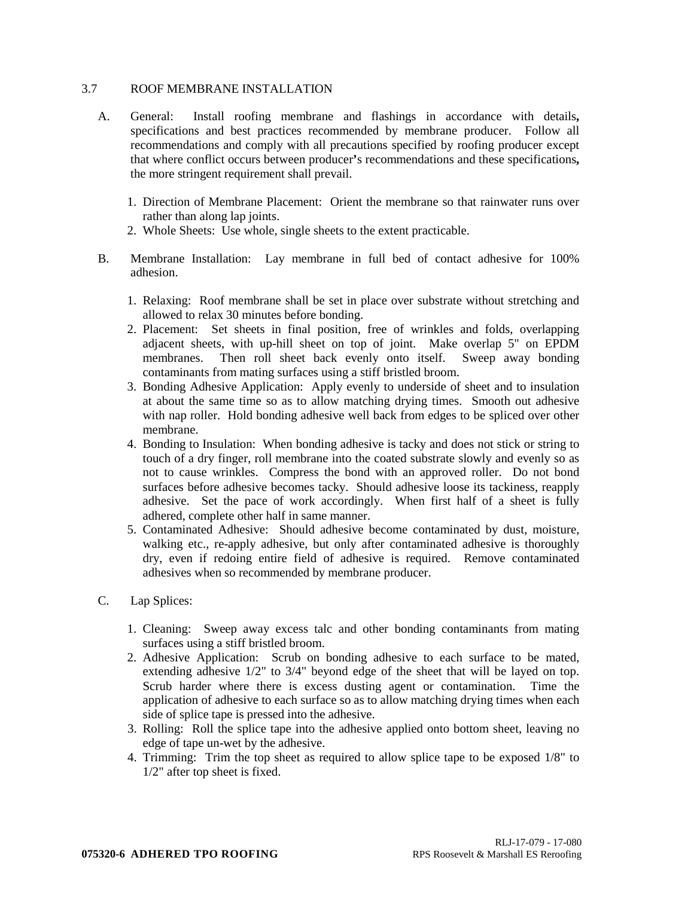#### 3.7 ROOF MEMBRANE INSTALLATION

- A. General: Install roofing membrane and flashings in accordance with details**,** specifications and best practices recommended by membrane producer. Follow all recommendations and comply with all precautions specified by roofing producer except that where conflict occurs between producer**'**s recommendations and these specifications**,** the more stringent requirement shall prevail.
	- 1. Direction of Membrane Placement: Orient the membrane so that rainwater runs over rather than along lap joints.
	- 2. Whole Sheets: Use whole, single sheets to the extent practicable.
- B. Membrane Installation: Lay membrane in full bed of contact adhesive for 100% adhesion.
	- 1. Relaxing: Roof membrane shall be set in place over substrate without stretching and allowed to relax 30 minutes before bonding.
	- 2. Placement: Set sheets in final position, free of wrinkles and folds, overlapping adjacent sheets, with up-hill sheet on top of joint. Make overlap 5" on EPDM membranes. Then roll sheet back evenly onto itself. Sweep away bonding contaminants from mating surfaces using a stiff bristled broom.
	- 3. Bonding Adhesive Application: Apply evenly to underside of sheet and to insulation at about the same time so as to allow matching drying times. Smooth out adhesive with nap roller. Hold bonding adhesive well back from edges to be spliced over other membrane.
	- 4. Bonding to Insulation: When bonding adhesive is tacky and does not stick or string to touch of a dry finger, roll membrane into the coated substrate slowly and evenly so as not to cause wrinkles. Compress the bond with an approved roller. Do not bond surfaces before adhesive becomes tacky. Should adhesive loose its tackiness, reapply adhesive. Set the pace of work accordingly. When first half of a sheet is fully adhered, complete other half in same manner.
	- 5. Contaminated Adhesive: Should adhesive become contaminated by dust, moisture, walking etc., re-apply adhesive, but only after contaminated adhesive is thoroughly dry, even if redoing entire field of adhesive is required. Remove contaminated adhesives when so recommended by membrane producer.

## C. Lap Splices:

- 1. Cleaning: Sweep away excess talc and other bonding contaminants from mating surfaces using a stiff bristled broom.
- 2. Adhesive Application: Scrub on bonding adhesive to each surface to be mated, extending adhesive 1/2" to 3/4" beyond edge of the sheet that will be layed on top. Scrub harder where there is excess dusting agent or contamination. Time the application of adhesive to each surface so as to allow matching drying times when each side of splice tape is pressed into the adhesive.
- 3. Rolling: Roll the splice tape into the adhesive applied onto bottom sheet, leaving no edge of tape un-wet by the adhesive.
- 4. Trimming: Trim the top sheet as required to allow splice tape to be exposed 1/8" to 1/2" after top sheet is fixed.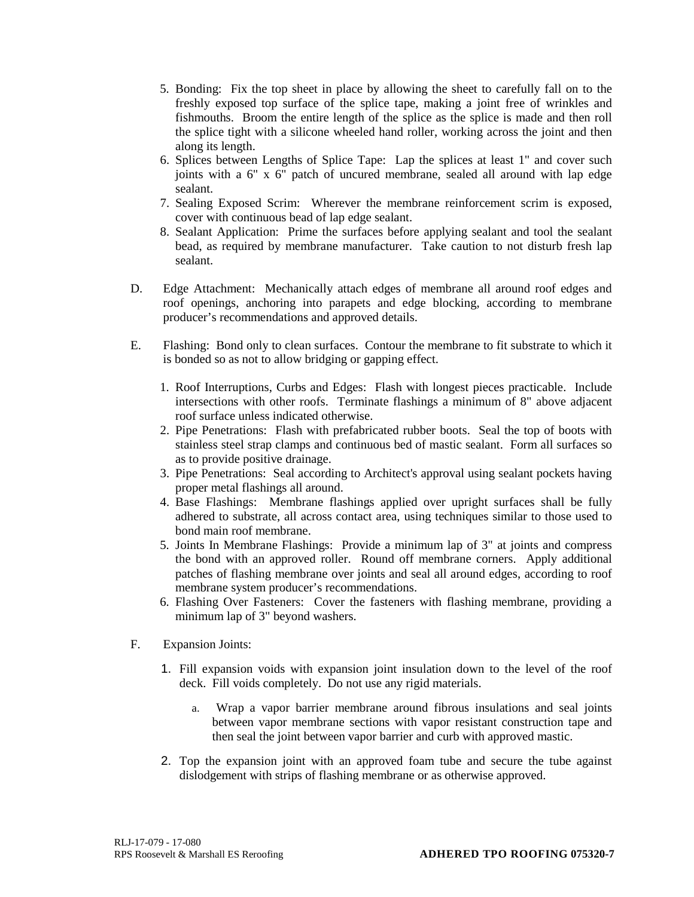- 5. Bonding: Fix the top sheet in place by allowing the sheet to carefully fall on to the freshly exposed top surface of the splice tape, making a joint free of wrinkles and fishmouths. Broom the entire length of the splice as the splice is made and then roll the splice tight with a silicone wheeled hand roller, working across the joint and then along its length.
- 6. Splices between Lengths of Splice Tape: Lap the splices at least 1" and cover such joints with a 6" x 6" patch of uncured membrane, sealed all around with lap edge sealant.
- 7. Sealing Exposed Scrim: Wherever the membrane reinforcement scrim is exposed, cover with continuous bead of lap edge sealant.
- 8. Sealant Application: Prime the surfaces before applying sealant and tool the sealant bead, as required by membrane manufacturer. Take caution to not disturb fresh lap sealant.
- D. Edge Attachment: Mechanically attach edges of membrane all around roof edges and roof openings, anchoring into parapets and edge blocking, according to membrane producer's recommendations and approved details.
- E. Flashing: Bond only to clean surfaces. Contour the membrane to fit substrate to which it is bonded so as not to allow bridging or gapping effect.
	- 1. Roof Interruptions, Curbs and Edges: Flash with longest pieces practicable. Include intersections with other roofs. Terminate flashings a minimum of 8" above adjacent roof surface unless indicated otherwise.
	- 2. Pipe Penetrations: Flash with prefabricated rubber boots. Seal the top of boots with stainless steel strap clamps and continuous bed of mastic sealant. Form all surfaces so as to provide positive drainage.
	- 3. Pipe Penetrations: Seal according to Architect's approval using sealant pockets having proper metal flashings all around.
	- 4. Base Flashings: Membrane flashings applied over upright surfaces shall be fully adhered to substrate, all across contact area, using techniques similar to those used to bond main roof membrane.
	- 5. Joints In Membrane Flashings: Provide a minimum lap of 3" at joints and compress the bond with an approved roller. Round off membrane corners. Apply additional patches of flashing membrane over joints and seal all around edges, according to roof membrane system producer's recommendations.
	- 6. Flashing Over Fasteners: Cover the fasteners with flashing membrane, providing a minimum lap of 3" beyond washers.
- F. Expansion Joints:
	- 1. Fill expansion voids with expansion joint insulation down to the level of the roof deck. Fill voids completely. Do not use any rigid materials.
		- a. Wrap a vapor barrier membrane around fibrous insulations and seal joints between vapor membrane sections with vapor resistant construction tape and then seal the joint between vapor barrier and curb with approved mastic.
	- 2. Top the expansion joint with an approved foam tube and secure the tube against dislodgement with strips of flashing membrane or as otherwise approved.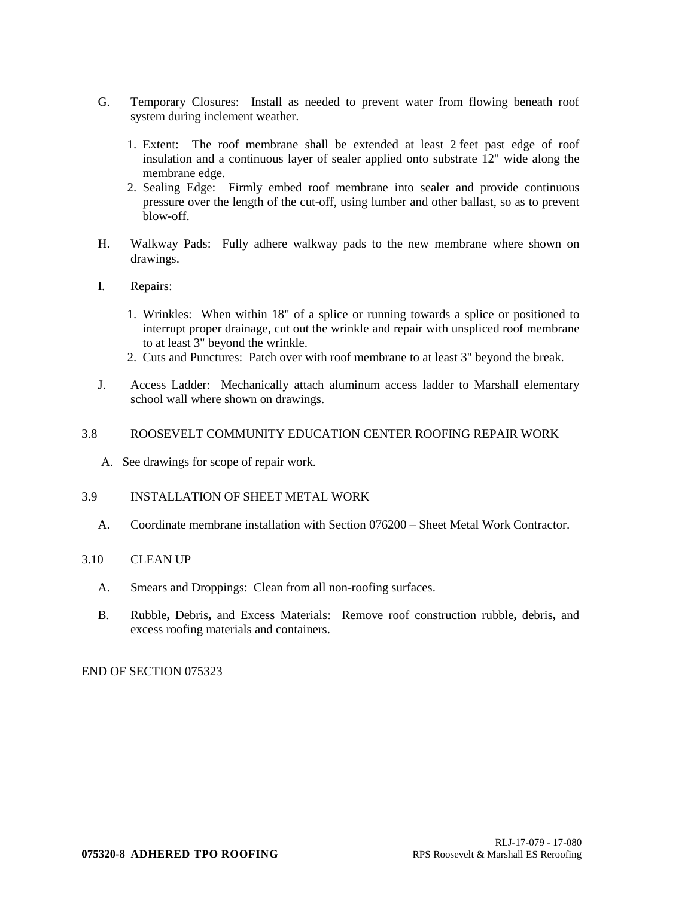- G. Temporary Closures: Install as needed to prevent water from flowing beneath roof system during inclement weather.
	- 1. Extent: The roof membrane shall be extended at least 2 feet past edge of roof insulation and a continuous layer of sealer applied onto substrate 12" wide along the membrane edge.
	- 2. Sealing Edge: Firmly embed roof membrane into sealer and provide continuous pressure over the length of the cut-off, using lumber and other ballast, so as to prevent blow-off.
- H. Walkway Pads: Fully adhere walkway pads to the new membrane where shown on drawings.
- I. Repairs:
	- 1. Wrinkles: When within 18" of a splice or running towards a splice or positioned to interrupt proper drainage, cut out the wrinkle and repair with unspliced roof membrane to at least 3" beyond the wrinkle.
	- 2. Cuts and Punctures: Patch over with roof membrane to at least 3" beyond the break.
- J. Access Ladder: Mechanically attach aluminum access ladder to Marshall elementary school wall where shown on drawings.

#### 3.8 ROOSEVELT COMMUNITY EDUCATION CENTER ROOFING REPAIR WORK

A. See drawings for scope of repair work.

#### 3.9 INSTALLATION OF SHEET METAL WORK

A. Coordinate membrane installation with Section 076200 – Sheet Metal Work Contractor.

## 3.10 CLEAN UP

- A. Smears and Droppings: Clean from all non-roofing surfaces.
- B. Rubble**,** Debris**,** and Excess Materials: Remove roof construction rubble**,** debris**,** and excess roofing materials and containers.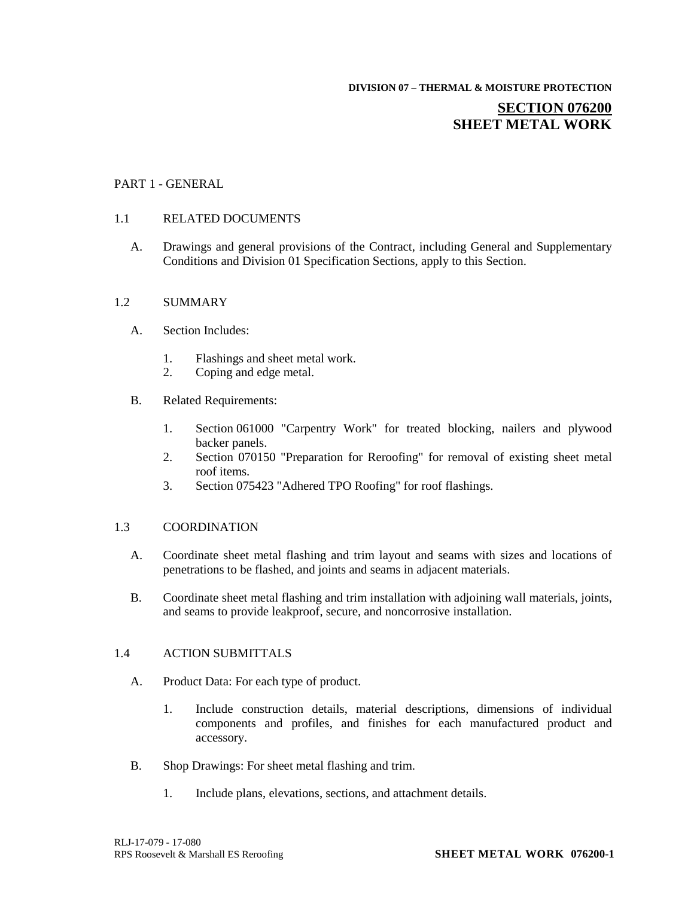**DIVISION 07 – THERMAL & MOISTURE PROTECTION**

## **SECTION 076200 SHEET METAL WORK**

## PART 1 - GENERAL

## 1.1 RELATED DOCUMENTS

A. Drawings and general provisions of the Contract, including General and Supplementary Conditions and Division 01 Specification Sections, apply to this Section.

## 1.2 SUMMARY

- A. Section Includes:
	- 1. Flashings and sheet metal work.
	- 2. Coping and edge metal.
- B. Related Requirements:
	- 1. Section 061000 "Carpentry Work" for treated blocking, nailers and plywood backer panels.
	- 2. Section 070150 "Preparation for Reroofing" for removal of existing sheet metal roof items.
	- 3. Section 075423 "Adhered TPO Roofing" for roof flashings.

#### 1.3 COORDINATION

- A. Coordinate sheet metal flashing and trim layout and seams with sizes and locations of penetrations to be flashed, and joints and seams in adjacent materials.
- B. Coordinate sheet metal flashing and trim installation with adjoining wall materials, joints, and seams to provide leakproof, secure, and noncorrosive installation.

## 1.4 ACTION SUBMITTALS

- A. Product Data: For each type of product.
	- 1. Include construction details, material descriptions, dimensions of individual components and profiles, and finishes for each manufactured product and accessory.
- B. Shop Drawings: For sheet metal flashing and trim.
	- 1. Include plans, elevations, sections, and attachment details.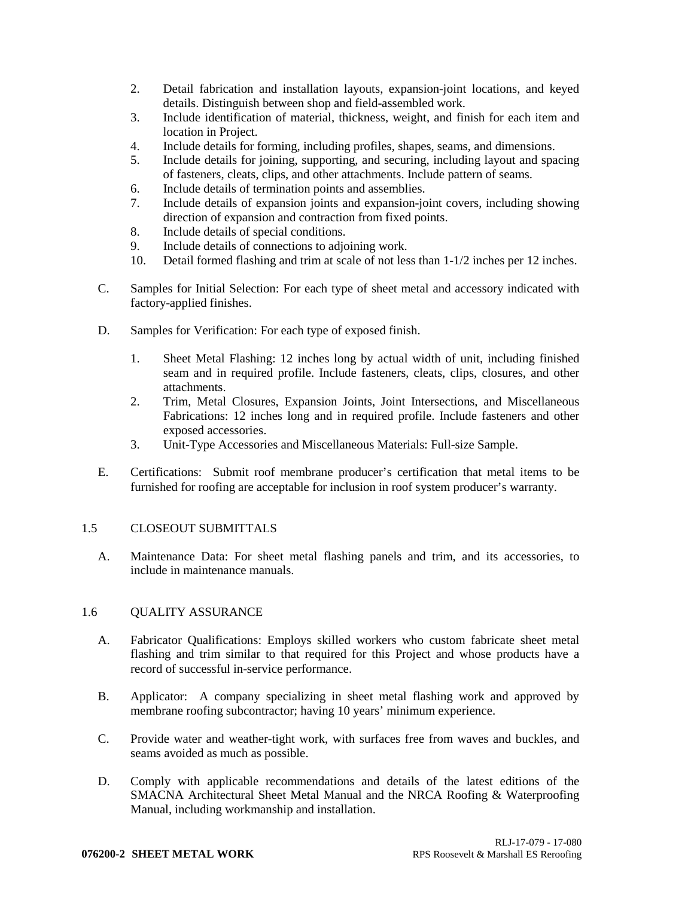- 2. Detail fabrication and installation layouts, expansion-joint locations, and keyed details. Distinguish between shop and field-assembled work.
- 3. Include identification of material, thickness, weight, and finish for each item and location in Project.
- 4. Include details for forming, including profiles, shapes, seams, and dimensions.
- 5. Include details for joining, supporting, and securing, including layout and spacing of fasteners, cleats, clips, and other attachments. Include pattern of seams.
- 6. Include details of termination points and assemblies.
- 7. Include details of expansion joints and expansion-joint covers, including showing direction of expansion and contraction from fixed points.
- 8. Include details of special conditions.
- 9. Include details of connections to adjoining work.
- 10. Detail formed flashing and trim at scale of not less than 1-1/2 inches per 12 inches.
- C. Samples for Initial Selection: For each type of sheet metal and accessory indicated with factory-applied finishes.
- D. Samples for Verification: For each type of exposed finish.
	- 1. Sheet Metal Flashing: 12 inches long by actual width of unit, including finished seam and in required profile. Include fasteners, cleats, clips, closures, and other attachments.
	- 2. Trim, Metal Closures, Expansion Joints, Joint Intersections, and Miscellaneous Fabrications: 12 inches long and in required profile. Include fasteners and other exposed accessories.
	- 3. Unit-Type Accessories and Miscellaneous Materials: Full-size Sample.
- E. Certifications: Submit roof membrane producer's certification that metal items to be furnished for roofing are acceptable for inclusion in roof system producer's warranty.

## 1.5 CLOSEOUT SUBMITTALS

A. Maintenance Data: For sheet metal flashing panels and trim, and its accessories, to include in maintenance manuals.

## 1.6 QUALITY ASSURANCE

- A. Fabricator Qualifications: Employs skilled workers who custom fabricate sheet metal flashing and trim similar to that required for this Project and whose products have a record of successful in-service performance.
- B. Applicator: A company specializing in sheet metal flashing work and approved by membrane roofing subcontractor; having 10 years' minimum experience.
- C. Provide water and weather-tight work, with surfaces free from waves and buckles, and seams avoided as much as possible.
- D. Comply with applicable recommendations and details of the latest editions of the SMACNA Architectural Sheet Metal Manual and the NRCA Roofing & Waterproofing Manual, including workmanship and installation.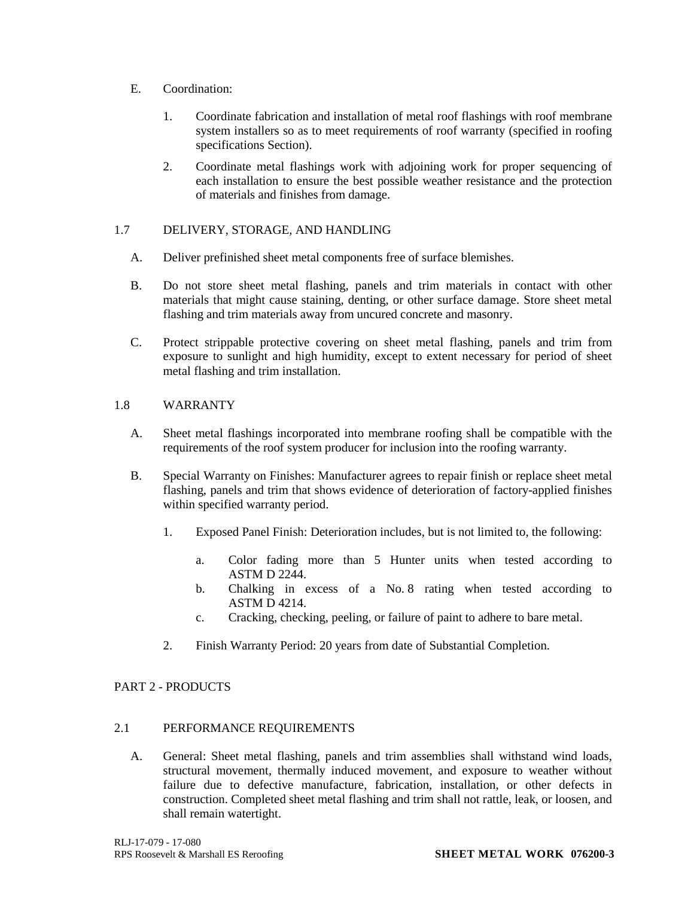- E. Coordination:
	- 1. Coordinate fabrication and installation of metal roof flashings with roof membrane system installers so as to meet requirements of roof warranty (specified in roofing specifications Section).
	- 2. Coordinate metal flashings work with adjoining work for proper sequencing of each installation to ensure the best possible weather resistance and the protection of materials and finishes from damage.

## 1.7 DELIVERY, STORAGE, AND HANDLING

- A. Deliver prefinished sheet metal components free of surface blemishes.
- B. Do not store sheet metal flashing, panels and trim materials in contact with other materials that might cause staining, denting, or other surface damage. Store sheet metal flashing and trim materials away from uncured concrete and masonry.
- C. Protect strippable protective covering on sheet metal flashing, panels and trim from exposure to sunlight and high humidity, except to extent necessary for period of sheet metal flashing and trim installation.

## 1.8 WARRANTY

- A. Sheet metal flashings incorporated into membrane roofing shall be compatible with the requirements of the roof system producer for inclusion into the roofing warranty.
- B. Special Warranty on Finishes: Manufacturer agrees to repair finish or replace sheet metal flashing, panels and trim that shows evidence of deterioration of factory-applied finishes within specified warranty period.
	- 1. Exposed Panel Finish: Deterioration includes, but is not limited to, the following:
		- a. Color fading more than 5 Hunter units when tested according to ASTM D 2244.
		- b. Chalking in excess of a No. 8 rating when tested according to ASTM D 4214.
		- c. Cracking, checking, peeling, or failure of paint to adhere to bare metal.
	- 2. Finish Warranty Period: 20 years from date of Substantial Completion.

## PART 2 - PRODUCTS

## 2.1 PERFORMANCE REQUIREMENTS

A. General: Sheet metal flashing, panels and trim assemblies shall withstand wind loads, structural movement, thermally induced movement, and exposure to weather without failure due to defective manufacture, fabrication, installation, or other defects in construction. Completed sheet metal flashing and trim shall not rattle, leak, or loosen, and shall remain watertight.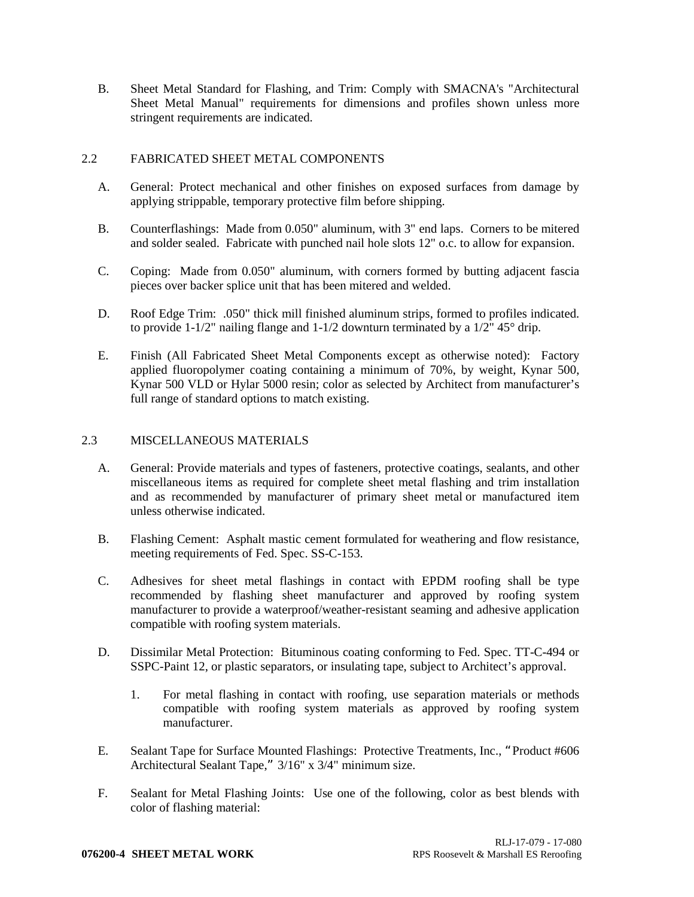B. Sheet Metal Standard for Flashing, and Trim: Comply with SMACNA's "Architectural Sheet Metal Manual" requirements for dimensions and profiles shown unless more stringent requirements are indicated.

## 2.2 FABRICATED SHEET METAL COMPONENTS

- A. General: Protect mechanical and other finishes on exposed surfaces from damage by applying strippable, temporary protective film before shipping.
- B. Counterflashings: Made from 0.050" aluminum, with 3" end laps. Corners to be mitered and solder sealed. Fabricate with punched nail hole slots 12" o.c. to allow for expansion.
- C. Coping: Made from 0.050" aluminum, with corners formed by butting adjacent fascia pieces over backer splice unit that has been mitered and welded.
- D. Roof Edge Trim: .050" thick mill finished aluminum strips, formed to profiles indicated. to provide 1-1/2" nailing flange and 1-1/2 downturn terminated by a  $1/2$ " 45° drip.
- E. Finish (All Fabricated Sheet Metal Components except as otherwise noted): Factory applied fluoropolymer coating containing a minimum of 70%, by weight, Kynar 500, Kynar 500 VLD or Hylar 5000 resin; color as selected by Architect from manufacturer's full range of standard options to match existing.

## 2.3 MISCELLANEOUS MATERIALS

- A. General: Provide materials and types of fasteners, protective coatings, sealants, and other miscellaneous items as required for complete sheet metal flashing and trim installation and as recommended by manufacturer of primary sheet metal or manufactured item unless otherwise indicated.
- B. Flashing Cement: Asphalt mastic cement formulated for weathering and flow resistance, meeting requirements of Fed. Spec. SS-C-153.
- C. Adhesives for sheet metal flashings in contact with EPDM roofing shall be type recommended by flashing sheet manufacturer and approved by roofing system manufacturer to provide a waterproof/weather-resistant seaming and adhesive application compatible with roofing system materials.
- D. Dissimilar Metal Protection: Bituminous coating conforming to Fed. Spec. TT-C-494 or SSPC-Paint 12, or plastic separators, or insulating tape, subject to Architect's approval.
	- 1. For metal flashing in contact with roofing, use separation materials or methods compatible with roofing system materials as approved by roofing system manufacturer.
- E. Sealant Tape for Surface Mounted Flashings: Protective Treatments, Inc., "Product #606 Architectural Sealant Tape," 3/16" x 3/4" minimum size.
- F. Sealant for Metal Flashing Joints: Use one of the following, color as best blends with color of flashing material: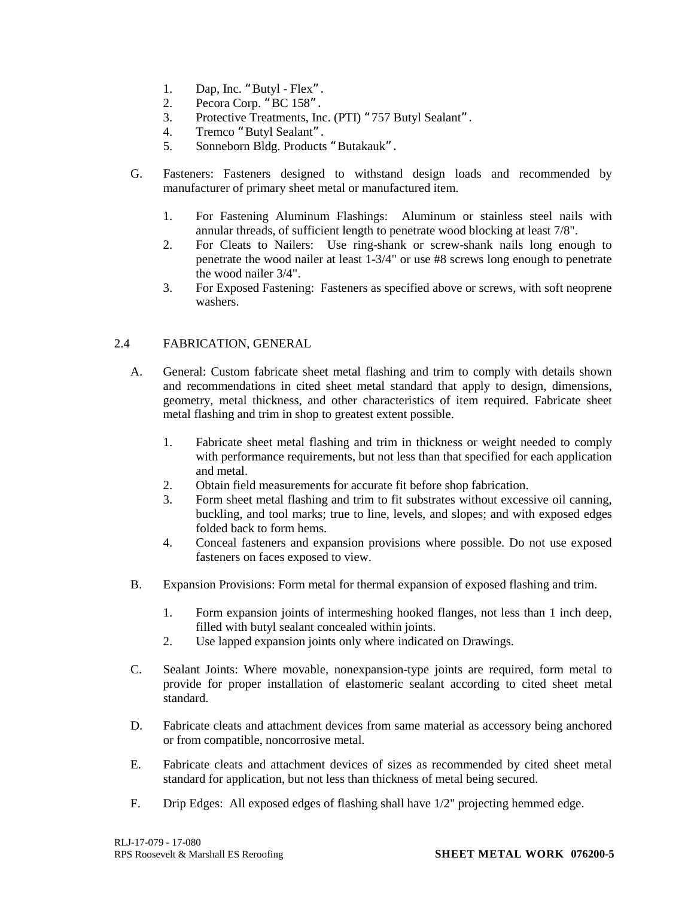- 1. Dap, Inc. "Butyl Flex".
- 2. Pecora Corp. "BC 158".
- 3. Protective Treatments, Inc. (PTI) "757 Butyl Sealant".
- 4. Tremco "Butyl Sealant".
- 5. Sonneborn Bldg. Products "Butakauk".
- G. Fasteners: Fasteners designed to withstand design loads and recommended by manufacturer of primary sheet metal or manufactured item.
	- 1. For Fastening Aluminum Flashings: Aluminum or stainless steel nails with annular threads, of sufficient length to penetrate wood blocking at least 7/8".
	- 2. For Cleats to Nailers: Use ring-shank or screw-shank nails long enough to penetrate the wood nailer at least 1-3/4" or use #8 screws long enough to penetrate the wood nailer 3/4".
	- 3. For Exposed Fastening: Fasteners as specified above or screws, with soft neoprene washers.

## 2.4 FABRICATION, GENERAL

- A. General: Custom fabricate sheet metal flashing and trim to comply with details shown and recommendations in cited sheet metal standard that apply to design, dimensions, geometry, metal thickness, and other characteristics of item required. Fabricate sheet metal flashing and trim in shop to greatest extent possible.
	- 1. Fabricate sheet metal flashing and trim in thickness or weight needed to comply with performance requirements, but not less than that specified for each application and metal.
	- 2. Obtain field measurements for accurate fit before shop fabrication.
	- 3. Form sheet metal flashing and trim to fit substrates without excessive oil canning, buckling, and tool marks; true to line, levels, and slopes; and with exposed edges folded back to form hems.
	- 4. Conceal fasteners and expansion provisions where possible. Do not use exposed fasteners on faces exposed to view.
- B. Expansion Provisions: Form metal for thermal expansion of exposed flashing and trim.
	- 1. Form expansion joints of intermeshing hooked flanges, not less than 1 inch deep, filled with butyl sealant concealed within joints.
	- 2. Use lapped expansion joints only where indicated on Drawings.
- C. Sealant Joints: Where movable, nonexpansion-type joints are required, form metal to provide for proper installation of elastomeric sealant according to cited sheet metal standard.
- D. Fabricate cleats and attachment devices from same material as accessory being anchored or from compatible, noncorrosive metal.
- E. Fabricate cleats and attachment devices of sizes as recommended by cited sheet metal standard for application, but not less than thickness of metal being secured.
- F. Drip Edges: All exposed edges of flashing shall have 1/2" projecting hemmed edge.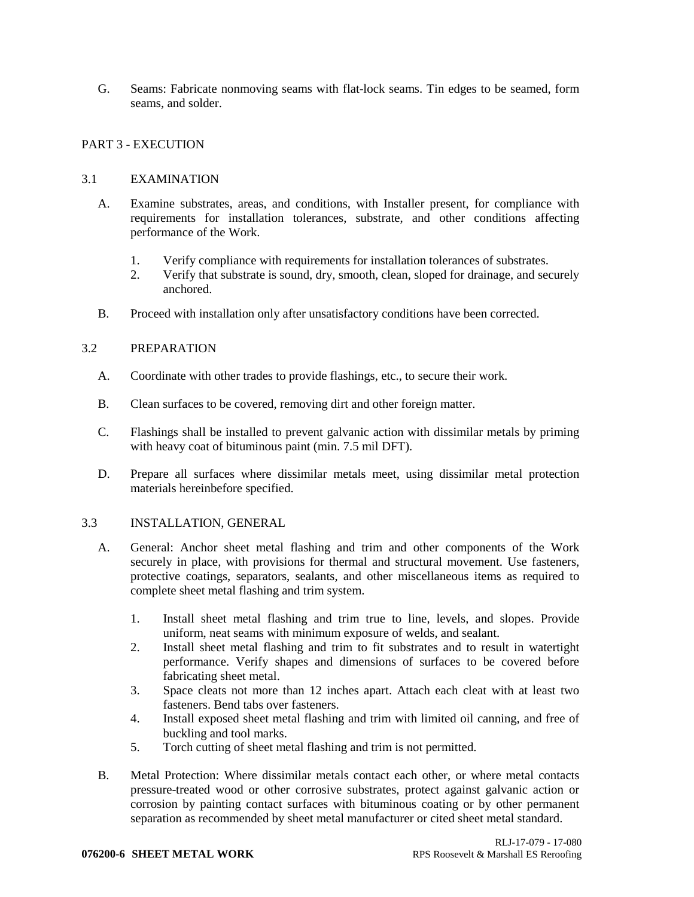G. Seams: Fabricate nonmoving seams with flat-lock seams. Tin edges to be seamed, form seams, and solder.

## PART 3 - EXECUTION

## 3.1 EXAMINATION

- A. Examine substrates, areas, and conditions, with Installer present, for compliance with requirements for installation tolerances, substrate, and other conditions affecting performance of the Work.
	- 1. Verify compliance with requirements for installation tolerances of substrates.
	- 2. Verify that substrate is sound, dry, smooth, clean, sloped for drainage, and securely anchored.
- B. Proceed with installation only after unsatisfactory conditions have been corrected.

## 3.2 PREPARATION

- A. Coordinate with other trades to provide flashings, etc., to secure their work.
- B. Clean surfaces to be covered, removing dirt and other foreign matter.
- C. Flashings shall be installed to prevent galvanic action with dissimilar metals by priming with heavy coat of bituminous paint (min. 7.5 mil DFT).
- D. Prepare all surfaces where dissimilar metals meet, using dissimilar metal protection materials hereinbefore specified.

## 3.3 INSTALLATION, GENERAL

- A. General: Anchor sheet metal flashing and trim and other components of the Work securely in place, with provisions for thermal and structural movement. Use fasteners, protective coatings, separators, sealants, and other miscellaneous items as required to complete sheet metal flashing and trim system.
	- 1. Install sheet metal flashing and trim true to line, levels, and slopes. Provide uniform, neat seams with minimum exposure of welds, and sealant.
	- 2. Install sheet metal flashing and trim to fit substrates and to result in watertight performance. Verify shapes and dimensions of surfaces to be covered before fabricating sheet metal.
	- 3. Space cleats not more than 12 inches apart. Attach each cleat with at least two fasteners. Bend tabs over fasteners.
	- 4. Install exposed sheet metal flashing and trim with limited oil canning, and free of buckling and tool marks.
	- 5. Torch cutting of sheet metal flashing and trim is not permitted.
- B. Metal Protection: Where dissimilar metals contact each other, or where metal contacts pressure-treated wood or other corrosive substrates, protect against galvanic action or corrosion by painting contact surfaces with bituminous coating or by other permanent separation as recommended by sheet metal manufacturer or cited sheet metal standard.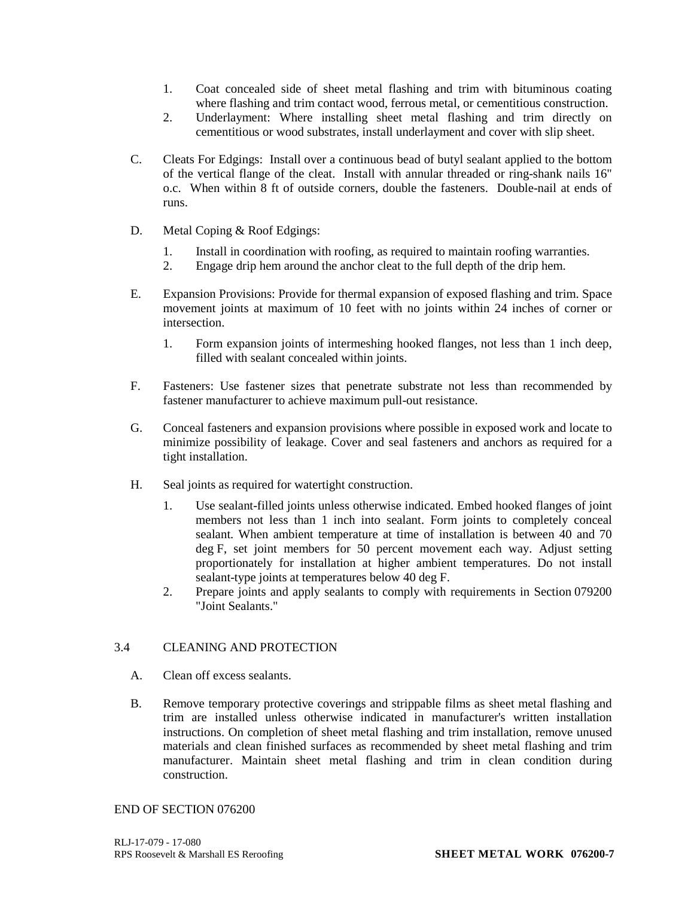- 1. Coat concealed side of sheet metal flashing and trim with bituminous coating where flashing and trim contact wood, ferrous metal, or cementitious construction.
- 2. Underlayment: Where installing sheet metal flashing and trim directly on cementitious or wood substrates, install underlayment and cover with slip sheet.
- C. Cleats For Edgings: Install over a continuous bead of butyl sealant applied to the bottom of the vertical flange of the cleat. Install with annular threaded or ring-shank nails 16" o.c. When within 8 ft of outside corners, double the fasteners. Double-nail at ends of runs.
- D. Metal Coping & Roof Edgings:
	- 1. Install in coordination with roofing, as required to maintain roofing warranties.
	- 2. Engage drip hem around the anchor cleat to the full depth of the drip hem.
- E. Expansion Provisions: Provide for thermal expansion of exposed flashing and trim. Space movement joints at maximum of 10 feet with no joints within 24 inches of corner or intersection.
	- 1. Form expansion joints of intermeshing hooked flanges, not less than 1 inch deep, filled with sealant concealed within joints.
- F. Fasteners: Use fastener sizes that penetrate substrate not less than recommended by fastener manufacturer to achieve maximum pull-out resistance.
- G. Conceal fasteners and expansion provisions where possible in exposed work and locate to minimize possibility of leakage. Cover and seal fasteners and anchors as required for a tight installation.
- H. Seal joints as required for watertight construction.
	- 1. Use sealant-filled joints unless otherwise indicated. Embed hooked flanges of joint members not less than 1 inch into sealant. Form joints to completely conceal sealant. When ambient temperature at time of installation is between 40 and 70 deg F, set joint members for 50 percent movement each way. Adjust setting proportionately for installation at higher ambient temperatures. Do not install sealant-type joints at temperatures below 40 deg F.
	- 2. Prepare joints and apply sealants to comply with requirements in Section 079200 "Joint Sealants."

## 3.4 CLEANING AND PROTECTION

- A. Clean off excess sealants.
- B. Remove temporary protective coverings and strippable films as sheet metal flashing and trim are installed unless otherwise indicated in manufacturer's written installation instructions. On completion of sheet metal flashing and trim installation, remove unused materials and clean finished surfaces as recommended by sheet metal flashing and trim manufacturer. Maintain sheet metal flashing and trim in clean condition during construction.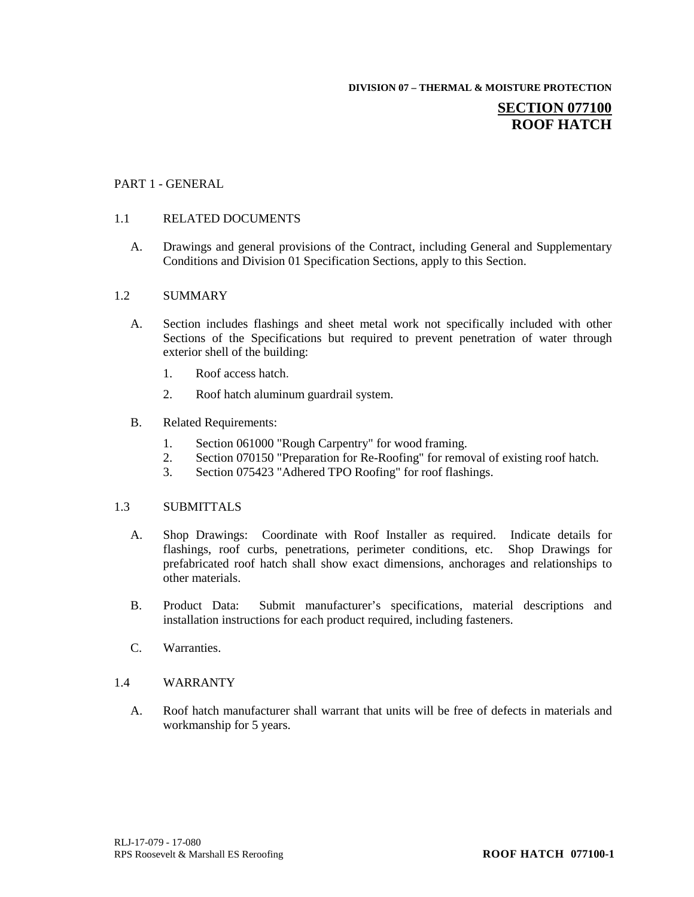**DIVISION 07 – THERMAL & MOISTURE PROTECTION**

# **SECTION 077100 ROOF HATCH**

## PART 1 - GENERAL

## 1.1 RELATED DOCUMENTS

A. Drawings and general provisions of the Contract, including General and Supplementary Conditions and Division 01 Specification Sections, apply to this Section.

#### 1.2 SUMMARY

- A. Section includes flashings and sheet metal work not specifically included with other Sections of the Specifications but required to prevent penetration of water through exterior shell of the building:
	- 1. Roof access hatch.
	- 2. Roof hatch aluminum guardrail system.
- B. Related Requirements:
	- 1. Section 061000 "Rough Carpentry" for wood framing.
	- 2. Section 070150 "Preparation for Re-Roofing" for removal of existing roof hatch.
	- 3. Section 075423 "Adhered TPO Roofing" for roof flashings.

## 1.3 SUBMITTALS

- A. Shop Drawings: Coordinate with Roof Installer as required. Indicate details for flashings, roof curbs, penetrations, perimeter conditions, etc. Shop Drawings for prefabricated roof hatch shall show exact dimensions, anchorages and relationships to other materials.
- B. Product Data: Submit manufacturer's specifications, material descriptions and installation instructions for each product required, including fasteners.
- C. Warranties.

#### 1.4 WARRANTY

A. Roof hatch manufacturer shall warrant that units will be free of defects in materials and workmanship for 5 years.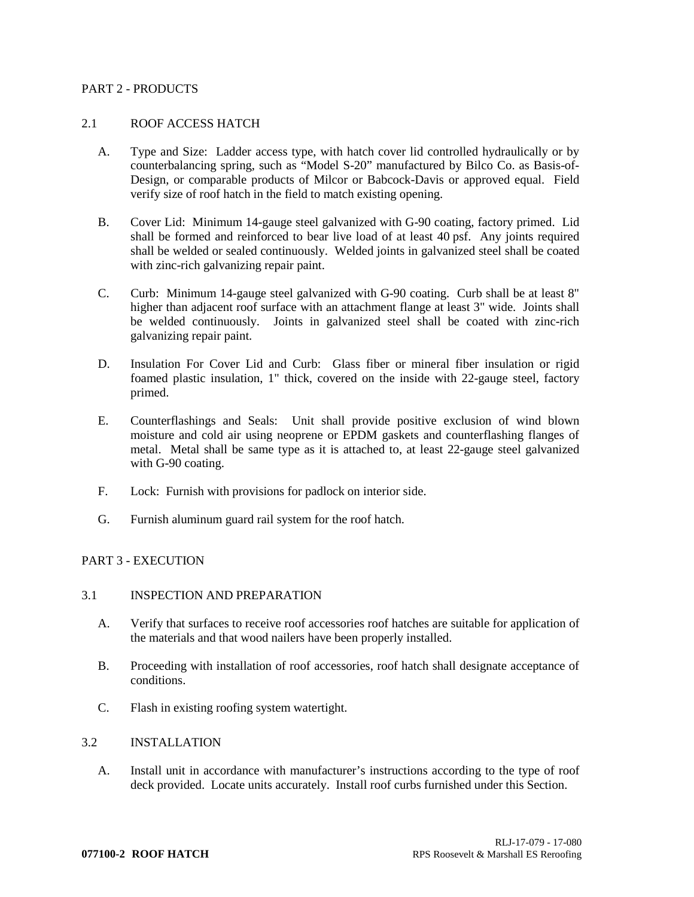## PART 2 - PRODUCTS

### 2.1 ROOF ACCESS HATCH

- A. Type and Size: Ladder access type, with hatch cover lid controlled hydraulically or by counterbalancing spring, such as "Model S-20" manufactured by Bilco Co. as Basis-of-Design, or comparable products of Milcor or Babcock-Davis or approved equal. Field verify size of roof hatch in the field to match existing opening.
- B. Cover Lid: Minimum 14-gauge steel galvanized with G-90 coating, factory primed. Lid shall be formed and reinforced to bear live load of at least 40 psf. Any joints required shall be welded or sealed continuously. Welded joints in galvanized steel shall be coated with zinc-rich galvanizing repair paint.
- C. Curb: Minimum 14-gauge steel galvanized with G-90 coating. Curb shall be at least 8" higher than adjacent roof surface with an attachment flange at least 3" wide. Joints shall be welded continuously. Joints in galvanized steel shall be coated with zinc-rich galvanizing repair paint.
- D. Insulation For Cover Lid and Curb: Glass fiber or mineral fiber insulation or rigid foamed plastic insulation, 1" thick, covered on the inside with 22-gauge steel, factory primed.
- E. Counterflashings and Seals: Unit shall provide positive exclusion of wind blown moisture and cold air using neoprene or EPDM gaskets and counterflashing flanges of metal. Metal shall be same type as it is attached to, at least 22-gauge steel galvanized with G-90 coating.
- F. Lock: Furnish with provisions for padlock on interior side.
- G. Furnish aluminum guard rail system for the roof hatch.

# PART 3 - EXECUTION

#### 3.1 INSPECTION AND PREPARATION

- A. Verify that surfaces to receive roof accessories roof hatches are suitable for application of the materials and that wood nailers have been properly installed.
- B. Proceeding with installation of roof accessories, roof hatch shall designate acceptance of conditions.
- C. Flash in existing roofing system watertight.

### 3.2 INSTALLATION

A. Install unit in accordance with manufacturer's instructions according to the type of roof deck provided. Locate units accurately. Install roof curbs furnished under this Section.